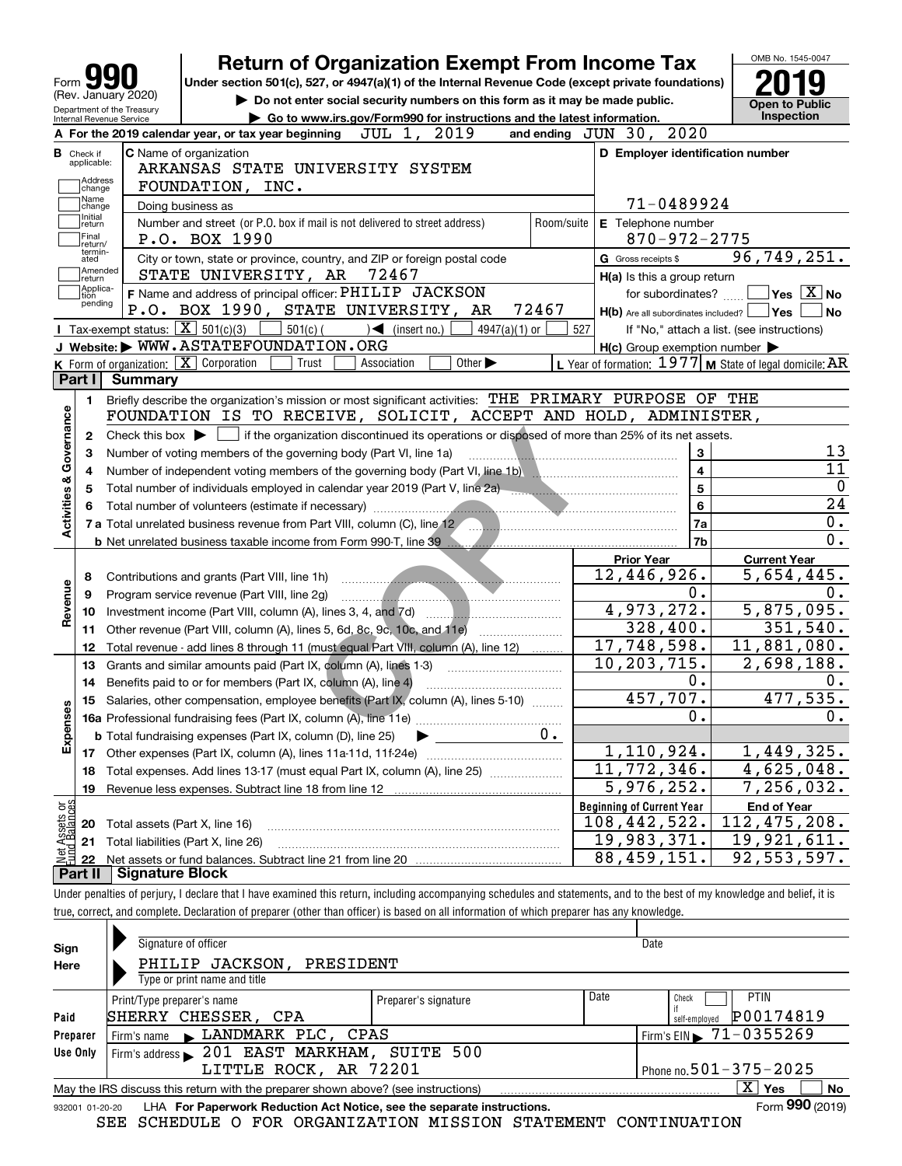| (Rev. January 2020)                                                               | Under section 501(c), 527, or 4947(a)(1) of the Internal Revenue Code (except private foundations)                                                                                                 |            | <b>Return of Organization Exempt From Income Tax</b>      |                                                                                                                                                          |
|-----------------------------------------------------------------------------------|----------------------------------------------------------------------------------------------------------------------------------------------------------------------------------------------------|------------|-----------------------------------------------------------|----------------------------------------------------------------------------------------------------------------------------------------------------------|
| Department of the Treasury                                                        | Do not enter social security numbers on this form as it may be made public.                                                                                                                        |            |                                                           | <b>Open to Public</b>                                                                                                                                    |
| Internal Revenue Service                                                          | ► Go to www.irs.gov/Form990 for instructions and the latest information.                                                                                                                           |            |                                                           | Inspection                                                                                                                                               |
|                                                                                   | 2019<br>JUL 1,<br>A For the 2019 calendar year, or tax year beginning                                                                                                                              |            | and ending JUN 30, 2020                                   |                                                                                                                                                          |
| <b>B</b> Check if<br>applicable:                                                  | <b>C</b> Name of organization                                                                                                                                                                      |            | D Employer identification number                          |                                                                                                                                                          |
| Address                                                                           | ARKANSAS STATE UNIVERSITY SYSTEM                                                                                                                                                                   |            |                                                           |                                                                                                                                                          |
| change<br>Name                                                                    | FOUNDATION, INC.                                                                                                                                                                                   |            |                                                           |                                                                                                                                                          |
| change<br>Initial                                                                 | Doing business as                                                                                                                                                                                  |            | 71-0489924                                                |                                                                                                                                                          |
| return<br>Final                                                                   | Number and street (or P.O. box if mail is not delivered to street address)<br>P.O. BOX 1990                                                                                                        | Room/suite | E Telephone number<br>870-972-2775                        |                                                                                                                                                          |
| return/<br>termin-<br>ated                                                        |                                                                                                                                                                                                    |            | G Gross receipts \$                                       | 96, 749, 251.                                                                                                                                            |
| Amended                                                                           | City or town, state or province, country, and ZIP or foreign postal code<br>STATE UNIVERSITY, AR<br>72467                                                                                          |            |                                                           |                                                                                                                                                          |
| return<br> Applica-                                                               | F Name and address of principal officer: PHILIP JACKSON                                                                                                                                            |            | $H(a)$ is this a group return<br>for subordinates?        | $\overline{\mathsf{Yes}\mathord{\;\;[\mathbf{X}\mathord{\;\;}\mathsf{No}\mathord{\;\;}}$                                                                 |
| tion<br>pending                                                                   | P.O. BOX 1990, STATE UNIVERSITY, AR                                                                                                                                                                | 72467      |                                                           | H(b) Are all subordinates included? Ves                                                                                                                  |
|                                                                                   | Tax-exempt status: $\boxed{\mathbf{X}}$ 501(c)(3)<br>$501(c)$ (<br>$\leq$ (insert no.)<br>$4947(a)(1)$ or                                                                                          |            | 527                                                       | If "No," attach a list. (see instructions)                                                                                                               |
|                                                                                   | J Website: WWW.ASTATEFOUNDATION.ORG                                                                                                                                                                |            | $H(c)$ Group exemption number $\blacktriangleright$       |                                                                                                                                                          |
|                                                                                   | K Form of organization: X Corporation<br>Other $\blacktriangleright$<br>Trust<br>Association                                                                                                       |            | L Year of formation: $1977$ M State of legal domicile: AR |                                                                                                                                                          |
| Part I                                                                            | <b>Summary</b>                                                                                                                                                                                     |            |                                                           |                                                                                                                                                          |
| 1.                                                                                | Briefly describe the organization's mission or most significant activities: THE PRIMARY PURPOSE OF THE                                                                                             |            |                                                           |                                                                                                                                                          |
| Governance                                                                        | FOUNDATION IS TO RECEIVE, SOLICIT, ACCEPT AND HOLD, ADMINISTER,                                                                                                                                    |            |                                                           |                                                                                                                                                          |
| $\mathbf{2}$                                                                      | if the organization discontinued its operations or disposed of more than 25% of its net assets.<br>Check this box $\blacktriangleright$                                                            |            |                                                           |                                                                                                                                                          |
| з                                                                                 | Number of voting members of the governing body (Part VI, line 1a)                                                                                                                                  |            |                                                           | 3                                                                                                                                                        |
|                                                                                   |                                                                                                                                                                                                    |            |                                                           |                                                                                                                                                          |
|                                                                                   |                                                                                                                                                                                                    |            |                                                           |                                                                                                                                                          |
| 4                                                                                 | Number of independent voting members of the governing body (Part VI, line 1b)                                                                                                                      |            |                                                           | 4                                                                                                                                                        |
| 5<br>6                                                                            | Total number of individuals employed in calendar year 2019 (Part V, line 2a) [[[[[[[[[[[[[[[[[[[[[[[[[[[[[[[[                                                                                      |            |                                                           | 5                                                                                                                                                        |
|                                                                                   |                                                                                                                                                                                                    |            |                                                           | 6<br>7a                                                                                                                                                  |
|                                                                                   | 7 a Total unrelated business revenue from Part VIII, column (C), line 12 <b>manual contract and the Contract August</b><br><b>b</b> Net unrelated business taxable income from Form 990-T, line 39 |            |                                                           | 7b                                                                                                                                                       |
|                                                                                   |                                                                                                                                                                                                    |            | <b>Prior Year</b>                                         |                                                                                                                                                          |
| 8                                                                                 |                                                                                                                                                                                                    |            | 12,446,926.                                               | <b>Current Year</b>                                                                                                                                      |
| 9                                                                                 | Contributions and grants (Part VIII, line 1h)<br>Program service revenue (Part VIII, line 2g)                                                                                                      |            | 0.                                                        |                                                                                                                                                          |
| 10                                                                                |                                                                                                                                                                                                    |            | 4,973,272.                                                |                                                                                                                                                          |
| 11                                                                                |                                                                                                                                                                                                    |            | 328,400.                                                  |                                                                                                                                                          |
| 12                                                                                | Other revenue (Part VIII, column (A), lines 5, 6d, 8c, 9c, 10c, and 11e)                                                                                                                           |            | 17,748,598.                                               |                                                                                                                                                          |
| 13                                                                                | Total revenue - add lines 8 through 11 (must equal Part VIII, column (A), line 12)<br>Grants and similar amounts paid (Part IX, column (A), lines 1-3)                                             |            | 10,203,715.                                               |                                                                                                                                                          |
| 14                                                                                |                                                                                                                                                                                                    |            | 0.                                                        |                                                                                                                                                          |
|                                                                                   | Benefits paid to or for members (Part IX, column (A), line 4)                                                                                                                                      |            |                                                           |                                                                                                                                                          |
|                                                                                   | 15 Salaries, other compensation, employee benefits (Part IX, column (A), lines 5-10)                                                                                                               |            | 457,707.<br>$\mathbf 0$ .                                 |                                                                                                                                                          |
|                                                                                   | <b>b</b> Total fundraising expenses (Part IX, column (D), line 25)                                                                                                                                 | $0$ .      |                                                           |                                                                                                                                                          |
| 17                                                                                | Other expenses (Part IX, column (A), lines 11a-11d, 11f-24e)                                                                                                                                       |            | 1,110,924.                                                |                                                                                                                                                          |
| 18                                                                                | Total expenses. Add lines 13-17 (must equal Part IX, column (A), line 25)                                                                                                                          |            | $11,772,346$ .                                            |                                                                                                                                                          |
| 19                                                                                |                                                                                                                                                                                                    |            | 5,976,252.                                                |                                                                                                                                                          |
|                                                                                   |                                                                                                                                                                                                    |            | <b>Beginning of Current Year</b>                          | <b>End of Year</b>                                                                                                                                       |
| 20                                                                                | Total assets (Part X, line 16)                                                                                                                                                                     |            | 108,442,522.                                              |                                                                                                                                                          |
| <b>Activities &amp;</b><br>Revenue<br>Expenses<br>t Assets or<br>d Balances<br>21 | Total liabilities (Part X, line 26)                                                                                                                                                                |            | 19,983,371.                                               | 5,654,445.<br>5,875,095.<br>351,540.<br>11,881,080.<br>2,698,188.<br>477,535.<br>1,449,325.<br>4,625,048.<br>7,256,032.<br>112, 475, 208.<br>19,921,611. |
| 혍<br>22                                                                           |                                                                                                                                                                                                    |            | $\overline{88,459,151}$ .                                 | 92,553,597.                                                                                                                                              |

| Sign                                                                                                       | Signature of officer                                                                                                 |                      |      | Date                                       |  |  |  |  |
|------------------------------------------------------------------------------------------------------------|----------------------------------------------------------------------------------------------------------------------|----------------------|------|--------------------------------------------|--|--|--|--|
| Here                                                                                                       | PHILIP JACKSON,<br>PRESIDENT                                                                                         |                      |      |                                            |  |  |  |  |
|                                                                                                            | Type or print name and title                                                                                         |                      |      |                                            |  |  |  |  |
|                                                                                                            | Print/Type preparer's name                                                                                           | Preparer's signature | Date | <b>PTIN</b><br>Check                       |  |  |  |  |
| Paid                                                                                                       | SHERRY CHESSER, CPA                                                                                                  |                      |      | P00174819<br>self-emploved                 |  |  |  |  |
| Preparer                                                                                                   | Firm's name LANDMARK PLC, CPAS                                                                                       |                      |      | $1$ Firm's EIN $\triangleright$ 71-0355269 |  |  |  |  |
| Use Only                                                                                                   | Firm's address 201 EAST MARKHAM, SUITE 500                                                                           |                      |      |                                            |  |  |  |  |
|                                                                                                            | Phone no. $501 - 375 - 2025$<br>LITTLE ROCK, AR 72201                                                                |                      |      |                                            |  |  |  |  |
| x<br><b>No</b><br>Yes<br>May the IRS discuss this return with the preparer shown above? (see instructions) |                                                                                                                      |                      |      |                                            |  |  |  |  |
|                                                                                                            | Form 990 (2019)<br><b>I HA For Paperwork Reduction Act Notice, see the separate instructions.</b><br>932001 01-20-20 |                      |      |                                            |  |  |  |  |

932001 01-20-20 LHA For Paperwork Reduction Act Notice, see the separate instructions.<br>SEE SCHEDULE O FOR ORGANIZATION MISSION STATEMENT CONTINUATION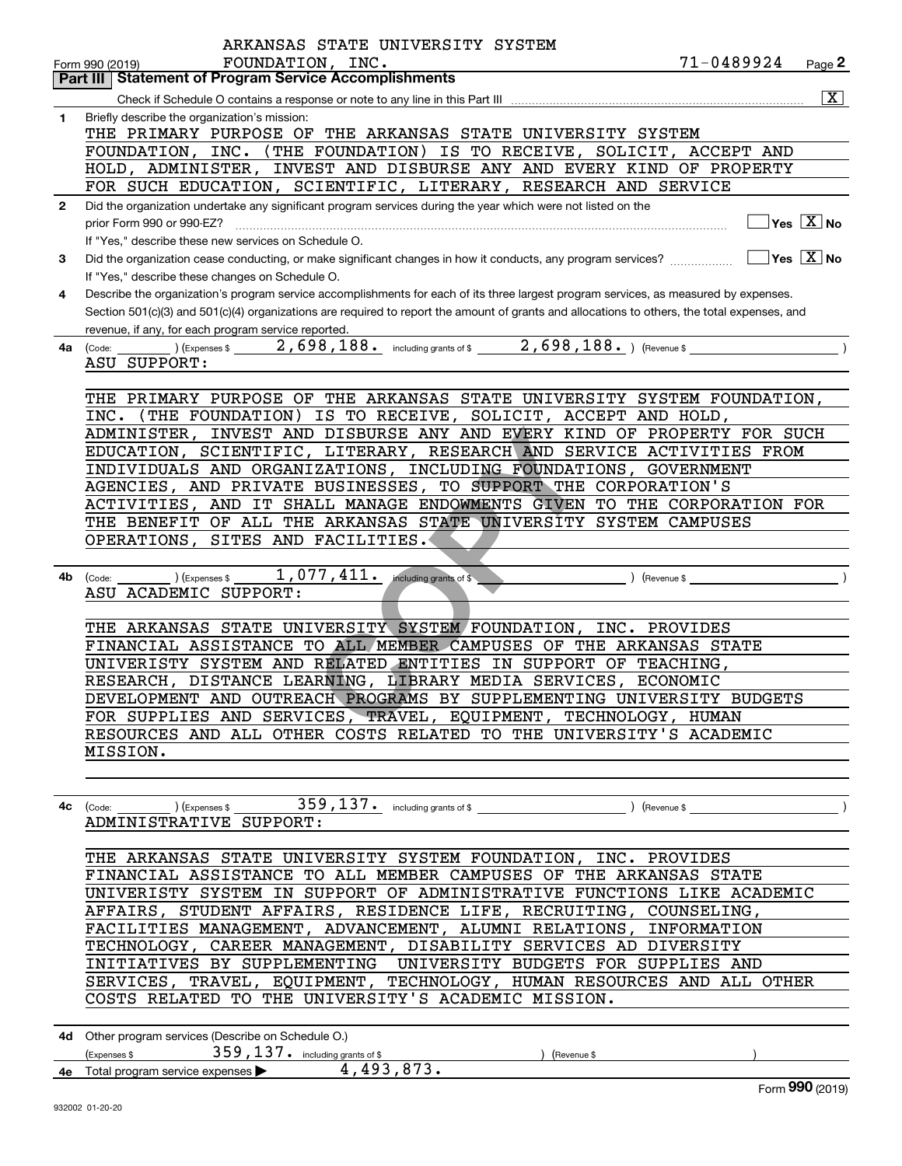|              | ARKANSAS STATE UNIVERSITY SYSTEM                                                                                                                                |
|--------------|-----------------------------------------------------------------------------------------------------------------------------------------------------------------|
|              | 71-0489924<br>FOUNDATION, INC.<br>Page $2$<br>Form 990 (2019)                                                                                                   |
|              | <b>Part III   Statement of Program Service Accomplishments</b>                                                                                                  |
|              | $\boxed{\text{X}}$                                                                                                                                              |
| 1            | Briefly describe the organization's mission:                                                                                                                    |
|              | THE PRIMARY PURPOSE OF THE ARKANSAS STATE UNIVERSITY SYSTEM                                                                                                     |
|              | FOUNDATION, INC. (THE FOUNDATION) IS TO RECEIVE, SOLICIT, ACCEPT AND                                                                                            |
|              | HOLD, ADMINISTER, INVEST AND DISBURSE ANY AND EVERY KIND OF PROPERTY                                                                                            |
|              | FOR SUCH EDUCATION, SCIENTIFIC, LITERARY, RESEARCH AND SERVICE                                                                                                  |
| $\mathbf{2}$ | Did the organization undertake any significant program services during the year which were not listed on the                                                    |
|              | $\boxed{\phantom{1}}$ Yes $\boxed{\text{X}}$ No<br>prior Form 990 or 990-EZ?                                                                                    |
|              | If "Yes." describe these new services on Schedule O.                                                                                                            |
|              | $\boxed{\phantom{1}}$ Yes $\boxed{\text{X}}$ No<br>Did the organization cease conducting, or make significant changes in how it conducts, any program services? |
| 3            |                                                                                                                                                                 |
|              | If "Yes," describe these changes on Schedule O.                                                                                                                 |
| 4            | Describe the organization's program service accomplishments for each of its three largest program services, as measured by expenses.                            |
|              | Section 501(c)(3) and 501(c)(4) organizations are required to report the amount of grants and allocations to others, the total expenses, and                    |
|              | revenue, if any, for each program service reported.                                                                                                             |
| 4a           | (Code:                                                                                                                                                          |
|              | ASU SUPPORT:                                                                                                                                                    |
|              |                                                                                                                                                                 |
|              | THE PRIMARY PURPOSE OF THE ARKANSAS STATE UNIVERSITY SYSTEM FOUNDATION,                                                                                         |
|              | INC. (THE FOUNDATION) IS TO RECEIVE, SOLICIT, ACCEPT AND HOLD,                                                                                                  |
|              | ADMINISTER, INVEST AND DISBURSE ANY AND EVERY KIND OF PROPERTY FOR SUCH                                                                                         |
|              | EDUCATION, SCIENTIFIC, LITERARY, RESEARCH AND SERVICE ACTIVITIES FROM                                                                                           |
|              | INDIVIDUALS AND ORGANIZATIONS, INCLUDING FOUNDATIONS, GOVERNMENT                                                                                                |
|              | AGENCIES, AND PRIVATE BUSINESSES, TO SUPPORT THE CORPORATION'S                                                                                                  |
|              | ACTIVITIES, AND IT SHALL MANAGE ENDOWMENTS GIVEN TO THE CORPORATION FOR                                                                                         |
|              | THE BENEFIT OF ALL THE ARKANSAS STATE UNIVERSITY SYSTEM CAMPUSES                                                                                                |
|              | OPERATIONS, SITES AND FACILITIES.                                                                                                                               |
|              |                                                                                                                                                                 |
| 4b           | $1$ , $077$ , $411$ $\cdot$ including grants of \$<br>$($ Revenue \$ $\qquad \qquad$ (Revenue \$ $\qquad \qquad$<br>) (Expenses \$<br>(Code:                    |
|              | ASU ACADEMIC SUPPORT:                                                                                                                                           |
|              |                                                                                                                                                                 |
|              | THE ARKANSAS STATE UNIVERSITY SYSTEM FOUNDATION, INC. PROVIDES                                                                                                  |
|              | FINANCIAL ASSISTANCE TO ALL MEMBER CAMPUSES OF THE ARKANSAS STATE                                                                                               |
|              | UNIVERISTY SYSTEM AND RELATED ENTITIES IN SUPPORT OF TEACHING,                                                                                                  |
|              | RESEARCH, DISTANCE LEARNING, LIBRARY MEDIA SERVICES, ECONOMIC                                                                                                   |
|              | DEVELOPMENT AND OUTREACH PROGRAMS BY SUPPLEMENTING UNIVERSITY BUDGETS                                                                                           |
|              | FOR SUPPLIES AND SERVICES, TRAVEL, EQUIPMENT, TECHNOLOGY, HUMAN                                                                                                 |
|              | RESOURCES AND ALL OTHER COSTS RELATED TO THE UNIVERSITY'S ACADEMIC                                                                                              |
|              | MISSION.                                                                                                                                                        |
|              |                                                                                                                                                                 |
|              |                                                                                                                                                                 |
|              | 4c $\left(\text{Code:}\_\_\_\_\_\_\$ (Expenses \$ 359, 137. including grants of \$ $\_\_\_\_\_\_\_\$<br>$\int$ (Revenue \$ _                                    |
|              | ADMINISTRATIVE SUPPORT:                                                                                                                                         |
|              |                                                                                                                                                                 |
|              | THE ARKANSAS STATE UNIVERSITY SYSTEM FOUNDATION, INC. PROVIDES                                                                                                  |
|              | FINANCIAL ASSISTANCE TO ALL MEMBER CAMPUSES OF THE ARKANSAS STATE                                                                                               |
|              | UNIVERISTY SYSTEM IN SUPPORT OF ADMINISTRATIVE FUNCTIONS LIKE ACADEMIC                                                                                          |
|              | AFFAIRS, STUDENT AFFAIRS, RESIDENCE LIFE, RECRUITING, COUNSELING,                                                                                               |
|              | FACILITIES MANAGEMENT, ADVANCEMENT, ALUMNI RELATIONS, INFORMATION                                                                                               |
|              | TECHNOLOGY, CAREER MANAGEMENT, DISABILITY SERVICES AD DIVERSITY                                                                                                 |
|              | INITIATIVES BY SUPPLEMENTING UNIVERSITY BUDGETS FOR SUPPLIES AND                                                                                                |
|              | SERVICES, TRAVEL, EQUIPMENT, TECHNOLOGY, HUMAN RESOURCES AND ALL OTHER                                                                                          |
|              | COSTS RELATED TO THE UNIVERSITY'S ACADEMIC MISSION.                                                                                                             |
|              |                                                                                                                                                                 |
|              | 4d Other program services (Describe on Schedule O.)                                                                                                             |
|              | $359$ , $137$ on including grants of \$<br>(Expenses \$<br>(Revenue \$                                                                                          |
|              | 4.493,873.                                                                                                                                                      |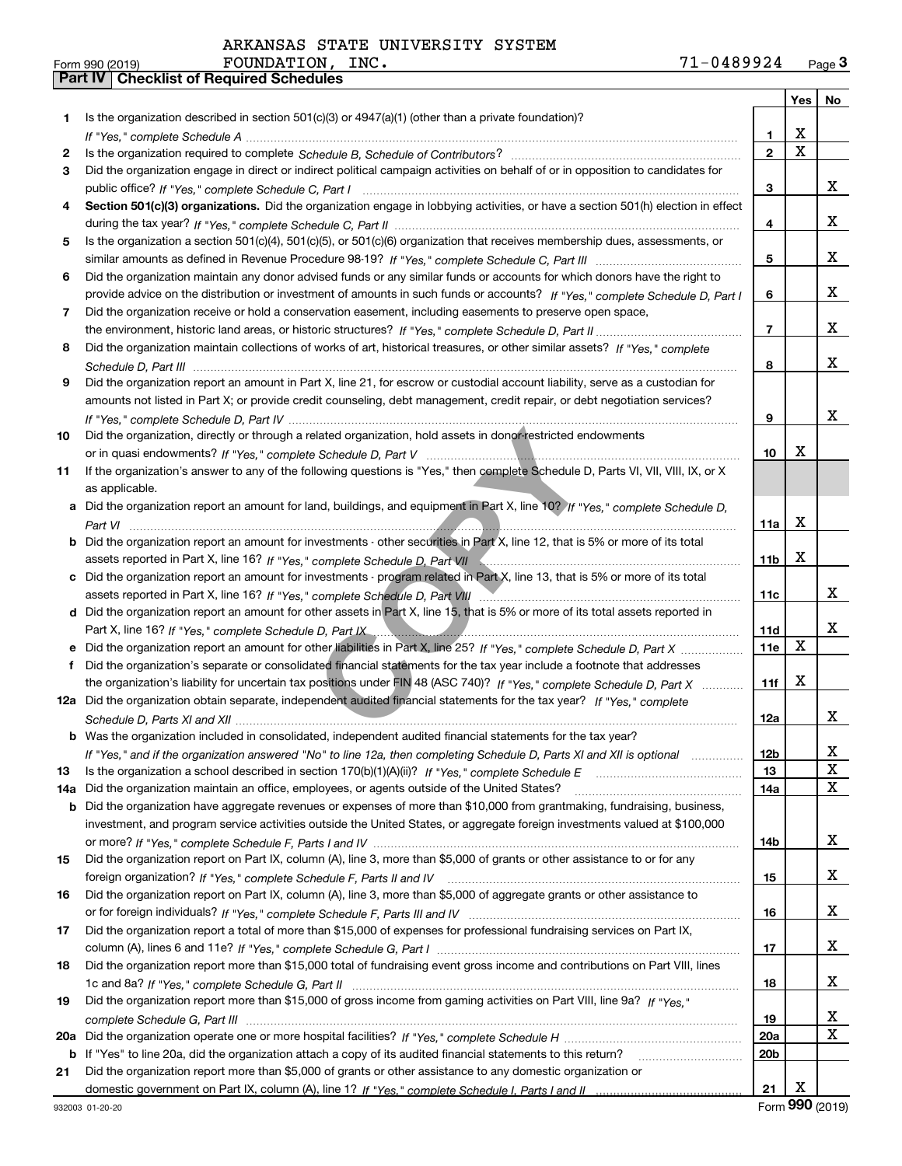|     |                                                                                                                                       |                 | Yes                   | No          |
|-----|---------------------------------------------------------------------------------------------------------------------------------------|-----------------|-----------------------|-------------|
|     | Is the organization described in section $501(c)(3)$ or $4947(a)(1)$ (other than a private foundation)?                               |                 |                       |             |
|     |                                                                                                                                       | 1               | х                     |             |
| 2   |                                                                                                                                       | $\mathbf{2}$    | $\overline{\text{x}}$ |             |
| 3   | Did the organization engage in direct or indirect political campaign activities on behalf of or in opposition to candidates for       |                 |                       |             |
|     |                                                                                                                                       | 3               |                       | x           |
| 4   | Section 501(c)(3) organizations. Did the organization engage in lobbying activities, or have a section 501(h) election in effect      |                 |                       |             |
|     |                                                                                                                                       | 4               |                       | x           |
| 5   | Is the organization a section 501(c)(4), 501(c)(5), or 501(c)(6) organization that receives membership dues, assessments, or          |                 |                       |             |
|     |                                                                                                                                       | 5               |                       | x           |
| 6   | Did the organization maintain any donor advised funds or any similar funds or accounts for which donors have the right to             |                 |                       |             |
|     | provide advice on the distribution or investment of amounts in such funds or accounts? If "Yes," complete Schedule D, Part I          | 6               |                       | x           |
| 7   | Did the organization receive or hold a conservation easement, including easements to preserve open space,                             |                 |                       |             |
|     |                                                                                                                                       | $\overline{7}$  |                       | x           |
| 8   | Did the organization maintain collections of works of art, historical treasures, or other similar assets? If "Yes," complete          |                 |                       |             |
|     |                                                                                                                                       | 8               |                       | x           |
| 9   | Did the organization report an amount in Part X, line 21, for escrow or custodial account liability, serve as a custodian for         |                 |                       |             |
|     | amounts not listed in Part X; or provide credit counseling, debt management, credit repair, or debt negotiation services?             |                 |                       |             |
|     |                                                                                                                                       | 9               |                       | x           |
| 10  | Did the organization, directly or through a related organization, hold assets in donor-restricted endowments                          |                 |                       |             |
|     |                                                                                                                                       | 10              | x                     |             |
| 11  | If the organization's answer to any of the following questions is "Yes," then complete Schedule D, Parts VI, VII, VIII, IX, or X      |                 |                       |             |
|     | as applicable.                                                                                                                        |                 |                       |             |
|     | a Did the organization report an amount for land, buildings, and equipment in Part X, line 10? If "Yes," complete Schedule D,         |                 | X                     |             |
|     |                                                                                                                                       | 11a             |                       |             |
|     | <b>b</b> Did the organization report an amount for investments - other securities in Part X, line 12, that is 5% or more of its total |                 | X                     |             |
|     | assets reported in Part X, line 16? If "Yes," complete Schedule D, Part VII                                                           | 11 <sub>b</sub> |                       |             |
| c   | Did the organization report an amount for investments - program related in Part X, line 13, that is 5% or more of its total           |                 |                       | x           |
|     | d Did the organization report an amount for other assets in Part X, line 15, that is 5% or more of its total assets reported in       | 11c             |                       |             |
|     |                                                                                                                                       | 11d             |                       | X.          |
|     |                                                                                                                                       | 11e             | X                     |             |
| f   | Did the organization's separate or consolidated financial statements for the tax year include a footnote that addresses               |                 |                       |             |
|     | the organization's liability for uncertain tax positions under FIN 48 (ASC 740)? If "Yes," complete Schedule D, Part X                | 11f             | X                     |             |
|     | 12a Did the organization obtain separate, independent audited financial statements for the tax year? If "Yes," complete               |                 |                       |             |
|     |                                                                                                                                       | 12a             |                       | x           |
|     | <b>b</b> Was the organization included in consolidated, independent audited financial statements for the tax year?                    |                 |                       |             |
|     | If "Yes," and if the organization answered "No" to line 12a, then completing Schedule D, Parts XI and XII is optional                 | 12b             |                       | Y           |
| 13  |                                                                                                                                       | 13              |                       | X           |
| 14a | Did the organization maintain an office, employees, or agents outside of the United States?                                           | 14a             |                       | $\mathbf X$ |
| b   | Did the organization have aggregate revenues or expenses of more than \$10,000 from grantmaking, fundraising, business,               |                 |                       |             |
|     | investment, and program service activities outside the United States, or aggregate foreign investments valued at \$100,000            |                 |                       |             |
|     |                                                                                                                                       | 14b             |                       | x           |
| 15  | Did the organization report on Part IX, column (A), line 3, more than \$5,000 of grants or other assistance to or for any             |                 |                       |             |
|     |                                                                                                                                       | 15              |                       | x           |
| 16  | Did the organization report on Part IX, column (A), line 3, more than \$5,000 of aggregate grants or other assistance to              |                 |                       |             |
|     |                                                                                                                                       | 16              |                       | x           |
| 17  | Did the organization report a total of more than \$15,000 of expenses for professional fundraising services on Part IX,               |                 |                       |             |
|     |                                                                                                                                       | 17              |                       | x           |
| 18  | Did the organization report more than \$15,000 total of fundraising event gross income and contributions on Part VIII, lines          |                 |                       |             |
|     |                                                                                                                                       | 18              |                       | x           |
| 19  | Did the organization report more than \$15,000 of gross income from gaming activities on Part VIII, line 9a? If "Yes."                |                 |                       |             |
|     |                                                                                                                                       | 19              |                       | X           |
| 20a |                                                                                                                                       | 20a             |                       | $\mathbf x$ |
| b   | If "Yes" to line 20a, did the organization attach a copy of its audited financial statements to this return?                          | 20b             |                       |             |
| 21  | Did the organization report more than \$5,000 of grants or other assistance to any domestic organization or                           |                 |                       |             |
|     |                                                                                                                                       | 21              | X                     |             |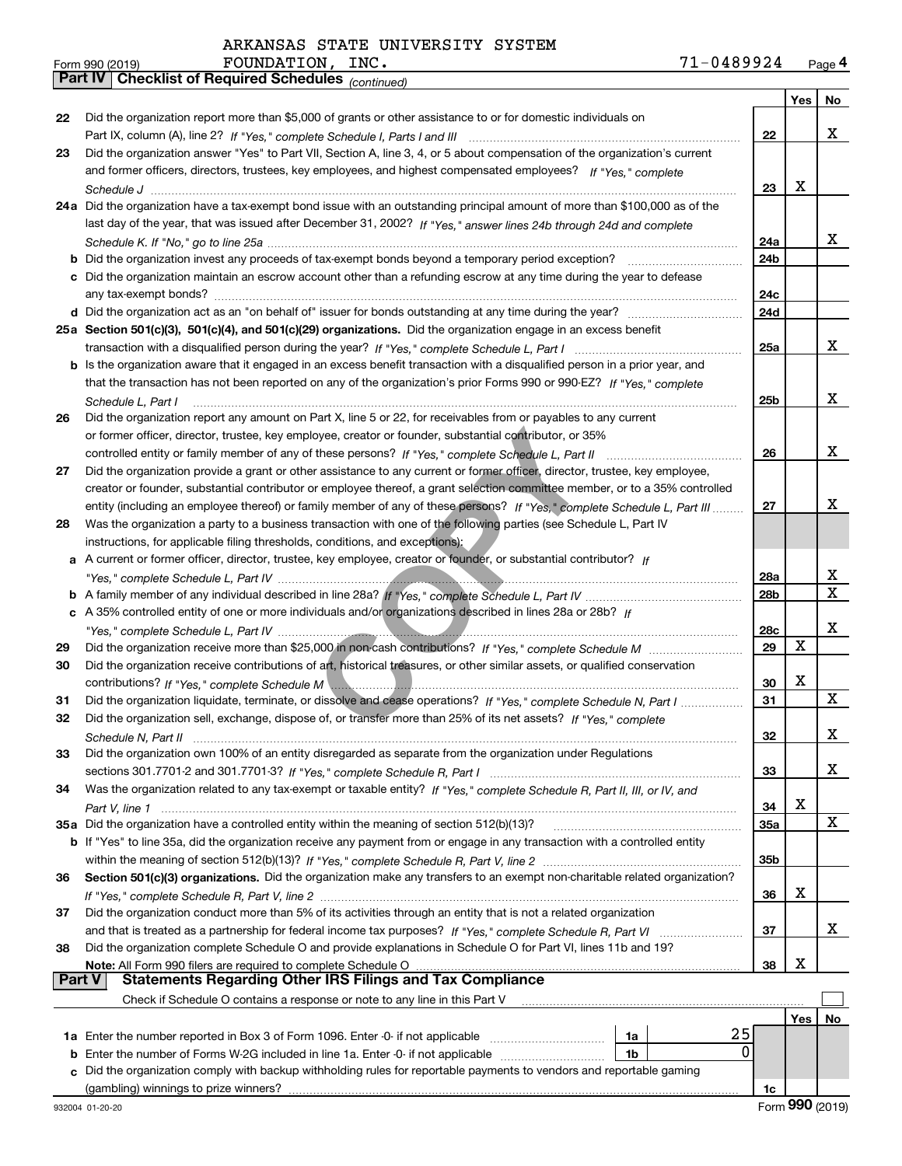*(continued)*

|               |                                                                                                                              |            | Yes         | No          |
|---------------|------------------------------------------------------------------------------------------------------------------------------|------------|-------------|-------------|
| 22            | Did the organization report more than \$5,000 of grants or other assistance to or for domestic individuals on                |            |             |             |
|               |                                                                                                                              | 22         |             | x           |
| 23            | Did the organization answer "Yes" to Part VII, Section A, line 3, 4, or 5 about compensation of the organization's current   |            |             |             |
|               | and former officers, directors, trustees, key employees, and highest compensated employees? If "Yes," complete               |            |             |             |
|               |                                                                                                                              | 23         | X           |             |
|               | 24a Did the organization have a tax-exempt bond issue with an outstanding principal amount of more than \$100,000 as of the  |            |             |             |
|               | last day of the year, that was issued after December 31, 2002? If "Yes," answer lines 24b through 24d and complete           |            |             |             |
|               |                                                                                                                              | 24a        |             | x           |
|               | <b>b</b> Did the organization invest any proceeds of tax-exempt bonds beyond a temporary period exception?                   | 24b        |             |             |
|               | c Did the organization maintain an escrow account other than a refunding escrow at any time during the year to defease       |            |             |             |
|               | any tax-exempt bonds?                                                                                                        | 24c        |             |             |
|               |                                                                                                                              | 24d        |             |             |
|               | 25a Section 501(c)(3), 501(c)(4), and 501(c)(29) organizations. Did the organization engage in an excess benefit             |            |             |             |
|               |                                                                                                                              | 25a        |             | x           |
|               | b Is the organization aware that it engaged in an excess benefit transaction with a disqualified person in a prior year, and |            |             |             |
|               | that the transaction has not been reported on any of the organization's prior Forms 990 or 990-EZ? If "Yes," complete        |            |             |             |
|               | Schedule L, Part I                                                                                                           | 25b        |             | х           |
| 26            | Did the organization report any amount on Part X, line 5 or 22, for receivables from or payables to any current              |            |             |             |
|               | or former officer, director, trustee, key employee, creator or founder, substantial contributor, or 35%                      |            |             |             |
|               | controlled entity or family member of any of these persons? If "Yes," complete Schedule L, Part II                           | 26         |             | x           |
| 27            | Did the organization provide a grant or other assistance to any current or former officer, director, trustee, key employee,  |            |             |             |
|               | creator or founder, substantial contributor or employee thereof, a grant selection committee member, or to a 35% controlled  |            |             |             |
|               | entity (including an employee thereof) or family member of any of these persons? If "Yes," complete Schedule L, Part III     | 27         |             | х           |
| 28            | Was the organization a party to a business transaction with one of the following parties (see Schedule L, Part IV            |            |             |             |
|               | instructions, for applicable filing thresholds, conditions, and exceptions):                                                 |            |             |             |
| а             | A current or former officer, director, trustee, key employee, creator or founder, or substantial contributor? If             |            |             |             |
|               |                                                                                                                              | 28a        |             | х           |
|               |                                                                                                                              | 28b        |             | $\mathbf X$ |
|               | c A 35% controlled entity of one or more individuals and/or organizations described in lines 28a or 28b? If                  |            |             |             |
|               |                                                                                                                              | 28c        | $\mathbf X$ | Х           |
| 29            |                                                                                                                              | 29         |             |             |
| 30            | Did the organization receive contributions of art, historical treasures, or other similar assets, or qualified conservation  |            | X           |             |
|               | contributions? If "Yes," complete Schedule M                                                                                 | 30         |             | $\mathbf X$ |
| 31            | Did the organization liquidate, terminate, or dissolve and cease operations? If "Yes," complete Schedule N, Part I           | 31         |             |             |
| 32            | Did the organization sell, exchange, dispose of, or transfer more than 25% of its net assets? If "Yes," complete             |            |             | x           |
|               |                                                                                                                              | 32         |             |             |
|               | Did the organization own 100% of an entity disregarded as separate from the organization under Regulations                   | 33         |             | x           |
| 34            | Was the organization related to any tax-exempt or taxable entity? If "Yes," complete Schedule R, Part II, III, or IV, and    |            |             |             |
|               |                                                                                                                              | 34         | X           |             |
|               | 35a Did the organization have a controlled entity within the meaning of section 512(b)(13)?                                  | <b>35a</b> |             | X           |
|               | b If "Yes" to line 35a, did the organization receive any payment from or engage in any transaction with a controlled entity  |            |             |             |
|               |                                                                                                                              | 35b        |             |             |
| 36            | Section 501(c)(3) organizations. Did the organization make any transfers to an exempt non-charitable related organization?   |            |             |             |
|               |                                                                                                                              | 36         | X           |             |
| 37            | Did the organization conduct more than 5% of its activities through an entity that is not a related organization             |            |             |             |
|               |                                                                                                                              | 37         |             | x           |
| 38            | Did the organization complete Schedule O and provide explanations in Schedule O for Part VI, lines 11b and 19?               |            |             |             |
|               |                                                                                                                              | 38         | X           |             |
| <b>Part V</b> | <b>Statements Regarding Other IRS Filings and Tax Compliance</b>                                                             |            |             |             |
|               | Check if Schedule O contains a response or note to any line in this Part V                                                   |            |             |             |
|               |                                                                                                                              |            | Yes         | No          |
|               | 25<br>1a<br>0                                                                                                                |            |             |             |
|               | <b>b</b> Enter the number of Forms W-2G included in line 1a. Enter -0- if not applicable <i>manumumumum</i><br>1b            |            |             |             |
|               | c Did the organization comply with backup withholding rules for reportable payments to vendors and reportable gaming         |            |             |             |
|               |                                                                                                                              | 1c         |             |             |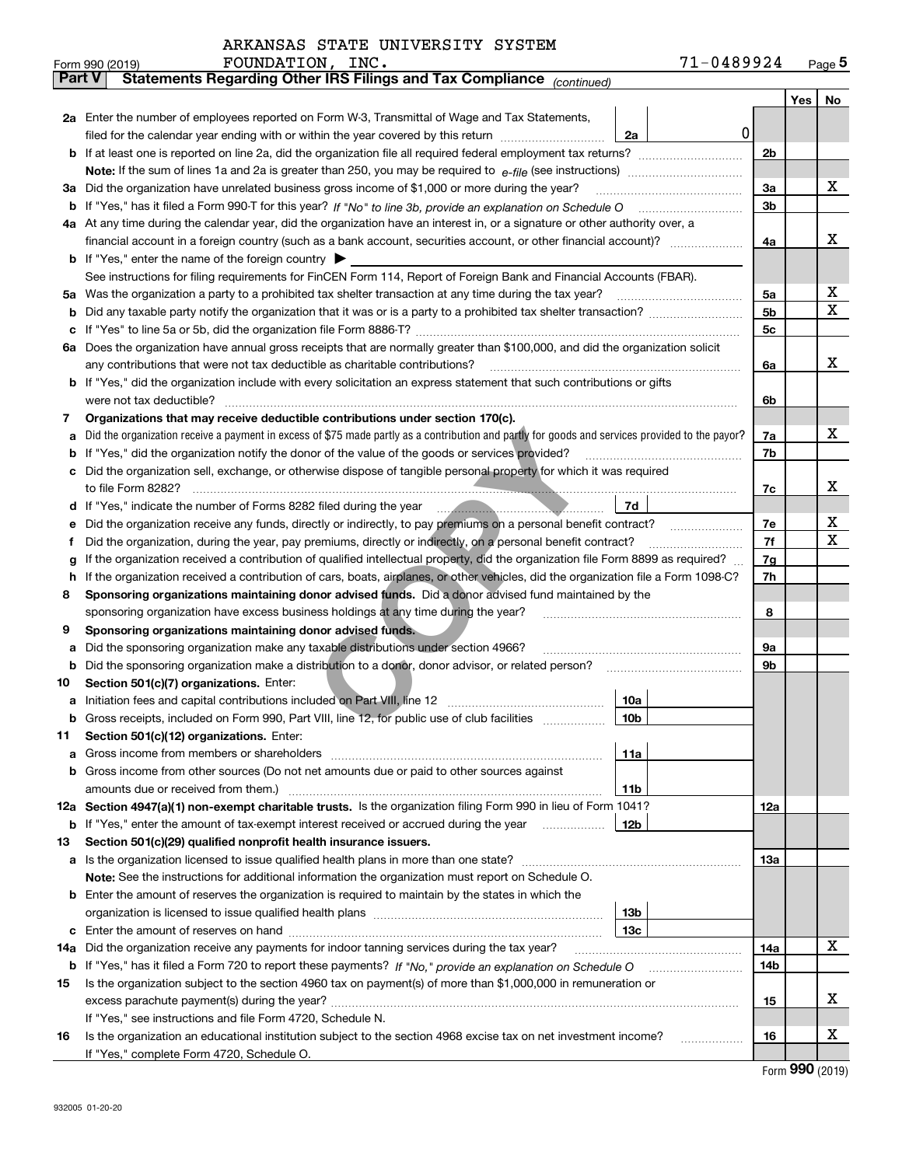| ARKANSAS STATE UNIVERSITY SYSTEM |
|----------------------------------|
|                                  |
|                                  |
|                                  |
|                                  |
|                                  |
|                                  |
|                                  |
|                                  |

|     | FOUNDATION, INC.<br>Form 990 (2019)                                                                                                                                           | 71-0489924     |         | $_{\text{Page}}$ 5 |
|-----|-------------------------------------------------------------------------------------------------------------------------------------------------------------------------------|----------------|---------|--------------------|
|     | Statements Regarding Other IRS Filings and Tax Compliance (continued)<br>Part V                                                                                               |                |         |                    |
|     |                                                                                                                                                                               |                | Yes $ $ | No                 |
|     | 2a Enter the number of employees reported on Form W-3, Transmittal of Wage and Tax Statements,                                                                                |                |         |                    |
|     | filed for the calendar year ending with or within the year covered by this return <i>manumumumum</i><br>2a                                                                    | 0              |         |                    |
|     |                                                                                                                                                                               | 2b             |         |                    |
|     |                                                                                                                                                                               |                |         |                    |
| За  | Did the organization have unrelated business gross income of \$1,000 or more during the year?                                                                                 | 3a             |         | х                  |
|     |                                                                                                                                                                               | 3b             |         |                    |
|     | 4a At any time during the calendar year, did the organization have an interest in, or a signature or other authority over, a                                                  |                |         |                    |
|     |                                                                                                                                                                               | 4a             |         | х                  |
|     | <b>b</b> If "Yes," enter the name of the foreign country $\blacktriangleright$                                                                                                |                |         |                    |
|     | See instructions for filing requirements for FinCEN Form 114, Report of Foreign Bank and Financial Accounts (FBAR).                                                           |                |         |                    |
| 5a  | Was the organization a party to a prohibited tax shelter transaction at any time during the tax year?                                                                         | 5a             |         | x                  |
| b   |                                                                                                                                                                               | 5 <sub>b</sub> |         | х                  |
| с   |                                                                                                                                                                               | 5c             |         |                    |
|     | 6a Does the organization have annual gross receipts that are normally greater than \$100,000, and did the organization solicit                                                |                |         |                    |
|     | any contributions that were not tax deductible as charitable contributions?                                                                                                   | 6a             |         | x                  |
|     | b If "Yes," did the organization include with every solicitation an express statement that such contributions or gifts                                                        |                |         |                    |
|     | were not tax deductible?                                                                                                                                                      | 6b             |         |                    |
| 7   | Organizations that may receive deductible contributions under section 170(c).                                                                                                 |                |         |                    |
| а   | Did the organization receive a payment in excess of \$75 made partly as a contribution and partly for goods and services provided to the payor?                               | 7a             |         | х                  |
| b   | If "Yes," did the organization notify the donor of the value of the goods or services provided?                                                                               | 7b             |         |                    |
|     | Did the organization sell, exchange, or otherwise dispose of tangible personal property for which it was required                                                             |                |         |                    |
|     |                                                                                                                                                                               | 7c             |         | х                  |
| d   | 7d                                                                                                                                                                            |                |         |                    |
| е   |                                                                                                                                                                               | 7e             |         | х                  |
| f   | Did the organization, during the year, pay premiums, directly or indirectly, on a personal benefit contract?                                                                  | 7f             |         | х                  |
| g   | If the organization received a contribution of qualified intellectual property, did the organization file Form 8899 as required?                                              | 7g             |         |                    |
| h   | If the organization received a contribution of cars, boats, airplanes, or other vehicles, did the organization file a Form 1098-C?                                            | 7h             |         |                    |
| 8   | Sponsoring organizations maintaining donor advised funds. Did a donor advised fund maintained by the                                                                          |                |         |                    |
|     | sponsoring organization have excess business holdings at any time during the year?                                                                                            | 8              |         |                    |
| 9   | Sponsoring organizations maintaining donor advised funds.                                                                                                                     |                |         |                    |
| а   | Did the sponsoring organization make any taxable distributions under section 4966?                                                                                            | 9а             |         |                    |
| b   | Did the sponsoring organization make a distribution to a donor, donor advisor, or related person?                                                                             | 9b             |         |                    |
| 10  | Section 501(c)(7) organizations. Enter:                                                                                                                                       |                |         |                    |
|     | Initiation fees and capital contributions included on Part VIII, line 12 [11] [11] [12] [11] [11] [12] [11] [1<br>10a                                                         |                |         |                    |
|     | 10 <sub>b</sub><br>Gross receipts, included on Form 990, Part VIII, line 12, for public use of club facilities                                                                |                |         |                    |
| 11  | Section 501(c)(12) organizations. Enter:                                                                                                                                      |                |         |                    |
| а   | Gross income from members or shareholders<br>11a                                                                                                                              |                |         |                    |
| b   | Gross income from other sources (Do not net amounts due or paid to other sources against                                                                                      |                |         |                    |
|     | 11 <sub>b</sub><br>12a Section 4947(a)(1) non-exempt charitable trusts. Is the organization filing Form 990 in lieu of Form 1041?                                             |                |         |                    |
|     |                                                                                                                                                                               | 12a            |         |                    |
|     | <b>b</b> If "Yes," enter the amount of tax-exempt interest received or accrued during the year<br>12b                                                                         |                |         |                    |
| 13  | Section 501(c)(29) qualified nonprofit health insurance issuers.                                                                                                              |                |         |                    |
| a   | Is the organization licensed to issue qualified health plans in more than one state?                                                                                          | 13а            |         |                    |
|     | Note: See the instructions for additional information the organization must report on Schedule O.                                                                             |                |         |                    |
| b   | Enter the amount of reserves the organization is required to maintain by the states in which the                                                                              |                |         |                    |
|     | 13b                                                                                                                                                                           |                |         |                    |
| с   | 13с                                                                                                                                                                           |                |         | x                  |
| 14a | Did the organization receive any payments for indoor tanning services during the tax year?                                                                                    | 14a            |         |                    |
|     | <b>b</b> If "Yes," has it filed a Form 720 to report these payments? If "No," provide an explanation on Schedule O                                                            | 14b            |         |                    |
| 15  | Is the organization subject to the section 4960 tax on payment(s) of more than \$1,000,000 in remuneration or                                                                 |                |         | X                  |
|     |                                                                                                                                                                               | 15             |         |                    |
| 16  | If "Yes," see instructions and file Form 4720, Schedule N.<br>Is the organization an educational institution subject to the section 4968 excise tax on net investment income? | 16             |         | х                  |
|     | If "Yes," complete Form 4720, Schedule O.                                                                                                                                     |                |         |                    |
|     |                                                                                                                                                                               |                |         |                    |

Form (2019) **990**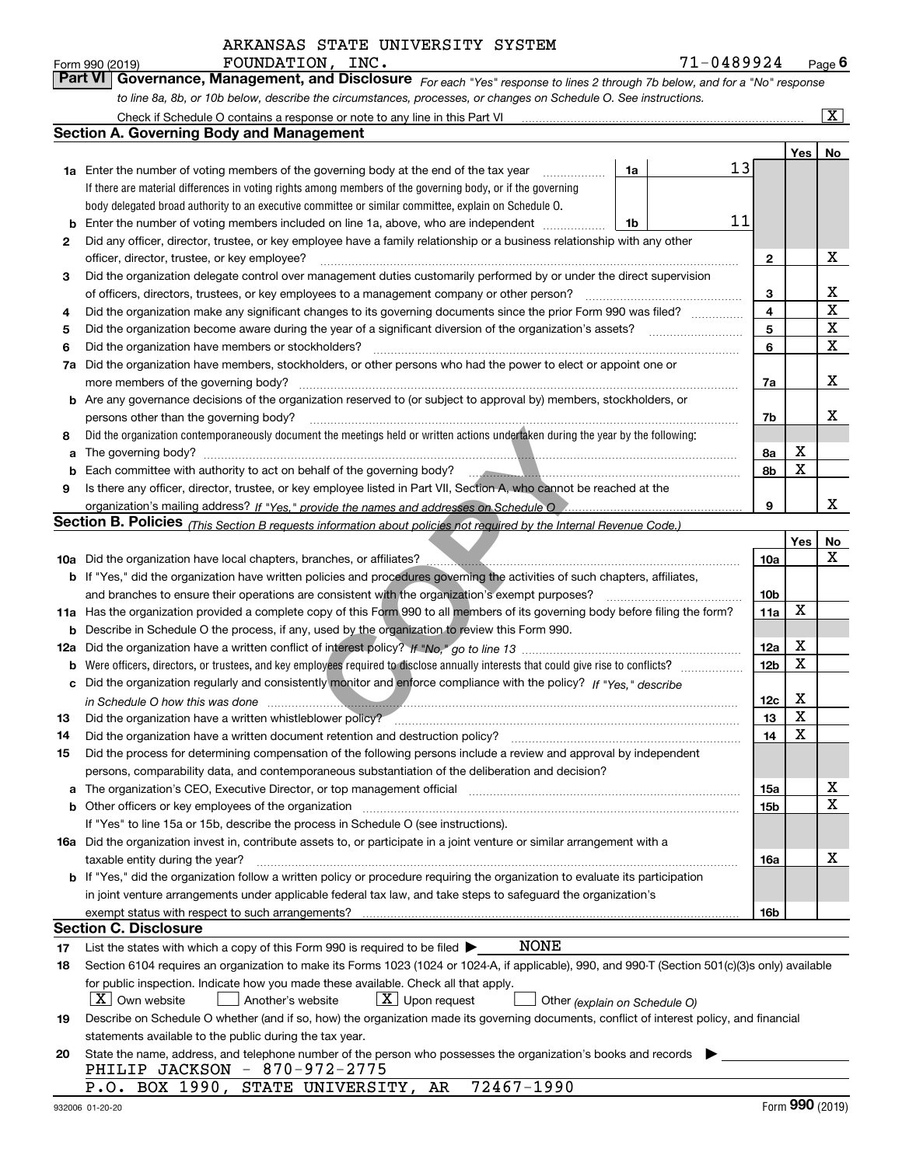|        | FOUNDATION, INC.<br>Form 990 (2019)                                                                                                                                                                                                                                                                                                |    | 71-0489924 |                 |                  | $Page$ 6                |
|--------|------------------------------------------------------------------------------------------------------------------------------------------------------------------------------------------------------------------------------------------------------------------------------------------------------------------------------------|----|------------|-----------------|------------------|-------------------------|
|        | <b>Part VI</b><br>Governance, Management, and Disclosure For each "Yes" response to lines 2 through 7b below, and for a "No" response                                                                                                                                                                                              |    |            |                 |                  |                         |
|        | to line 8a, 8b, or 10b below, describe the circumstances, processes, or changes on Schedule O. See instructions.                                                                                                                                                                                                                   |    |            |                 |                  |                         |
|        |                                                                                                                                                                                                                                                                                                                                    |    |            |                 |                  | $\overline{\mathbf{x}}$ |
|        | Section A. Governing Body and Management                                                                                                                                                                                                                                                                                           |    |            |                 |                  |                         |
|        |                                                                                                                                                                                                                                                                                                                                    |    |            |                 | Yes              | No                      |
|        | <b>1a</b> Enter the number of voting members of the governing body at the end of the tax year                                                                                                                                                                                                                                      | 1a | 13         |                 |                  |                         |
|        | If there are material differences in voting rights among members of the governing body, or if the governing                                                                                                                                                                                                                        |    |            |                 |                  |                         |
|        | body delegated broad authority to an executive committee or similar committee, explain on Schedule O.                                                                                                                                                                                                                              |    | 11         |                 |                  |                         |
| b      | Enter the number of voting members included on line 1a, above, who are independent                                                                                                                                                                                                                                                 | 1b |            |                 |                  |                         |
| 2      | Did any officer, director, trustee, or key employee have a family relationship or a business relationship with any other<br>officer, director, trustee, or key employee?                                                                                                                                                           |    |            | $\mathbf{2}$    |                  | х                       |
| 3      | Did the organization delegate control over management duties customarily performed by or under the direct supervision                                                                                                                                                                                                              |    |            |                 |                  |                         |
|        | of officers, directors, trustees, or key employees to a management company or other person?                                                                                                                                                                                                                                        |    |            | З               |                  | х                       |
| 4      | Did the organization make any significant changes to its governing documents since the prior Form 990 was filed?                                                                                                                                                                                                                   |    |            | 4               |                  | X                       |
| 5      | Did the organization become aware during the year of a significant diversion of the organization's assets?                                                                                                                                                                                                                         |    |            | 5               |                  | X                       |
| 6      | Did the organization have members or stockholders?                                                                                                                                                                                                                                                                                 |    |            | 6               |                  | $\mathbf X$             |
|        | 7a Did the organization have members, stockholders, or other persons who had the power to elect or appoint one or                                                                                                                                                                                                                  |    |            |                 |                  |                         |
|        | more members of the governing body?                                                                                                                                                                                                                                                                                                |    |            | 7a              |                  | х                       |
|        | <b>b</b> Are any governance decisions of the organization reserved to (or subject to approval by) members, stockholders, or                                                                                                                                                                                                        |    |            |                 |                  |                         |
|        | persons other than the governing body?                                                                                                                                                                                                                                                                                             |    |            | 7b              |                  | х                       |
| 8      | Did the organization contemporaneously document the meetings held or written actions underfaken during the year by the following:                                                                                                                                                                                                  |    |            |                 |                  |                         |
| a      |                                                                                                                                                                                                                                                                                                                                    |    |            | 8a              | X                |                         |
| b      | Each committee with authority to act on behalf of the governing body?                                                                                                                                                                                                                                                              |    |            | 8b              | x                |                         |
| 9      | Is there any officer, director, trustee, or key employee listed in Part VII, Section A, who cannot be reached at the                                                                                                                                                                                                               |    |            |                 |                  |                         |
|        |                                                                                                                                                                                                                                                                                                                                    |    |            | 9               |                  | x                       |
|        | Section B. Policies (This Section B requests information about policies not required by the Internal Revenue Code.)                                                                                                                                                                                                                |    |            |                 | Yes <sub>1</sub> | No                      |
|        | <b>10a</b> Did the organization have local chapters, branches, or affiliates?                                                                                                                                                                                                                                                      |    |            | 10a             |                  | х                       |
|        | b If "Yes," did the organization have written policies and procedures governing the activities of such chapters, affiliates,                                                                                                                                                                                                       |    |            |                 |                  |                         |
|        | and branches to ensure their operations are consistent with the organization's exempt purposes?                                                                                                                                                                                                                                    |    |            | 10 <sub>b</sub> |                  |                         |
|        | 11a Has the organization provided a complete copy of this Form 990 to all members of its governing body before filing the form?                                                                                                                                                                                                    |    |            | 11a             | х                |                         |
|        | <b>b</b> Describe in Schedule O the process, if any, used by the organization to review this Form 990.                                                                                                                                                                                                                             |    |            |                 |                  |                         |
|        |                                                                                                                                                                                                                                                                                                                                    |    |            | 12a             | X                |                         |
|        | <b>b</b> Were officers, directors, or trustees, and key employees required to disclose annually interests that could give rise to conflicts?                                                                                                                                                                                       |    |            | 12 <sub>b</sub> | x                |                         |
|        | c Did the organization regularly and consistently monitor and enforce compliance with the policy? If "Yes," describe                                                                                                                                                                                                               |    |            |                 |                  |                         |
|        | in Schedule O how this was done manufactured and a substitution of the state of the state of the state of the                                                                                                                                                                                                                      |    |            | 12c             | Χ                |                         |
| 13     | Did the organization have a written whistleblower policy?                                                                                                                                                                                                                                                                          |    |            | 13              | Y                |                         |
| 14     | Did the organization have a written document retention and destruction policy?                                                                                                                                                                                                                                                     |    |            | 14              | X                |                         |
| 15     | Did the process for determining compensation of the following persons include a review and approval by independent                                                                                                                                                                                                                 |    |            |                 |                  |                         |
|        | persons, comparability data, and contemporaneous substantiation of the deliberation and decision?<br>The organization's CEO, Executive Director, or top management official manufactured contains and contained a support of the Director, or top management official manufactured and contain a support of the state of the state |    |            | 15a             |                  | х                       |
| а<br>b |                                                                                                                                                                                                                                                                                                                                    |    |            | 15b             |                  | $\mathbf X$             |
|        | If "Yes" to line 15a or 15b, describe the process in Schedule O (see instructions).                                                                                                                                                                                                                                                |    |            |                 |                  |                         |
|        | 16a Did the organization invest in, contribute assets to, or participate in a joint venture or similar arrangement with a                                                                                                                                                                                                          |    |            |                 |                  |                         |
|        | taxable entity during the year?                                                                                                                                                                                                                                                                                                    |    |            | 16a             |                  | х                       |
|        | <b>b</b> If "Yes," did the organization follow a written policy or procedure requiring the organization to evaluate its participation                                                                                                                                                                                              |    |            |                 |                  |                         |
|        | in joint venture arrangements under applicable federal tax law, and take steps to safeguard the organization's                                                                                                                                                                                                                     |    |            |                 |                  |                         |
|        |                                                                                                                                                                                                                                                                                                                                    |    |            | 16b             |                  |                         |
|        | <b>Section C. Disclosure</b>                                                                                                                                                                                                                                                                                                       |    |            |                 |                  |                         |
| 17     | <b>NONE</b><br>List the states with which a copy of this Form 990 is required to be filed $\blacktriangleright$                                                                                                                                                                                                                    |    |            |                 |                  |                         |
| 18     | Section 6104 requires an organization to make its Forms 1023 (1024 or 1024-A, if applicable), 990, and 990-T (Section 501(c)(3)s only) available                                                                                                                                                                                   |    |            |                 |                  |                         |
|        | for public inspection. Indicate how you made these available. Check all that apply.                                                                                                                                                                                                                                                |    |            |                 |                  |                         |
|        | $X$ Own website<br>$\lfloor x \rfloor$ Upon request<br>Another's website<br>Other (explain on Schedule O)                                                                                                                                                                                                                          |    |            |                 |                  |                         |
| 19     | Describe on Schedule O whether (and if so, how) the organization made its governing documents, conflict of interest policy, and financial                                                                                                                                                                                          |    |            |                 |                  |                         |
|        | statements available to the public during the tax year.                                                                                                                                                                                                                                                                            |    |            |                 |                  |                         |

| 20 State the name, address, and telephone number of the person who possesses the organization's books and records |  |
|-------------------------------------------------------------------------------------------------------------------|--|
| PHILIP JACKSON - 870-972-2775                                                                                     |  |

|  |  | P.O. BOX 1990, STATE UNIVERSITY, AR 72467-1990 |  |
|--|--|------------------------------------------------|--|
|  |  |                                                |  |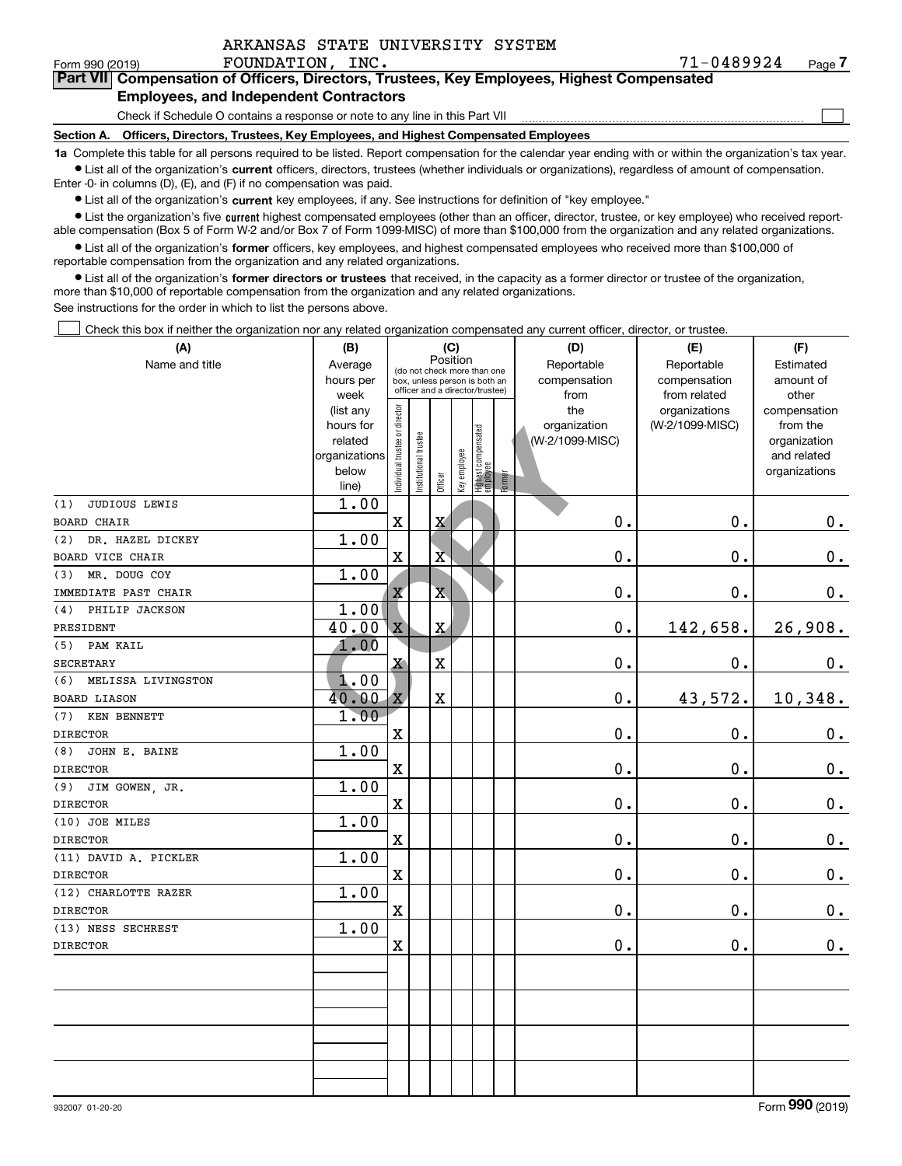|  | ARKANSAS STATE UNIVERSITY SYSTEM |  |
|--|----------------------------------|--|
|  |                                  |  |

 $\mathcal{L}^{\text{max}}$ 

| Form 990 (2019) | INC.<br>FOUNDATION,                                                                        | 71-0489924 | Page <i>I</i> |
|-----------------|--------------------------------------------------------------------------------------------|------------|---------------|
|                 | Part VII Compensation of Officers, Directors, Trustees, Key Employees, Highest Compensated |            |               |
|                 | <b>Employees and Independent Contractors</b>                                               |            |               |

### **Employees, and Independent Contractors**

Check if Schedule O contains a response or note to any line in this Part VII

**Section A. Officers, Directors, Trustees, Key Employees, and Highest Compensated Employees**

**1a**  Complete this table for all persons required to be listed. Report compensation for the calendar year ending with or within the organization's tax year. **•** List all of the organization's current officers, directors, trustees (whether individuals or organizations), regardless of amount of compensation.

Enter -0- in columns (D), (E), and (F) if no compensation was paid.

 $\bullet$  List all of the organization's  $\,$ current key employees, if any. See instructions for definition of "key employee."

• List the organization's five current highest compensated employees (other than an officer, director, trustee, or key employee) who received report-■ List the organization's five current highest compensated employees (other than an officer, director, trustee, or key employee) who received report-<br>able compensation (Box 5 of Form W-2 and/or Box 7 of Form 1099-MISC) of

**•** List all of the organization's former officers, key employees, and highest compensated employees who received more than \$100,000 of reportable compensation from the organization and any related organizations.

**former directors or trustees**  ¥ List all of the organization's that received, in the capacity as a former director or trustee of the organization, more than \$10,000 of reportable compensation from the organization and any related organizations.

See instructions for the order in which to list the persons above.

Check this box if neither the organization nor any related organization compensated any current officer, director, or trustee.  $\mathcal{L}^{\text{max}}$ 

| (A)                       | (B)                      | (C)                            |                                                                  |                                         |              |                                                |        | (D)             | (E)             | (F)                         |  |  |  |
|---------------------------|--------------------------|--------------------------------|------------------------------------------------------------------|-----------------------------------------|--------------|------------------------------------------------|--------|-----------------|-----------------|-----------------------------|--|--|--|
| Name and title            | Average                  |                                |                                                                  | Position<br>(do not check more than one |              |                                                |        | Reportable      | Reportable      | Estimated                   |  |  |  |
|                           | hours per                |                                | box, unless person is both an<br>officer and a director/trustee) |                                         |              |                                                |        | compensation    | compensation    | amount of                   |  |  |  |
|                           | week                     |                                |                                                                  |                                         |              |                                                |        | from            | from related    | other                       |  |  |  |
|                           | (list any                |                                |                                                                  |                                         |              |                                                |        | the             | organizations   | compensation                |  |  |  |
|                           | hours for                |                                |                                                                  |                                         |              |                                                |        | organization    | (W-2/1099-MISC) | from the                    |  |  |  |
|                           | related<br>organizations |                                |                                                                  |                                         |              |                                                |        | (W-2/1099-MISC) |                 | organization<br>and related |  |  |  |
|                           | below                    |                                |                                                                  |                                         |              |                                                |        |                 |                 | organizations               |  |  |  |
|                           | line)                    | Individual trustee or director | Institutional trustee                                            | Officer                                 | Key employee | Highest compensated<br>e <mark>mplo</mark> yee | Former |                 |                 |                             |  |  |  |
| JUDIOUS LEWIS<br>(1)      | 1.00                     |                                |                                                                  |                                         |              |                                                |        |                 |                 |                             |  |  |  |
| <b>BOARD CHAIR</b>        |                          | $\mathbf X$                    |                                                                  | $\mathbf{x}$                            |              |                                                |        | $\mathbf 0$ .   | $\mathbf 0$ .   | $0_{\cdot}$                 |  |  |  |
| DR. HAZEL DICKEY<br>(2)   | 1.00                     |                                |                                                                  |                                         |              |                                                |        |                 |                 |                             |  |  |  |
| BOARD VICE CHAIR          |                          | $\mathbf X$                    |                                                                  | $\overline{\mathbf{X}}$                 |              |                                                |        | $\mathbf 0$ .   | 0.              | $\mathbf 0$ .               |  |  |  |
| MR. DOUG COY<br>(3)       | 1.00                     |                                |                                                                  |                                         |              |                                                |        |                 |                 |                             |  |  |  |
| IMMEDIATE PAST CHAIR      |                          | $\overline{\mathbf{X}}$        |                                                                  | $\overline{\mathbf{X}}$                 |              |                                                |        | $0$ .           | $\mathbf 0$ .   | 0.                          |  |  |  |
| PHILIP JACKSON<br>(4)     | 1.00                     |                                |                                                                  |                                         |              |                                                |        |                 |                 |                             |  |  |  |
| PRESIDENT                 | 40.00                    | $\mathbf x$                    |                                                                  | $\overline{\mathbf{X}}$                 |              |                                                |        | $0$ .           | 142,658.        | 26,908.                     |  |  |  |
| (5) PAM KAIL              | 1.00                     |                                |                                                                  |                                         |              |                                                |        |                 |                 |                             |  |  |  |
| <b>SECRETARY</b>          |                          | $\mathbf{x}$                   |                                                                  | X                                       |              |                                                |        | 0.              | 0.              | $0_{.}$                     |  |  |  |
| (6)<br>MELISSA LIVINGSTON | 1.00                     |                                |                                                                  |                                         |              |                                                |        |                 |                 |                             |  |  |  |
| <b>BOARD LIASON</b>       | 40.00                    | X                              |                                                                  | X                                       |              |                                                |        | $\mathbf 0$ .   | 43,572.         | 10,348.                     |  |  |  |
| KEN BENNETT<br>(7)        | 1.00                     |                                |                                                                  |                                         |              |                                                |        |                 |                 |                             |  |  |  |
| <b>DIRECTOR</b>           |                          | $\mathbf X$                    |                                                                  |                                         |              |                                                |        | $\mathbf 0$ .   | $\mathbf 0$ .   | $0_{.}$                     |  |  |  |
| JOHN E. BAINE<br>(8)      | 1.00                     |                                |                                                                  |                                         |              |                                                |        |                 |                 |                             |  |  |  |
| <b>DIRECTOR</b>           |                          | $\mathbf X$                    |                                                                  |                                         |              |                                                |        | $\mathbf 0$ .   | 0.              | 0.                          |  |  |  |
| JIM GOWEN, JR.<br>(9)     | 1.00                     |                                |                                                                  |                                         |              |                                                |        |                 |                 |                             |  |  |  |
| <b>DIRECTOR</b>           |                          | $\mathbf x$                    |                                                                  |                                         |              |                                                |        | $\mathbf 0$ .   | 0.              | $\mathbf 0$ .               |  |  |  |
| (10) JOE MILES            | 1.00                     |                                |                                                                  |                                         |              |                                                |        |                 |                 |                             |  |  |  |
| <b>DIRECTOR</b>           |                          | $\mathbf X$                    |                                                                  |                                         |              |                                                |        | $\mathbf 0$ .   | 0.              | $\mathbf 0$ .               |  |  |  |
| (11) DAVID A. PICKLER     | 1.00                     |                                |                                                                  |                                         |              |                                                |        |                 |                 |                             |  |  |  |
| <b>DIRECTOR</b>           |                          | $\mathbf x$                    |                                                                  |                                         |              |                                                |        | $\mathbf 0$ .   | $\mathbf 0$ .   | $\mathbf 0$ .               |  |  |  |
| (12) CHARLOTTE RAZER      | 1.00                     |                                |                                                                  |                                         |              |                                                |        |                 |                 |                             |  |  |  |
| <b>DIRECTOR</b>           |                          | $\mathbf X$                    |                                                                  |                                         |              |                                                |        | 0.              | 0.              | 0.                          |  |  |  |
| (13) NESS SECHREST        | 1.00                     |                                |                                                                  |                                         |              |                                                |        |                 |                 |                             |  |  |  |
| <b>DIRECTOR</b>           |                          | $\mathbf x$                    |                                                                  |                                         |              |                                                |        | $0$ .           | $\mathbf 0$ .   | $0_{.}$                     |  |  |  |
|                           |                          |                                |                                                                  |                                         |              |                                                |        |                 |                 |                             |  |  |  |
|                           |                          |                                |                                                                  |                                         |              |                                                |        |                 |                 |                             |  |  |  |
|                           |                          |                                |                                                                  |                                         |              |                                                |        |                 |                 |                             |  |  |  |
|                           |                          |                                |                                                                  |                                         |              |                                                |        |                 |                 |                             |  |  |  |
|                           |                          |                                |                                                                  |                                         |              |                                                |        |                 |                 |                             |  |  |  |
|                           |                          |                                |                                                                  |                                         |              |                                                |        |                 |                 |                             |  |  |  |
|                           |                          |                                |                                                                  |                                         |              |                                                |        |                 |                 |                             |  |  |  |
|                           |                          |                                |                                                                  |                                         |              |                                                |        |                 |                 |                             |  |  |  |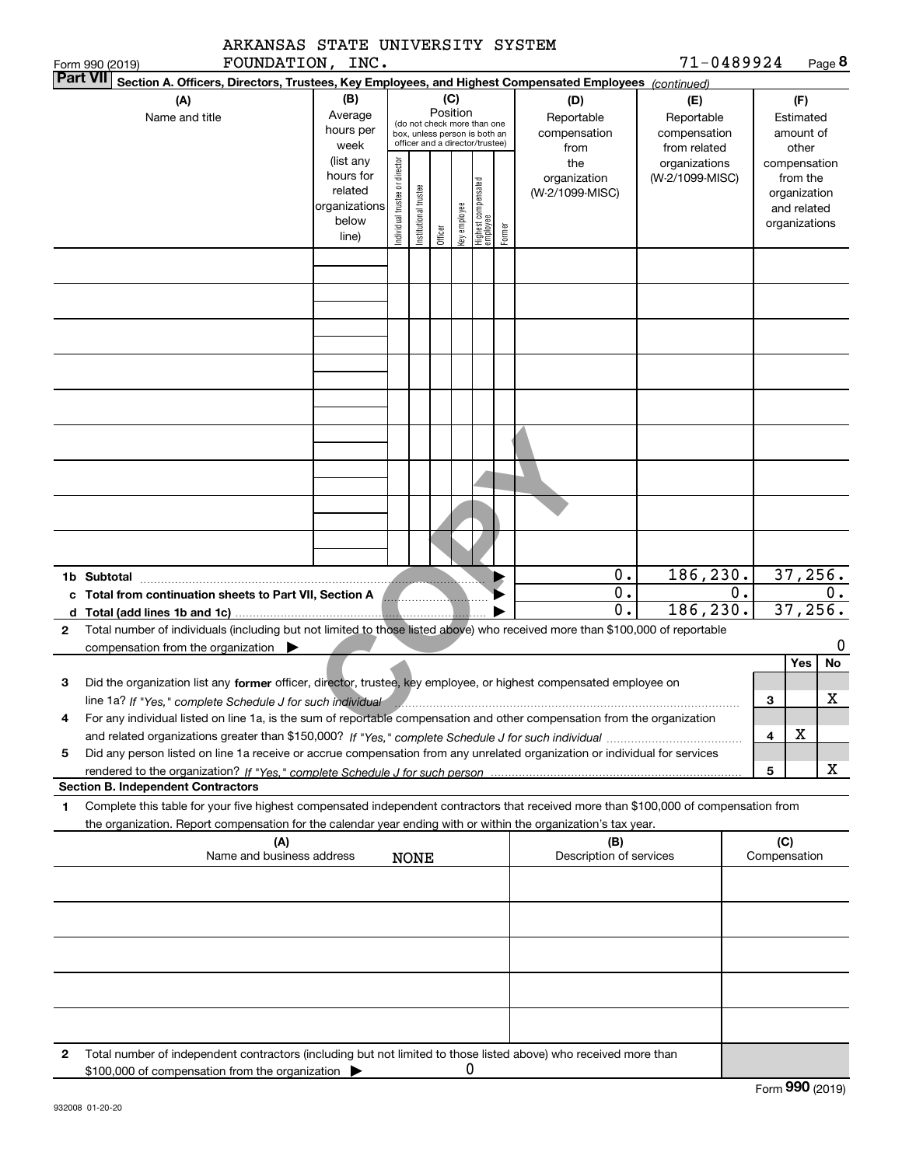|   | ARKANSAS STATE UNIVERSITY SYSTEM                                                                                                                                                                                                                                    |                                                                      |                                |                        |                 |              |                                                                                                 |        |                                                |                                                   |    |                     |                                                                          |                |
|---|---------------------------------------------------------------------------------------------------------------------------------------------------------------------------------------------------------------------------------------------------------------------|----------------------------------------------------------------------|--------------------------------|------------------------|-----------------|--------------|-------------------------------------------------------------------------------------------------|--------|------------------------------------------------|---------------------------------------------------|----|---------------------|--------------------------------------------------------------------------|----------------|
|   | FOUNDATION, INC.<br>Form 990 (2019)<br><b>Part VII</b>                                                                                                                                                                                                              |                                                                      |                                |                        |                 |              |                                                                                                 |        |                                                | 71-0489924                                        |    |                     |                                                                          | Page 8         |
|   | Section A. Officers, Directors, Trustees, Key Employees, and Highest Compensated Employees (continued)<br>(A)<br>Name and title                                                                                                                                     | (B)<br>Average<br>hours per<br>week                                  |                                |                        | (C)<br>Position |              | (do not check more than one<br>box, unless person is both an<br>officer and a director/trustee) |        | (D)<br>Reportable<br>compensation              | (E)<br>Reportable<br>compensation<br>from related |    |                     | (F)<br>Estimated<br>amount of<br>other                                   |                |
|   |                                                                                                                                                                                                                                                                     | (list any<br>hours for<br>related<br>organizations<br>below<br>line) | Individual trustee or director | In stitutional trustee | Officer         | Key employee | Highest compensated<br>  employee                                                               | Former | from<br>the<br>organization<br>(W-2/1099-MISC) | organizations<br>(W-2/1099-MISC)                  |    |                     | compensation<br>from the<br>organization<br>and related<br>organizations |                |
|   |                                                                                                                                                                                                                                                                     |                                                                      |                                |                        |                 |              |                                                                                                 |        |                                                |                                                   |    |                     |                                                                          |                |
|   |                                                                                                                                                                                                                                                                     |                                                                      |                                |                        |                 |              |                                                                                                 |        |                                                |                                                   |    |                     |                                                                          |                |
|   |                                                                                                                                                                                                                                                                     |                                                                      |                                |                        |                 |              |                                                                                                 |        |                                                |                                                   |    |                     |                                                                          |                |
|   |                                                                                                                                                                                                                                                                     |                                                                      |                                |                        |                 |              |                                                                                                 |        |                                                |                                                   |    |                     |                                                                          |                |
|   |                                                                                                                                                                                                                                                                     |                                                                      |                                |                        |                 |              |                                                                                                 |        |                                                |                                                   |    |                     |                                                                          |                |
|   |                                                                                                                                                                                                                                                                     |                                                                      |                                |                        |                 |              |                                                                                                 |        |                                                |                                                   |    |                     |                                                                          |                |
|   | 1b Subtotal                                                                                                                                                                                                                                                         |                                                                      |                                |                        |                 |              |                                                                                                 |        | 0.                                             | 186, 230.                                         |    |                     |                                                                          | 37,256.        |
|   | c Total from continuation sheets to Part VII, Section A<br>d $Total (add lines 1b and 1c)$ .                                                                                                                                                                        |                                                                      |                                |                        |                 |              |                                                                                                 |        | $\overline{0}$ .<br>$\overline{0}$ .           | 186, 230.                                         | 0. |                     |                                                                          | 0.<br>37, 256. |
| 2 | Total number of individuals (including but not limited to those listed above) who received more than \$100,000 of reportable<br>compensation from the organization                                                                                                  |                                                                      |                                |                        |                 |              |                                                                                                 |        |                                                |                                                   |    |                     | Yes                                                                      | 0<br>No        |
| з | Did the organization list any former officer, director, trustee, key employee, or highest compensated employee on<br>line 1a? If "Yes," complete Schedule J for such individual manufactured contains and the 1a? If "Yes," complete Schedule J for such individual |                                                                      |                                |                        |                 |              |                                                                                                 |        |                                                |                                                   |    | з                   |                                                                          | $\mathbf X$    |
| 4 | For any individual listed on line 1a, is the sum of reportable compensation and other compensation from the organization                                                                                                                                            |                                                                      |                                |                        |                 |              |                                                                                                 |        |                                                |                                                   |    | 4                   | х                                                                        |                |
| 5 | Did any person listed on line 1a receive or accrue compensation from any unrelated organization or individual for services                                                                                                                                          |                                                                      |                                |                        |                 |              |                                                                                                 |        |                                                |                                                   |    | 5                   |                                                                          | x              |
|   | <b>Section B. Independent Contractors</b>                                                                                                                                                                                                                           |                                                                      |                                |                        |                 |              |                                                                                                 |        |                                                |                                                   |    |                     |                                                                          |                |
| 1 | Complete this table for your five highest compensated independent contractors that received more than \$100,000 of compensation from<br>the organization. Report compensation for the calendar year ending with or within the organization's tax year.              |                                                                      |                                |                        |                 |              |                                                                                                 |        |                                                |                                                   |    |                     |                                                                          |                |
|   | (A)<br>Name and business address                                                                                                                                                                                                                                    |                                                                      |                                | <b>NONE</b>            |                 |              |                                                                                                 |        | (B)<br>Description of services                 |                                                   |    | (C)<br>Compensation |                                                                          |                |
|   |                                                                                                                                                                                                                                                                     |                                                                      |                                |                        |                 |              |                                                                                                 |        |                                                |                                                   |    |                     |                                                                          |                |
|   |                                                                                                                                                                                                                                                                     |                                                                      |                                |                        |                 |              |                                                                                                 |        |                                                |                                                   |    |                     |                                                                          |                |
|   |                                                                                                                                                                                                                                                                     |                                                                      |                                |                        |                 |              |                                                                                                 |        |                                                |                                                   |    |                     |                                                                          |                |
|   |                                                                                                                                                                                                                                                                     |                                                                      |                                |                        |                 |              |                                                                                                 |        |                                                |                                                   |    |                     |                                                                          |                |
| 2 | Total number of independent contractors (including but not limited to those listed above) who received more than<br>\$100,000 of compensation from the organization                                                                                                 |                                                                      |                                |                        |                 | 0            |                                                                                                 |        |                                                |                                                   |    |                     |                                                                          |                |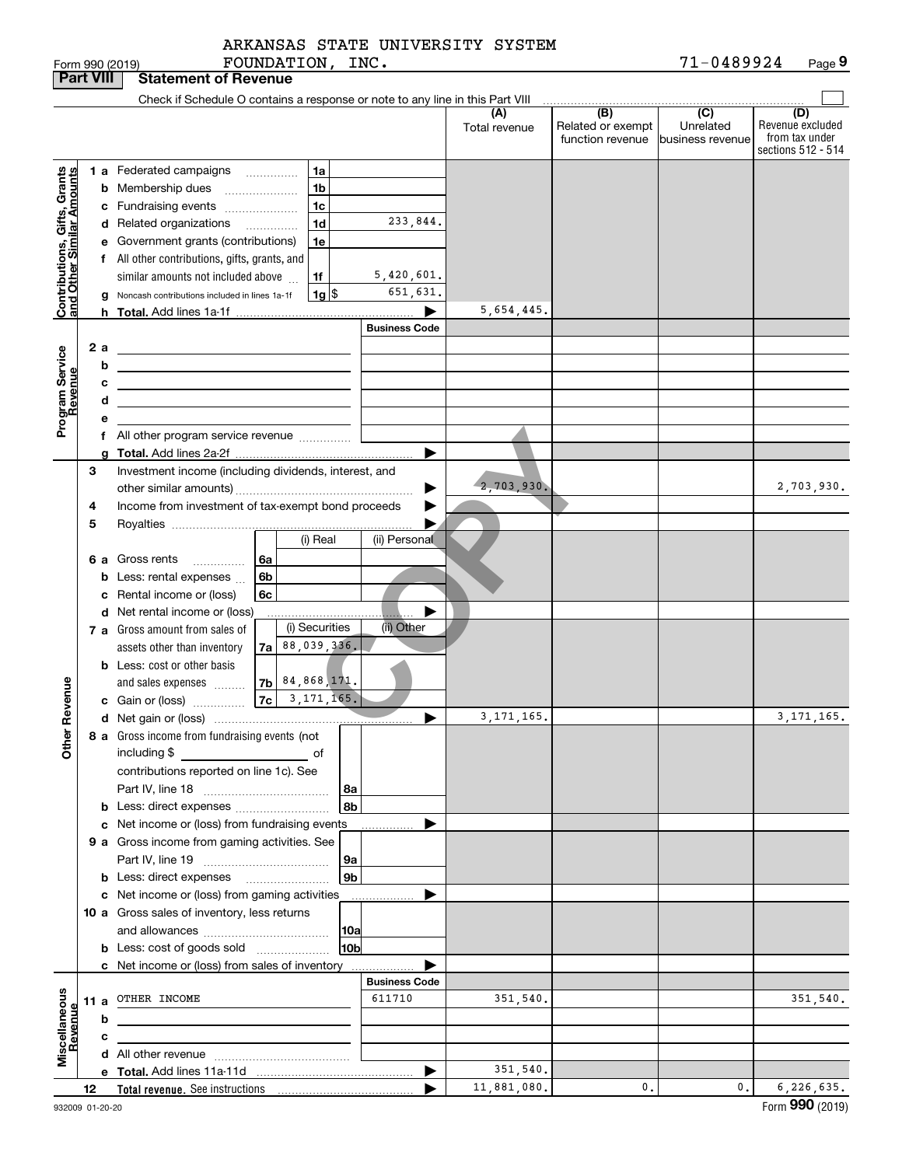|  | ARKANSAS STATE UNIVERSITY SYSTEM |  |
|--|----------------------------------|--|
|  |                                  |  |

| Form 990 (2019)                                           |    |    | FOUNDATION, INC.                                                              |            |                      |                                              | 71-0489924                                        | Page 9                                                          |
|-----------------------------------------------------------|----|----|-------------------------------------------------------------------------------|------------|----------------------|----------------------------------------------|---------------------------------------------------|-----------------------------------------------------------------|
| <b>Part VIII</b>                                          |    |    | <b>Statement of Revenue</b>                                                   |            |                      |                                              |                                                   |                                                                 |
|                                                           |    |    | Check if Schedule O contains a response or note to any line in this Part VIII |            |                      |                                              |                                                   |                                                                 |
|                                                           |    |    |                                                                               |            | (A)<br>Total revenue | (B)<br>Related or exempt<br>function revenue | $\overline{(C)}$<br>Unrelated<br>business revenue | (D)<br>Revenue excluded<br>from tax under<br>sections 512 - 514 |
|                                                           |    |    | 1a<br>1 a Federated campaigns                                                 |            |                      |                                              |                                                   |                                                                 |
| Contributions, Gifts, Grants<br>and Other Similar Amounts |    |    | 1 <sub>b</sub><br><b>b</b> Membership dues<br>$\overline{\phantom{a}}$        |            |                      |                                              |                                                   |                                                                 |
|                                                           |    |    | 1 <sub>c</sub><br>c Fundraising events                                        |            |                      |                                              |                                                   |                                                                 |
|                                                           |    |    | 1 <sub>d</sub><br>d Related organizations                                     | 233,844.   |                      |                                              |                                                   |                                                                 |
|                                                           |    |    | e Government grants (contributions)<br>1e                                     |            |                      |                                              |                                                   |                                                                 |
|                                                           |    |    | f All other contributions, gifts, grants, and                                 |            |                      |                                              |                                                   |                                                                 |
|                                                           |    |    | similar amounts not included above<br>1f                                      | 5,420,601. |                      |                                              |                                                   |                                                                 |
|                                                           |    |    | $1g$ $\frac{1}{3}$<br>g Noncash contributions included in lines 1a-1f         | 651,631.   |                      |                                              |                                                   |                                                                 |
|                                                           |    |    |                                                                               |            | 5,654,445.           |                                              |                                                   |                                                                 |
|                                                           |    |    | <b>Business Code</b>                                                          |            |                      |                                              |                                                   |                                                                 |
|                                                           | 2a |    | <u> 1980 - Johann Barbara, martxa alemaniar a</u>                             |            |                      |                                              |                                                   |                                                                 |
| Program Service<br>Revenue                                |    | b  |                                                                               |            |                      |                                              |                                                   |                                                                 |
|                                                           |    | c  |                                                                               |            |                      |                                              |                                                   |                                                                 |
|                                                           |    | d  | <u> 1989 - Johann Stein, mars an deus Amerikaansk kommunister (</u>           |            |                      |                                              |                                                   |                                                                 |
|                                                           |    | е  |                                                                               |            |                      |                                              |                                                   |                                                                 |
|                                                           |    |    |                                                                               |            |                      |                                              |                                                   |                                                                 |
|                                                           |    |    |                                                                               |            |                      |                                              |                                                   |                                                                 |
|                                                           | 3  |    | Investment income (including dividends, interest, and                         |            |                      |                                              |                                                   |                                                                 |
|                                                           |    |    |                                                                               |            | 2,703,930.           |                                              |                                                   | 2,703,930.                                                      |
|                                                           | 4  |    | Income from investment of tax-exempt bond proceeds                            |            |                      |                                              |                                                   |                                                                 |
|                                                           | 5  |    |                                                                               |            |                      |                                              |                                                   |                                                                 |
|                                                           |    |    | (i) Real<br>(ii) Personal                                                     |            |                      |                                              |                                                   |                                                                 |
|                                                           |    | 6а | Gross rents<br>l 6a                                                           |            |                      |                                              |                                                   |                                                                 |
|                                                           |    |    | 6 <sub>b</sub><br>Less: rental expenses                                       |            |                      |                                              |                                                   |                                                                 |
|                                                           |    |    | 6c<br>Rental income or (loss)                                                 |            |                      |                                              |                                                   |                                                                 |
|                                                           |    |    | d Net rental income or (loss)                                                 |            |                      |                                              |                                                   |                                                                 |
|                                                           |    |    | (i) Securities<br>(ii) Other<br>7 a Gross amount from sales of                |            |                      |                                              |                                                   |                                                                 |
|                                                           |    |    | 88,039,336.<br>7a<br>assets other than inventory                              |            |                      |                                              |                                                   |                                                                 |
|                                                           |    |    | <b>b</b> Less: cost or other basis                                            |            |                      |                                              |                                                   |                                                                 |
|                                                           |    |    | 7b   84, 868, 171.<br>and sales expenses                                      |            |                      |                                              |                                                   |                                                                 |
| evenue                                                    |    |    | $ 7c $ 3, 171, 165.<br>c Gain or (loss)                                       |            |                      |                                              |                                                   |                                                                 |
| č                                                         |    |    |                                                                               |            | 3, 171, 165.         |                                              |                                                   | 3, 171, 165.                                                    |
| Other                                                     |    |    | 8 a Gross income from fundraising events (not                                 |            |                      |                                              |                                                   |                                                                 |
|                                                           |    |    | including \$                                                                  |            |                      |                                              |                                                   |                                                                 |
|                                                           |    |    | contributions reported on line 1c). See                                       |            |                      |                                              |                                                   |                                                                 |
|                                                           |    |    | 8a                                                                            |            |                      |                                              |                                                   |                                                                 |
|                                                           |    |    | 8b<br><b>b</b> Less: direct expenses                                          |            |                      |                                              |                                                   |                                                                 |
|                                                           |    |    | c Net income or (loss) from fundraising events                                |            |                      |                                              |                                                   |                                                                 |
|                                                           |    |    | 9 a Gross income from gaming activities. See                                  |            |                      |                                              |                                                   |                                                                 |
|                                                           |    |    | 9a                                                                            |            |                      |                                              |                                                   |                                                                 |
|                                                           |    |    | 9b                                                                            |            |                      |                                              |                                                   |                                                                 |
|                                                           |    |    | c Net income or (loss) from gaming activities                                 |            |                      |                                              |                                                   |                                                                 |
|                                                           |    |    | 10 a Gross sales of inventory, less returns                                   |            |                      |                                              |                                                   |                                                                 |
|                                                           |    |    | 10a<br>10b                                                                    |            |                      |                                              |                                                   |                                                                 |
|                                                           |    |    | <b>b</b> Less: cost of goods sold                                             |            |                      |                                              |                                                   |                                                                 |
|                                                           |    |    | c Net income or (loss) from sales of inventory<br><b>Business Code</b>        |            |                      |                                              |                                                   |                                                                 |
|                                                           |    |    | 611710<br>11 a OTHER INCOME                                                   |            | 351,540.             |                                              |                                                   | 351,540.                                                        |
|                                                           |    | b  |                                                                               |            |                      |                                              |                                                   |                                                                 |
| Miscellaneous<br>Revenue                                  |    | с  |                                                                               |            |                      |                                              |                                                   |                                                                 |
|                                                           |    |    |                                                                               |            |                      |                                              |                                                   |                                                                 |
|                                                           |    |    |                                                                               | ▶          | 351,540.             |                                              |                                                   |                                                                 |
|                                                           | 12 |    | Total revenue. See instructions [100] [101] Total revenue. See instructions   |            | 11,881,080.          | 0.                                           | $\mathbf{0}$ .                                    | 6, 226, 635.                                                    |
| 932009 01-20-20                                           |    |    |                                                                               |            |                      |                                              |                                                   | Form 990 (2019)                                                 |
|                                                           |    |    |                                                                               |            |                      |                                              |                                                   |                                                                 |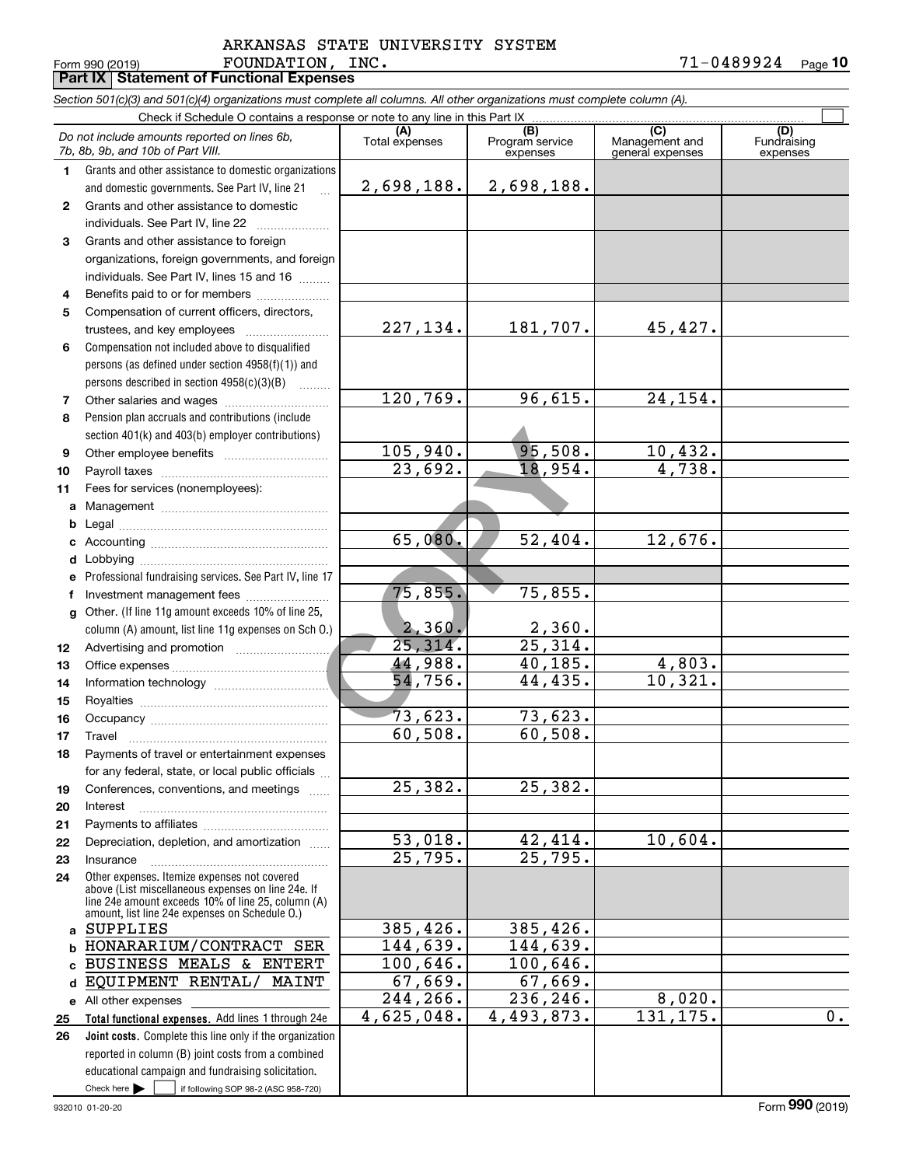#### Form 990 (2019) Page **Part IX Statement of Functional Expenses**  ${\tt FOUNDATION}$ ,  ${\tt INC.}$   ${\tt 71-0489924}$ ARKANSAS STATE UNIVERSITY SYSTEM

**10**

|              | Section 501(c)(3) and 501(c)(4) organizations must complete all columns. All other organizations must complete column (A).                                                                                 |                       |                                    |                                           |                                |  |  |  |  |  |  |  |  |
|--------------|------------------------------------------------------------------------------------------------------------------------------------------------------------------------------------------------------------|-----------------------|------------------------------------|-------------------------------------------|--------------------------------|--|--|--|--|--|--|--|--|
|              | Check if Schedule O contains a response or note to any line in this Part IX                                                                                                                                |                       |                                    |                                           |                                |  |  |  |  |  |  |  |  |
|              | Do not include amounts reported on lines 6b,<br>7b, 8b, 9b, and 10b of Part VIII.                                                                                                                          | (A)<br>Total expenses | (B)<br>Program service<br>expenses | (C)<br>Management and<br>general expenses | (D)<br>Fundraising<br>expenses |  |  |  |  |  |  |  |  |
| $\mathbf 1$  | Grants and other assistance to domestic organizations                                                                                                                                                      |                       |                                    |                                           |                                |  |  |  |  |  |  |  |  |
|              | and domestic governments. See Part IV, line 21                                                                                                                                                             | 2,698,188.            | 2,698,188.                         |                                           |                                |  |  |  |  |  |  |  |  |
| $\mathbf{2}$ | Grants and other assistance to domestic                                                                                                                                                                    |                       |                                    |                                           |                                |  |  |  |  |  |  |  |  |
|              | individuals. See Part IV, line 22                                                                                                                                                                          |                       |                                    |                                           |                                |  |  |  |  |  |  |  |  |
| 3            | Grants and other assistance to foreign                                                                                                                                                                     |                       |                                    |                                           |                                |  |  |  |  |  |  |  |  |
|              | organizations, foreign governments, and foreign                                                                                                                                                            |                       |                                    |                                           |                                |  |  |  |  |  |  |  |  |
|              | individuals. See Part IV, lines 15 and 16                                                                                                                                                                  |                       |                                    |                                           |                                |  |  |  |  |  |  |  |  |
| 4            | Benefits paid to or for members                                                                                                                                                                            |                       |                                    |                                           |                                |  |  |  |  |  |  |  |  |
| 5            | Compensation of current officers, directors,                                                                                                                                                               |                       |                                    |                                           |                                |  |  |  |  |  |  |  |  |
|              | trustees, and key employees                                                                                                                                                                                | 227,134.              | 181,707.                           | 45,427.                                   |                                |  |  |  |  |  |  |  |  |
| 6            | Compensation not included above to disqualified                                                                                                                                                            |                       |                                    |                                           |                                |  |  |  |  |  |  |  |  |
|              | persons (as defined under section 4958(f)(1)) and                                                                                                                                                          |                       |                                    |                                           |                                |  |  |  |  |  |  |  |  |
|              | persons described in section $4958(c)(3)(B)$                                                                                                                                                               |                       |                                    |                                           |                                |  |  |  |  |  |  |  |  |
| 7            | Other salaries and wages                                                                                                                                                                                   | 120,769.              | 96,615.                            | 24,154.                                   |                                |  |  |  |  |  |  |  |  |
| 8            | Pension plan accruals and contributions (include                                                                                                                                                           |                       |                                    |                                           |                                |  |  |  |  |  |  |  |  |
|              | section 401(k) and 403(b) employer contributions)                                                                                                                                                          |                       |                                    |                                           |                                |  |  |  |  |  |  |  |  |
| 9            |                                                                                                                                                                                                            | 105,940.              | 95,508.                            | $\frac{10,432.}{4,738.}$                  |                                |  |  |  |  |  |  |  |  |
| 10           |                                                                                                                                                                                                            | 23,692.               | 18,954.                            |                                           |                                |  |  |  |  |  |  |  |  |
| 11           | Fees for services (nonemployees):                                                                                                                                                                          |                       |                                    |                                           |                                |  |  |  |  |  |  |  |  |
| a            |                                                                                                                                                                                                            |                       |                                    |                                           |                                |  |  |  |  |  |  |  |  |
| b            |                                                                                                                                                                                                            |                       |                                    |                                           |                                |  |  |  |  |  |  |  |  |
| c            |                                                                                                                                                                                                            | 65,080.               | 52,404.                            | 12,676.                                   |                                |  |  |  |  |  |  |  |  |
| d            |                                                                                                                                                                                                            |                       |                                    |                                           |                                |  |  |  |  |  |  |  |  |
| e            | Professional fundraising services. See Part IV, line 17                                                                                                                                                    | 75,855.               | 75,855.                            |                                           |                                |  |  |  |  |  |  |  |  |
| f            | Investment management fees                                                                                                                                                                                 |                       |                                    |                                           |                                |  |  |  |  |  |  |  |  |
| g            | Other. (If line 11g amount exceeds 10% of line 25,                                                                                                                                                         |                       |                                    |                                           |                                |  |  |  |  |  |  |  |  |
|              | column (A) amount, list line 11g expenses on Sch O.)                                                                                                                                                       | 2,360.<br>25,314.     | $\frac{2,360}{25,314}$             |                                           |                                |  |  |  |  |  |  |  |  |
| 12           |                                                                                                                                                                                                            | <u>44,988.</u>        | 40,185.                            |                                           |                                |  |  |  |  |  |  |  |  |
| 13           |                                                                                                                                                                                                            | 54,756.               | 44,435.                            | $\frac{4,803.}{10,321.}$                  |                                |  |  |  |  |  |  |  |  |
| 14<br>15     |                                                                                                                                                                                                            |                       |                                    |                                           |                                |  |  |  |  |  |  |  |  |
| 16           |                                                                                                                                                                                                            | 73,623.               | 73,623.                            |                                           |                                |  |  |  |  |  |  |  |  |
| 17           |                                                                                                                                                                                                            | 60,508.               | 60,508.                            |                                           |                                |  |  |  |  |  |  |  |  |
| 18           | Payments of travel or entertainment expenses                                                                                                                                                               |                       |                                    |                                           |                                |  |  |  |  |  |  |  |  |
|              | for any federal, state, or local public officials                                                                                                                                                          |                       |                                    |                                           |                                |  |  |  |  |  |  |  |  |
| 19           | Conferences, conventions, and meetings                                                                                                                                                                     | 25,382.               | 25,382.                            |                                           |                                |  |  |  |  |  |  |  |  |
| 20           | Interest                                                                                                                                                                                                   |                       |                                    |                                           |                                |  |  |  |  |  |  |  |  |
| 21           |                                                                                                                                                                                                            |                       |                                    |                                           |                                |  |  |  |  |  |  |  |  |
| 22           | Depreciation, depletion, and amortization                                                                                                                                                                  | 53,018.               | 42,414.                            | 10,604.                                   |                                |  |  |  |  |  |  |  |  |
| 23           | Insurance                                                                                                                                                                                                  | 25,795.               | 25,795.                            |                                           |                                |  |  |  |  |  |  |  |  |
| 24           | Other expenses. Itemize expenses not covered<br>above (List miscellaneous expenses on line 24e. If<br>line 24e amount exceeds 10% of line 25, column (A)<br>amount, list line 24e expenses on Schedule O.) |                       |                                    |                                           |                                |  |  |  |  |  |  |  |  |
| a            | <b>SUPPLIES</b>                                                                                                                                                                                            | 385,426.              | 385,426.                           |                                           |                                |  |  |  |  |  |  |  |  |
| b            | HONARARIUM/CONTRACT SER                                                                                                                                                                                    | 144,639.              | 144,639.                           |                                           |                                |  |  |  |  |  |  |  |  |
| C            | BUSINESS MEALS & ENTERT                                                                                                                                                                                    | 100,646.              | 100,646.                           |                                           |                                |  |  |  |  |  |  |  |  |
| d            | EQUIPMENT RENTAL/<br><b>MAINT</b>                                                                                                                                                                          | 67,669.               | 67,669.                            |                                           |                                |  |  |  |  |  |  |  |  |
| е            | All other expenses                                                                                                                                                                                         | 244,266.              | 236,246.                           | 8,020.                                    |                                |  |  |  |  |  |  |  |  |
| 25           | Total functional expenses. Add lines 1 through 24e                                                                                                                                                         | 4,625,048.            | 4,493,873.                         | 131,175.                                  | 0.                             |  |  |  |  |  |  |  |  |
| 26           | Joint costs. Complete this line only if the organization                                                                                                                                                   |                       |                                    |                                           |                                |  |  |  |  |  |  |  |  |
|              | reported in column (B) joint costs from a combined                                                                                                                                                         |                       |                                    |                                           |                                |  |  |  |  |  |  |  |  |
|              | educational campaign and fundraising solicitation.                                                                                                                                                         |                       |                                    |                                           |                                |  |  |  |  |  |  |  |  |
|              | Check here $\blacktriangleright$<br>if following SOP 98-2 (ASC 958-720)                                                                                                                                    |                       |                                    |                                           |                                |  |  |  |  |  |  |  |  |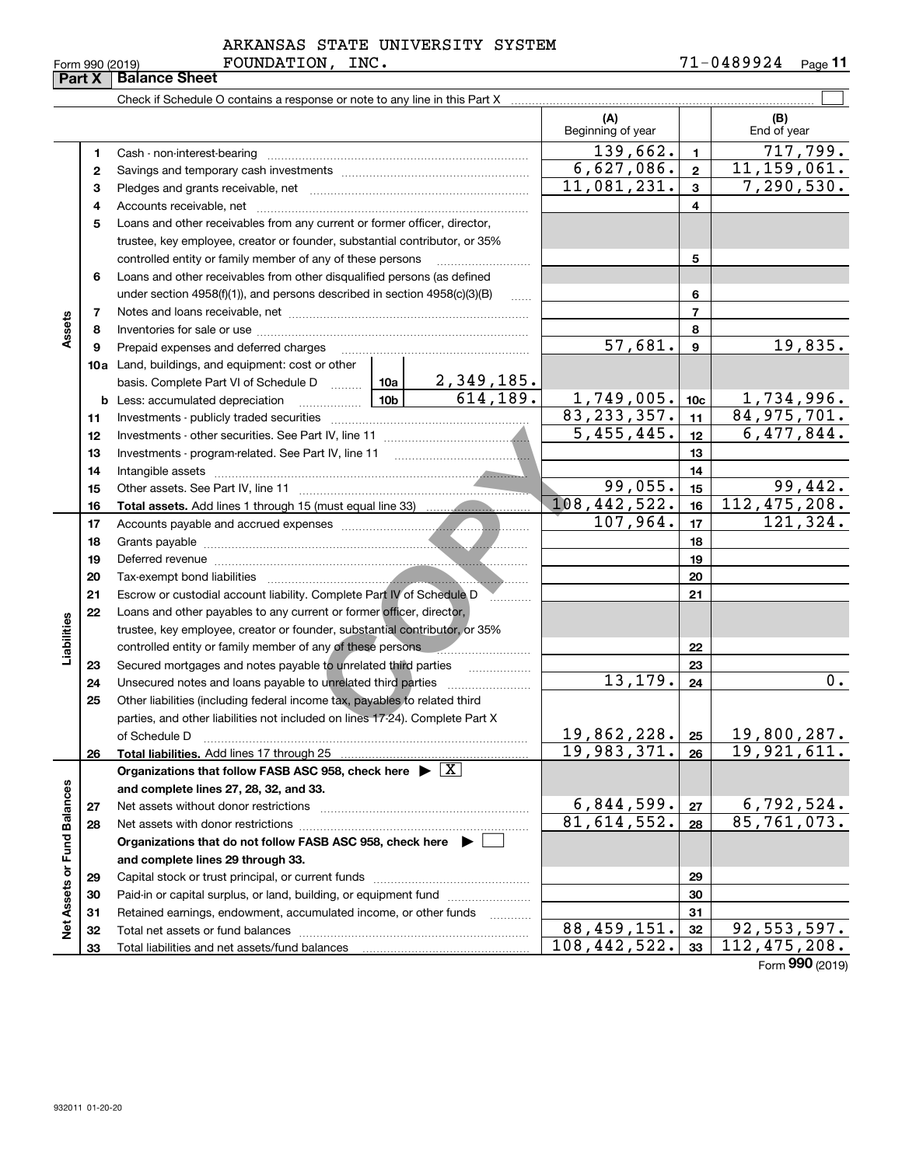|                             | UU UU U<br>Part X | <b>Balance Sheet</b>                                                                                                                                                                                                                 |                 |                               |                               |                          |                                  |
|-----------------------------|-------------------|--------------------------------------------------------------------------------------------------------------------------------------------------------------------------------------------------------------------------------------|-----------------|-------------------------------|-------------------------------|--------------------------|----------------------------------|
|                             |                   |                                                                                                                                                                                                                                      |                 |                               |                               |                          |                                  |
|                             |                   |                                                                                                                                                                                                                                      |                 |                               | (A)<br>Beginning of year      |                          | (B)<br>End of year               |
|                             | 1                 | Cash - non-interest-bearing                                                                                                                                                                                                          |                 |                               | 139,662.                      | $\mathbf{1}$             | 717,799.                         |
|                             | 2                 |                                                                                                                                                                                                                                      |                 |                               | 6,627,086.                    | $\mathbf 2$              | 11, 159, 061.                    |
|                             | 3                 |                                                                                                                                                                                                                                      |                 |                               | 11,081,231.                   | 3                        | 7, 290, 530.                     |
|                             | 4                 |                                                                                                                                                                                                                                      |                 |                               |                               | 4                        |                                  |
|                             | 5                 | Loans and other receivables from any current or former officer, director,                                                                                                                                                            |                 |                               |                               |                          |                                  |
|                             |                   | trustee, key employee, creator or founder, substantial contributor, or 35%                                                                                                                                                           |                 |                               |                               |                          |                                  |
|                             |                   | controlled entity or family member of any of these persons                                                                                                                                                                           |                 |                               |                               | 5                        |                                  |
|                             | 6                 | Loans and other receivables from other disqualified persons (as defined                                                                                                                                                              |                 |                               |                               |                          |                                  |
|                             |                   | under section $4958(f)(1)$ , and persons described in section $4958(c)(3)(B)$                                                                                                                                                        |                 |                               |                               | 6                        |                                  |
|                             | 7                 |                                                                                                                                                                                                                                      |                 |                               |                               | $\overline{\phantom{a}}$ |                                  |
| Assets                      | 8                 |                                                                                                                                                                                                                                      |                 |                               |                               | 8                        |                                  |
|                             | 9                 | Prepaid expenses and deferred charges                                                                                                                                                                                                |                 |                               | 57,681.                       | 9                        | 19,835.                          |
|                             |                   | <b>10a</b> Land, buildings, and equipment: cost or other                                                                                                                                                                             |                 |                               |                               |                          |                                  |
|                             |                   | basis. Complete Part VI of Schedule D  10a                                                                                                                                                                                           |                 | $\frac{2,349,185.}{614,189.}$ |                               |                          |                                  |
|                             |                   | <b>b</b> Less: accumulated depreciation                                                                                                                                                                                              | 10 <sub>b</sub> |                               | 1,749,005.                    | 10c                      | 1,734,996.                       |
|                             | 11                |                                                                                                                                                                                                                                      | 83, 233, 357.   | 11                            | 84,975,701.                   |                          |                                  |
|                             | 12                |                                                                                                                                                                                                                                      | 5,455,445.      | 12                            | 6,477,844.                    |                          |                                  |
|                             | 13                | Investments - program-related. See Part IV, line 11                                                                                                                                                                                  |                 |                               |                               | 13                       |                                  |
|                             | 14                |                                                                                                                                                                                                                                      |                 |                               |                               | 14                       |                                  |
|                             | 15                |                                                                                                                                                                                                                                      |                 |                               | 99,055.                       | 15                       | 99,442.                          |
|                             | 16                |                                                                                                                                                                                                                                      |                 |                               | 108,442,522.                  | 16                       | 112, 475, 208.                   |
|                             | 17                |                                                                                                                                                                                                                                      |                 |                               | 107,964.                      | 17                       | 121, 324.                        |
|                             | 18                |                                                                                                                                                                                                                                      |                 |                               |                               | 18                       |                                  |
|                             | 19                | Deferred revenue <b>contract and contract the contract of the contract of the contract of the contract of the contract of the contract of the contract of the contract of the contract of the contract of the contract of the co</b> |                 | 19                            |                               |                          |                                  |
|                             | 20                |                                                                                                                                                                                                                                      |                 | 20                            |                               |                          |                                  |
|                             | 21                | Escrow or custodial account liability. Complete Part IV of Schedule D                                                                                                                                                                |                 |                               |                               | 21                       |                                  |
|                             | 22                | Loans and other payables to any current or former officer, director,                                                                                                                                                                 |                 |                               |                               |                          |                                  |
| Liabilities                 |                   | trustee, key employee, creator or founder, substantial contributor, or 35%                                                                                                                                                           |                 |                               |                               |                          |                                  |
|                             |                   | controlled entity or family member of any of these persons                                                                                                                                                                           |                 |                               |                               | 22                       |                                  |
|                             | 23                | Secured mortgages and notes payable to unrelated third parties                                                                                                                                                                       |                 |                               | 13, 179.                      | 23                       | 0.                               |
|                             | 24                |                                                                                                                                                                                                                                      |                 |                               |                               | 24                       |                                  |
|                             | 25                | Other liabilities (including federal income tax, payables to related third                                                                                                                                                           |                 |                               |                               |                          |                                  |
|                             |                   | parties, and other liabilities not included on lines 17-24). Complete Part X                                                                                                                                                         |                 |                               | 19,862,228.                   | 25                       | 19,800,287.                      |
|                             | 26                | of Schedule D<br>Total liabilities. Add lines 17 through 25                                                                                                                                                                          |                 |                               | 19,983,371.                   | 26                       | 19,921,611.                      |
|                             |                   | Organizations that follow FASB ASC 958, check here $\blacktriangleright \boxed{X}$                                                                                                                                                   |                 |                               |                               |                          |                                  |
|                             |                   | and complete lines 27, 28, 32, and 33.                                                                                                                                                                                               |                 |                               |                               |                          |                                  |
|                             | 27                | Net assets without donor restrictions                                                                                                                                                                                                |                 |                               |                               | 27                       |                                  |
|                             | 28                |                                                                                                                                                                                                                                      |                 |                               | $6,844,599.$<br>$81,614,552.$ | 28                       | $\frac{6,792,524.}{85,761,073.}$ |
|                             |                   | Organizations that do not follow FASB ASC 958, check here $\blacktriangleright$                                                                                                                                                      |                 |                               |                               |                          |                                  |
|                             |                   | and complete lines 29 through 33.                                                                                                                                                                                                    |                 |                               |                               |                          |                                  |
|                             | 29                |                                                                                                                                                                                                                                      |                 |                               |                               | 29                       |                                  |
|                             | 30                | Paid-in or capital surplus, or land, building, or equipment fund                                                                                                                                                                     |                 |                               |                               | 30                       |                                  |
|                             | 31                | Retained earnings, endowment, accumulated income, or other funds                                                                                                                                                                     |                 | .                             |                               | 31                       |                                  |
| Net Assets or Fund Balances | 32                |                                                                                                                                                                                                                                      |                 |                               | 88, 459, 151.                 | 32                       | 92,553,597.                      |
|                             | 33                |                                                                                                                                                                                                                                      |                 |                               | 108,442,522.                  | 33                       | 112, 475, 208.                   |
|                             |                   |                                                                                                                                                                                                                                      |                 |                               |                               |                          | Form 990 (2019)                  |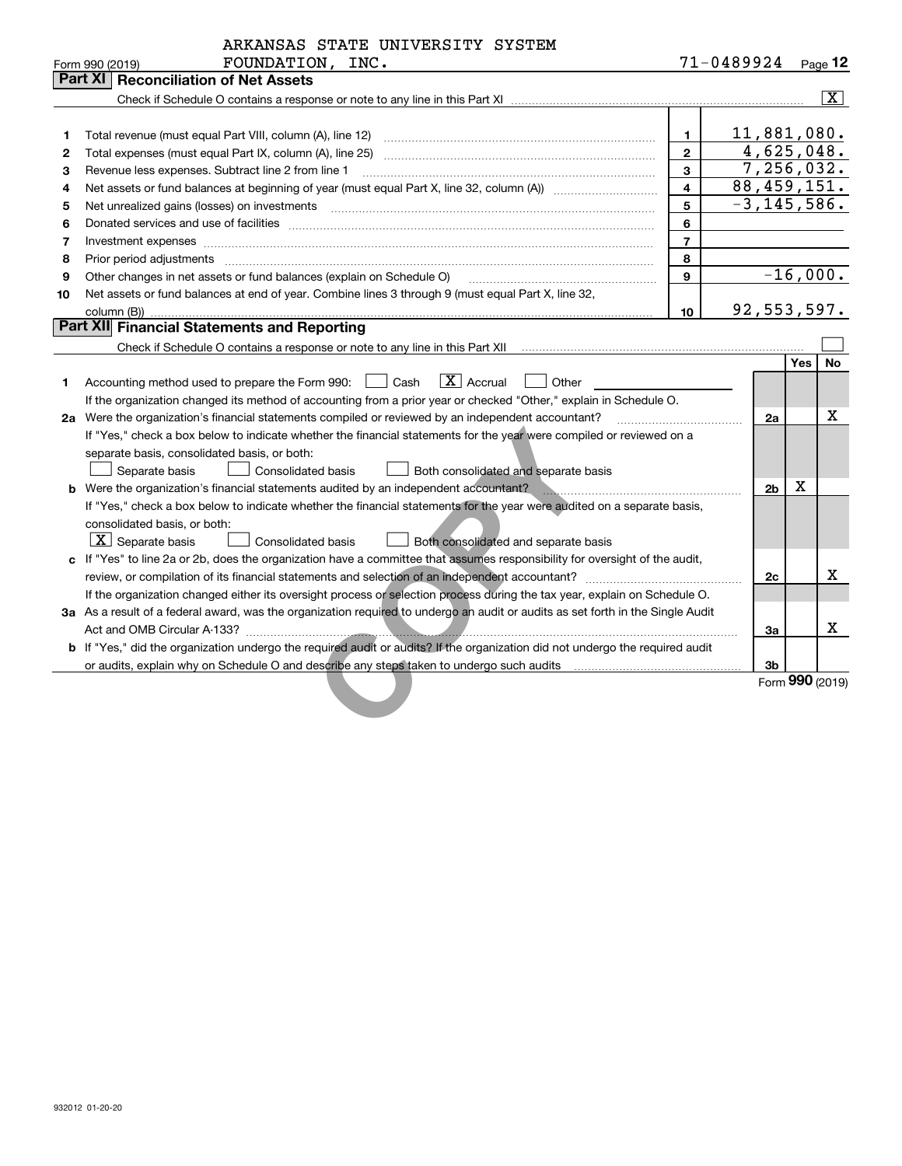|              | ARKANSAS STATE UNIVERSITY SYSTEM                                                                                                                                                                                                    |                |                           |            |                         |
|--------------|-------------------------------------------------------------------------------------------------------------------------------------------------------------------------------------------------------------------------------------|----------------|---------------------------|------------|-------------------------|
|              | FOUNDATION, INC.<br>Form 990 (2019)                                                                                                                                                                                                 |                | 71-0489924                |            | $Page$ 12               |
|              | <b>Part XI   Reconciliation of Net Assets</b>                                                                                                                                                                                       |                |                           |            |                         |
|              |                                                                                                                                                                                                                                     |                |                           |            | $\overline{\texttt{x}}$ |
| 1            |                                                                                                                                                                                                                                     | $\mathbf{1}$   | 11,881,080.               |            |                         |
| $\mathbf{2}$ |                                                                                                                                                                                                                                     | $\overline{2}$ | $\overline{4,625}$ , 048. |            |                         |
| 3            | Revenue less expenses. Subtract line 2 from line 1                                                                                                                                                                                  | 3              | 7,256,032.                |            |                         |
| 4            |                                                                                                                                                                                                                                     | 4              | 88, 459, 151.             |            |                         |
| 5            |                                                                                                                                                                                                                                     | 5              | $-3, 145, 586.$           |            |                         |
| 6            |                                                                                                                                                                                                                                     | 6              |                           |            |                         |
| 7            |                                                                                                                                                                                                                                     | $\overline{7}$ |                           |            |                         |
| 8            | Prior period adjustments                                                                                                                                                                                                            | 8              |                           |            |                         |
| 9            | Other changes in net assets or fund balances (explain on Schedule O)                                                                                                                                                                | 9              |                           |            | $-16,000.$              |
| 10           | Net assets or fund balances at end of year. Combine lines 3 through 9 (must equal Part X, line 32,                                                                                                                                  |                |                           |            |                         |
|              |                                                                                                                                                                                                                                     | 10             | 92,553,597.               |            |                         |
|              | Part XII Financial Statements and Reporting                                                                                                                                                                                         |                |                           |            |                         |
|              | Check if Schedule O contains a response or note to any line in this Part XII <i>manumano contained in section</i> contains and the section of the section of the section of the section of the section of the section of the sectio |                |                           |            |                         |
|              |                                                                                                                                                                                                                                     |                |                           | <b>Yes</b> | <b>No</b>               |
| 1            | Accounting method used to prepare the Form 990: $\Box$ Cash $\boxed{X}$ Accrual $\Box$ Other                                                                                                                                        |                |                           |            |                         |
|              | If the organization changed its method of accounting from a prior year or checked "Other," explain in Schedule O.                                                                                                                   |                |                           |            |                         |
|              |                                                                                                                                                                                                                                     |                | 2a                        |            | х                       |
|              | If "Yes," check a box below to indicate whether the financial statements for the year were compiled or reviewed on a                                                                                                                |                |                           |            |                         |
|              | separate basis, consolidated basis, or both:                                                                                                                                                                                        |                |                           |            |                         |
|              | Separate basis<br>Consolidated basis<br>Both consolidated and separate basis                                                                                                                                                        |                |                           |            |                         |
|              |                                                                                                                                                                                                                                     |                | 2 <sub>b</sub>            | x          |                         |
|              | If "Yes," check a box below to indicate whether the financial statements for the year were audited on a separate basis,                                                                                                             |                |                           |            |                         |
|              | consolidated basis, or both:                                                                                                                                                                                                        |                |                           |            |                         |
|              | $\boxed{\textbf{X}}$ Separate basis<br>Consolidated basis<br>Both consolidated and separate basis                                                                                                                                   |                |                           |            |                         |
|              | c If "Yes" to line 2a or 2b, does the organization have a committee that assumes responsibility for oversight of the audit,                                                                                                         |                |                           |            |                         |
|              |                                                                                                                                                                                                                                     |                | 2c                        |            | x.                      |
|              | If the organization changed either its oversight process or selection process during the tax year, explain on Schedule O.                                                                                                           |                |                           |            |                         |
|              | 3a As a result of a federal award, was the organization required to undergo an audit or audits as set forth in the Single Audit                                                                                                     |                |                           |            |                         |
|              |                                                                                                                                                                                                                                     |                | За                        |            | x.                      |
|              | b If "Yes," did the organization undergo the required audit or audits? If the organization did not undergo the required audit                                                                                                       |                |                           |            |                         |
|              |                                                                                                                                                                                                                                     |                | 3b                        |            |                         |
|              |                                                                                                                                                                                                                                     |                |                           |            | Form 990 (2019)         |
|              |                                                                                                                                                                                                                                     |                |                           |            |                         |
|              |                                                                                                                                                                                                                                     |                |                           |            |                         |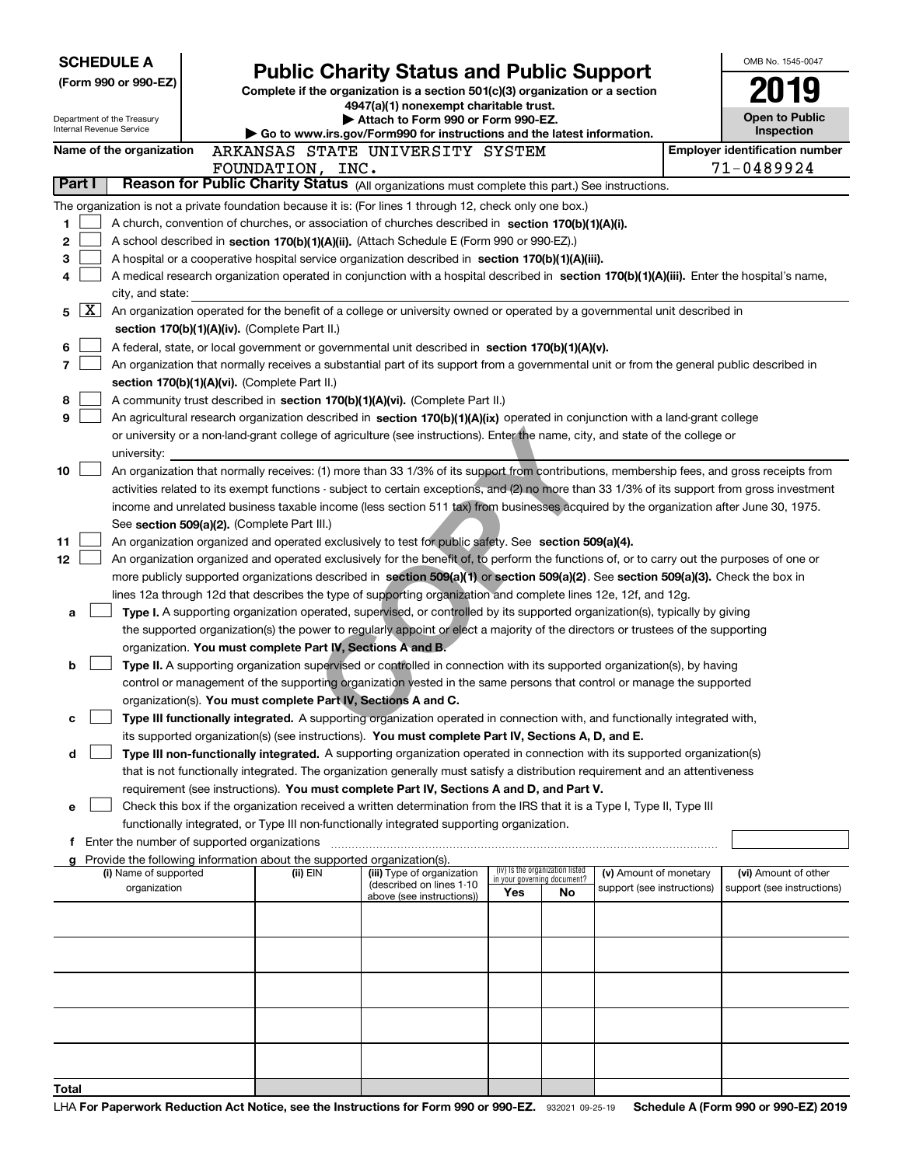| Internal Revenue Service | <b>SCHEDULE A</b><br>(Form 990 or 990-EZ)<br>Department of the Treasury                                                                   |  | <b>Public Charity Status and Public Support</b><br>Complete if the organization is a section 501(c)(3) organization or a section<br>4947(a)(1) nonexempt charitable trust.<br>Attach to Form 990 or Form 990-EZ. |                                                                                                                                                                                                                                                 | OMB No. 1545-0047<br>Open to Public<br>Inspection |                                 |                            |  |                                       |  |  |  |  |
|--------------------------|-------------------------------------------------------------------------------------------------------------------------------------------|--|------------------------------------------------------------------------------------------------------------------------------------------------------------------------------------------------------------------|-------------------------------------------------------------------------------------------------------------------------------------------------------------------------------------------------------------------------------------------------|---------------------------------------------------|---------------------------------|----------------------------|--|---------------------------------------|--|--|--|--|
|                          |                                                                                                                                           |  |                                                                                                                                                                                                                  | Go to www.irs.gov/Form990 for instructions and the latest information.                                                                                                                                                                          |                                                   |                                 |                            |  | <b>Employer identification number</b> |  |  |  |  |
|                          | Name of the organization                                                                                                                  |  | FOUNDATION, INC.                                                                                                                                                                                                 | ARKANSAS STATE UNIVERSITY SYSTEM                                                                                                                                                                                                                |                                                   |                                 |                            |  | 71-0489924                            |  |  |  |  |
| Part I                   |                                                                                                                                           |  |                                                                                                                                                                                                                  | Reason for Public Charity Status (All organizations must complete this part.) See instructions.                                                                                                                                                 |                                                   |                                 |                            |  |                                       |  |  |  |  |
|                          |                                                                                                                                           |  |                                                                                                                                                                                                                  | The organization is not a private foundation because it is: (For lines 1 through 12, check only one box.)                                                                                                                                       |                                                   |                                 |                            |  |                                       |  |  |  |  |
| 1                        |                                                                                                                                           |  |                                                                                                                                                                                                                  | A church, convention of churches, or association of churches described in section 170(b)(1)(A)(i).                                                                                                                                              |                                                   |                                 |                            |  |                                       |  |  |  |  |
| 2                        |                                                                                                                                           |  | A school described in section 170(b)(1)(A)(ii). (Attach Schedule E (Form 990 or 990-EZ).)                                                                                                                        |                                                                                                                                                                                                                                                 |                                                   |                                 |                            |  |                                       |  |  |  |  |
| з                        |                                                                                                                                           |  | A hospital or a cooperative hospital service organization described in section $170(b)(1)(A)(iii)$ .                                                                                                             |                                                                                                                                                                                                                                                 |                                                   |                                 |                            |  |                                       |  |  |  |  |
| 4                        |                                                                                                                                           |  |                                                                                                                                                                                                                  | A medical research organization operated in conjunction with a hospital described in section 170(b)(1)(A)(iii). Enter the hospital's name,                                                                                                      |                                                   |                                 |                            |  |                                       |  |  |  |  |
|                          | city, and state:                                                                                                                          |  |                                                                                                                                                                                                                  |                                                                                                                                                                                                                                                 |                                                   |                                 |                            |  |                                       |  |  |  |  |
| 5                        | $\mathbf{X}$<br>An organization operated for the benefit of a college or university owned or operated by a governmental unit described in |  |                                                                                                                                                                                                                  |                                                                                                                                                                                                                                                 |                                                   |                                 |                            |  |                                       |  |  |  |  |
|                          | section 170(b)(1)(A)(iv). (Complete Part II.)                                                                                             |  |                                                                                                                                                                                                                  |                                                                                                                                                                                                                                                 |                                                   |                                 |                            |  |                                       |  |  |  |  |
| 6                        | A federal, state, or local government or governmental unit described in section 170(b)(1)(A)(v).                                          |  |                                                                                                                                                                                                                  |                                                                                                                                                                                                                                                 |                                                   |                                 |                            |  |                                       |  |  |  |  |
| 7                        |                                                                                                                                           |  |                                                                                                                                                                                                                  | An organization that normally receives a substantial part of its support from a governmental unit or from the general public described in                                                                                                       |                                                   |                                 |                            |  |                                       |  |  |  |  |
|                          |                                                                                                                                           |  | section 170(b)(1)(A)(vi). (Complete Part II.)                                                                                                                                                                    |                                                                                                                                                                                                                                                 |                                                   |                                 |                            |  |                                       |  |  |  |  |
| 8                        |                                                                                                                                           |  |                                                                                                                                                                                                                  | A community trust described in section 170(b)(1)(A)(vi). (Complete Part II.)                                                                                                                                                                    |                                                   |                                 |                            |  |                                       |  |  |  |  |
| 9                        |                                                                                                                                           |  |                                                                                                                                                                                                                  | An agricultural research organization described in section 170(b)(1)(A)(ix) operated in conjunction with a land-grant college                                                                                                                   |                                                   |                                 |                            |  |                                       |  |  |  |  |
|                          |                                                                                                                                           |  |                                                                                                                                                                                                                  | or university or a non-land-grant college of agriculture (see instructions). Enter the name, city, and state of the college or                                                                                                                  |                                                   |                                 |                            |  |                                       |  |  |  |  |
|                          | university:                                                                                                                               |  |                                                                                                                                                                                                                  |                                                                                                                                                                                                                                                 |                                                   |                                 |                            |  |                                       |  |  |  |  |
| 10                       |                                                                                                                                           |  |                                                                                                                                                                                                                  | An organization that normally receives: (1) more than 33 1/3% of its support from contributions, membership fees, and gross receipts from                                                                                                       |                                                   |                                 |                            |  |                                       |  |  |  |  |
|                          |                                                                                                                                           |  | activities related to its exempt functions - subject to certain exceptions, and (2) no more than 33 1/3% of its support from gross investment                                                                    |                                                                                                                                                                                                                                                 |                                                   |                                 |                            |  |                                       |  |  |  |  |
|                          |                                                                                                                                           |  |                                                                                                                                                                                                                  | income and unrelated business taxable income (less section 511 tax) from businesses acquired by the organization after June 30, 1975.                                                                                                           |                                                   |                                 |                            |  |                                       |  |  |  |  |
|                          |                                                                                                                                           |  | See section 509(a)(2). (Complete Part III.)                                                                                                                                                                      |                                                                                                                                                                                                                                                 |                                                   |                                 |                            |  |                                       |  |  |  |  |
| 11                       |                                                                                                                                           |  |                                                                                                                                                                                                                  | An organization organized and operated exclusively to test for public safety. See section 509(a)(4).                                                                                                                                            |                                                   |                                 |                            |  |                                       |  |  |  |  |
| 12                       |                                                                                                                                           |  |                                                                                                                                                                                                                  | An organization organized and operated exclusively for the benefit of, to perform the functions of, or to carry out the purposes of one or                                                                                                      |                                                   |                                 |                            |  |                                       |  |  |  |  |
|                          |                                                                                                                                           |  |                                                                                                                                                                                                                  | more publicly supported organizations described in section 509(a)(1) or section 509(a)(2). See section 509(a)(3). Check the box in                                                                                                              |                                                   |                                 |                            |  |                                       |  |  |  |  |
|                          |                                                                                                                                           |  |                                                                                                                                                                                                                  | lines 12a through 12d that describes the type of supporting organization and complete lines 12e, 12f, and 12g.                                                                                                                                  |                                                   |                                 |                            |  |                                       |  |  |  |  |
| a                        |                                                                                                                                           |  |                                                                                                                                                                                                                  | Type I. A supporting organization operated, supervised, or controlled by its supported organization(s), typically by giving                                                                                                                     |                                                   |                                 |                            |  |                                       |  |  |  |  |
|                          |                                                                                                                                           |  |                                                                                                                                                                                                                  | the supported organization(s) the power to regularly appoint or elect a majority of the directors or trustees of the supporting                                                                                                                 |                                                   |                                 |                            |  |                                       |  |  |  |  |
|                          |                                                                                                                                           |  | organization. You must complete Part IV, Sections A and B.                                                                                                                                                       |                                                                                                                                                                                                                                                 |                                                   |                                 |                            |  |                                       |  |  |  |  |
| b                        |                                                                                                                                           |  |                                                                                                                                                                                                                  | Type II. A supporting organization supervised or controlled in connection with its supported organization(s), by having<br>control or management of the supporting organization vested in the same persons that control or manage the supported |                                                   |                                 |                            |  |                                       |  |  |  |  |
|                          |                                                                                                                                           |  | organization(s). You must complete Part IV, Sections A and C.                                                                                                                                                    |                                                                                                                                                                                                                                                 |                                                   |                                 |                            |  |                                       |  |  |  |  |
| c                        |                                                                                                                                           |  |                                                                                                                                                                                                                  | Type III functionally integrated. A supporting organization operated in connection with, and functionally integrated with,                                                                                                                      |                                                   |                                 |                            |  |                                       |  |  |  |  |
|                          |                                                                                                                                           |  |                                                                                                                                                                                                                  | its supported organization(s) (see instructions). You must complete Part IV, Sections A, D, and E.                                                                                                                                              |                                                   |                                 |                            |  |                                       |  |  |  |  |
| d                        |                                                                                                                                           |  |                                                                                                                                                                                                                  | Type III non-functionally integrated. A supporting organization operated in connection with its supported organization(s)                                                                                                                       |                                                   |                                 |                            |  |                                       |  |  |  |  |
|                          |                                                                                                                                           |  |                                                                                                                                                                                                                  | that is not functionally integrated. The organization generally must satisfy a distribution requirement and an attentiveness                                                                                                                    |                                                   |                                 |                            |  |                                       |  |  |  |  |
|                          |                                                                                                                                           |  |                                                                                                                                                                                                                  | requirement (see instructions). You must complete Part IV, Sections A and D, and Part V.                                                                                                                                                        |                                                   |                                 |                            |  |                                       |  |  |  |  |
| е                        |                                                                                                                                           |  |                                                                                                                                                                                                                  | Check this box if the organization received a written determination from the IRS that it is a Type I, Type II, Type III                                                                                                                         |                                                   |                                 |                            |  |                                       |  |  |  |  |
|                          |                                                                                                                                           |  |                                                                                                                                                                                                                  | functionally integrated, or Type III non-functionally integrated supporting organization.                                                                                                                                                       |                                                   |                                 |                            |  |                                       |  |  |  |  |
|                          | Enter the number of supported organizations                                                                                               |  |                                                                                                                                                                                                                  |                                                                                                                                                                                                                                                 |                                                   |                                 |                            |  |                                       |  |  |  |  |
|                          |                                                                                                                                           |  | Provide the following information about the supported organization(s).                                                                                                                                           |                                                                                                                                                                                                                                                 |                                                   |                                 |                            |  |                                       |  |  |  |  |
|                          | (i) Name of supported                                                                                                                     |  | (ii) EIN                                                                                                                                                                                                         | (iii) Type of organization<br>(described on lines 1-10                                                                                                                                                                                          | in your governing document?                       | (iv) Is the organization listed | (v) Amount of monetary     |  | (vi) Amount of other                  |  |  |  |  |
|                          | organization                                                                                                                              |  |                                                                                                                                                                                                                  | above (see instructions))                                                                                                                                                                                                                       | Yes                                               | No                              | support (see instructions) |  | support (see instructions)            |  |  |  |  |
|                          |                                                                                                                                           |  |                                                                                                                                                                                                                  |                                                                                                                                                                                                                                                 |                                                   |                                 |                            |  |                                       |  |  |  |  |
|                          |                                                                                                                                           |  |                                                                                                                                                                                                                  |                                                                                                                                                                                                                                                 |                                                   |                                 |                            |  |                                       |  |  |  |  |
|                          |                                                                                                                                           |  |                                                                                                                                                                                                                  |                                                                                                                                                                                                                                                 |                                                   |                                 |                            |  |                                       |  |  |  |  |
|                          |                                                                                                                                           |  |                                                                                                                                                                                                                  |                                                                                                                                                                                                                                                 |                                                   |                                 |                            |  |                                       |  |  |  |  |
|                          |                                                                                                                                           |  |                                                                                                                                                                                                                  |                                                                                                                                                                                                                                                 |                                                   |                                 |                            |  |                                       |  |  |  |  |
|                          |                                                                                                                                           |  |                                                                                                                                                                                                                  |                                                                                                                                                                                                                                                 |                                                   |                                 |                            |  |                                       |  |  |  |  |
|                          |                                                                                                                                           |  |                                                                                                                                                                                                                  |                                                                                                                                                                                                                                                 |                                                   |                                 |                            |  |                                       |  |  |  |  |
|                          |                                                                                                                                           |  |                                                                                                                                                                                                                  |                                                                                                                                                                                                                                                 |                                                   |                                 |                            |  |                                       |  |  |  |  |
|                          |                                                                                                                                           |  |                                                                                                                                                                                                                  |                                                                                                                                                                                                                                                 |                                                   |                                 |                            |  |                                       |  |  |  |  |
| Total                    |                                                                                                                                           |  |                                                                                                                                                                                                                  |                                                                                                                                                                                                                                                 |                                                   |                                 |                            |  |                                       |  |  |  |  |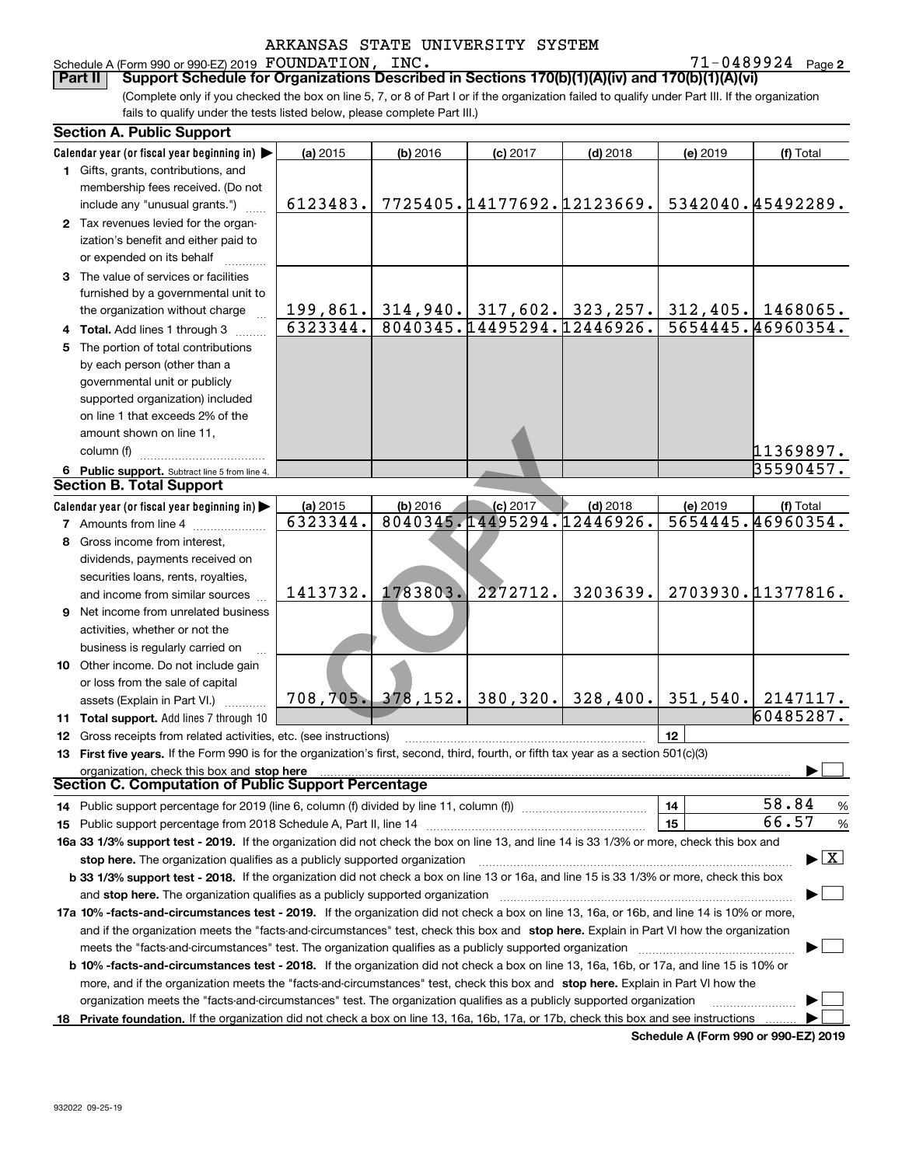#### Schedule A (Form 990 or 990-EZ) 2019 Page FOUNDATION, INC. 71-0489924

**Part II COPPORT Schedule for Organizations Described in Sections 170(b)(1)(A)(iv) and 170(b)(1)(A)(vi)** 

(Complete only if you checked the box on line 5, 7, or 8 of Part I or if the organization failed to qualify under Part III. If the organization fails to qualify under the tests listed below, please complete Part III.)

|    | <b>Section A. Public Support</b>                                                                                                               |           |              |                            |                                            |                                             |                                          |
|----|------------------------------------------------------------------------------------------------------------------------------------------------|-----------|--------------|----------------------------|--------------------------------------------|---------------------------------------------|------------------------------------------|
|    | Calendar year (or fiscal year beginning in)                                                                                                    | (a) 2015  | $(b)$ 2016   | $(c)$ 2017                 | $(d)$ 2018                                 | (e) 2019                                    | (f) Total                                |
|    | 1 Gifts, grants, contributions, and                                                                                                            |           |              |                            |                                            |                                             |                                          |
|    | membership fees received. (Do not                                                                                                              |           |              |                            |                                            |                                             |                                          |
|    | include any "unusual grants.")                                                                                                                 | 6123483.  |              | 7725405.14177692.12123669. |                                            |                                             | 5342040.45492289.                        |
|    | 2 Tax revenues levied for the organ-                                                                                                           |           |              |                            |                                            |                                             |                                          |
|    | ization's benefit and either paid to                                                                                                           |           |              |                            |                                            |                                             |                                          |
|    | or expended on its behalf                                                                                                                      |           |              |                            |                                            |                                             |                                          |
|    | 3 The value of services or facilities                                                                                                          |           |              |                            |                                            |                                             |                                          |
|    | furnished by a governmental unit to                                                                                                            |           |              |                            |                                            |                                             |                                          |
|    | the organization without charge                                                                                                                |           |              |                            | <u>199,861. 314,940. 317,602. 323,257.</u> |                                             | $312,405.$ 1468065.                      |
|    | 4 Total. Add lines 1 through 3                                                                                                                 | 6323344.  |              | 8040345.14495294.12446926. |                                            |                                             | 5654445.46960354.                        |
|    | 5 The portion of total contributions                                                                                                           |           |              |                            |                                            |                                             |                                          |
|    | by each person (other than a                                                                                                                   |           |              |                            |                                            |                                             |                                          |
|    | governmental unit or publicly                                                                                                                  |           |              |                            |                                            |                                             |                                          |
|    | supported organization) included                                                                                                               |           |              |                            |                                            |                                             |                                          |
|    | on line 1 that exceeds 2% of the                                                                                                               |           |              |                            |                                            |                                             |                                          |
|    | amount shown on line 11,                                                                                                                       |           |              |                            |                                            |                                             |                                          |
|    | column (f)                                                                                                                                     |           |              |                            |                                            |                                             | 11369897.                                |
|    | 6 Public support. Subtract line 5 from line 4.                                                                                                 |           |              |                            |                                            |                                             | 35590457.                                |
|    | <b>Section B. Total Support</b>                                                                                                                |           |              |                            |                                            |                                             |                                          |
|    | Calendar year (or fiscal year beginning in)                                                                                                    | (a) 2015  | (b) 2016     | (c) 2017                   | $(d)$ 2018                                 | (e) 2019                                    | (f) Total                                |
|    | <b>7</b> Amounts from line 4                                                                                                                   | 6323344.  |              | 8040345.14495294.12446926. |                                            |                                             | 5654445.46960354.                        |
|    | 8 Gross income from interest,                                                                                                                  |           |              |                            |                                            |                                             |                                          |
|    | dividends, payments received on                                                                                                                |           |              |                            |                                            |                                             |                                          |
|    | securities loans, rents, royalties,                                                                                                            |           |              |                            |                                            |                                             |                                          |
|    | and income from similar sources                                                                                                                | 1413732.  | 1783803.     | 2272712.                   | 3203639.                                   |                                             | 2703930.11377816.                        |
|    | <b>9</b> Net income from unrelated business                                                                                                    |           |              |                            |                                            |                                             |                                          |
|    | activities, whether or not the                                                                                                                 |           |              |                            |                                            |                                             |                                          |
|    | business is regularly carried on                                                                                                               |           |              |                            |                                            |                                             |                                          |
|    | 10 Other income. Do not include gain                                                                                                           |           |              |                            |                                            |                                             |                                          |
|    | or loss from the sale of capital                                                                                                               |           |              |                            |                                            |                                             |                                          |
|    | assets (Explain in Part VI.)                                                                                                                   | 708, 705. | $-378, 152.$ |                            | $380, 320.$ 328, 400.                      | 351,540.                                    | 2147117.                                 |
|    | <b>11 Total support.</b> Add lines 7 through 10                                                                                                |           |              |                            |                                            |                                             | 60485287.                                |
|    | 12 Gross receipts from related activities, etc. (see instructions)                                                                             |           |              |                            |                                            | 12                                          |                                          |
|    | 13 First five years. If the Form 990 is for the organization's first, second, third, fourth, or fifth tax year as a section 501(c)(3)          |           |              |                            |                                            |                                             |                                          |
|    | organization, check this box and stop here                                                                                                     |           |              |                            |                                            |                                             |                                          |
|    | <b>Section C. Computation of Public Support Percentage</b>                                                                                     |           |              |                            |                                            |                                             |                                          |
|    | 14 Public support percentage for 2019 (line 6, column (f) divided by line 11, column (f) <i>marrourcommum</i>                                  |           |              |                            |                                            | 14                                          | 58.84<br>%                               |
|    |                                                                                                                                                |           |              |                            |                                            | 15                                          | 66.57<br>%                               |
|    | 16a 33 1/3% support test - 2019. If the organization did not check the box on line 13, and line 14 is 33 1/3% or more, check this box and      |           |              |                            |                                            |                                             |                                          |
|    | stop here. The organization qualifies as a publicly supported organization                                                                     |           |              |                            |                                            |                                             | $\blacktriangleright$ $\boxed{\text{X}}$ |
|    | b 33 1/3% support test - 2018. If the organization did not check a box on line 13 or 16a, and line 15 is 33 1/3% or more, check this box       |           |              |                            |                                            |                                             |                                          |
|    | and <b>stop here.</b> The organization qualifies as a publicly supported organization                                                          |           |              |                            |                                            |                                             |                                          |
|    | 17a 10% -facts-and-circumstances test - 2019. If the organization did not check a box on line 13, 16a, or 16b, and line 14 is 10% or more,     |           |              |                            |                                            |                                             |                                          |
|    | and if the organization meets the "facts-and-circumstances" test, check this box and stop here. Explain in Part VI how the organization        |           |              |                            |                                            |                                             |                                          |
|    | meets the "facts-and-circumstances" test. The organization qualifies as a publicly supported organization                                      |           |              |                            |                                            |                                             |                                          |
|    | <b>b 10% -facts-and-circumstances test - 2018.</b> If the organization did not check a box on line 13, 16a, 16b, or 17a, and line 15 is 10% or |           |              |                            |                                            |                                             |                                          |
|    | more, and if the organization meets the "facts-and-circumstances" test, check this box and stop here. Explain in Part VI how the               |           |              |                            |                                            |                                             |                                          |
|    | organization meets the "facts-and-circumstances" test. The organization qualifies as a publicly supported organization                         |           |              |                            |                                            |                                             |                                          |
| 18 | Private foundation. If the organization did not check a box on line 13, 16a, 16b, 17a, or 17b, check this box and see instructions             |           |              |                            |                                            |                                             |                                          |
|    |                                                                                                                                                |           |              |                            |                                            | <b>Cohodulo A (Form 000 or 000 EZ) 2010</b> |                                          |

**Schedule A (Form 990 or 990-EZ) 2019**

**2**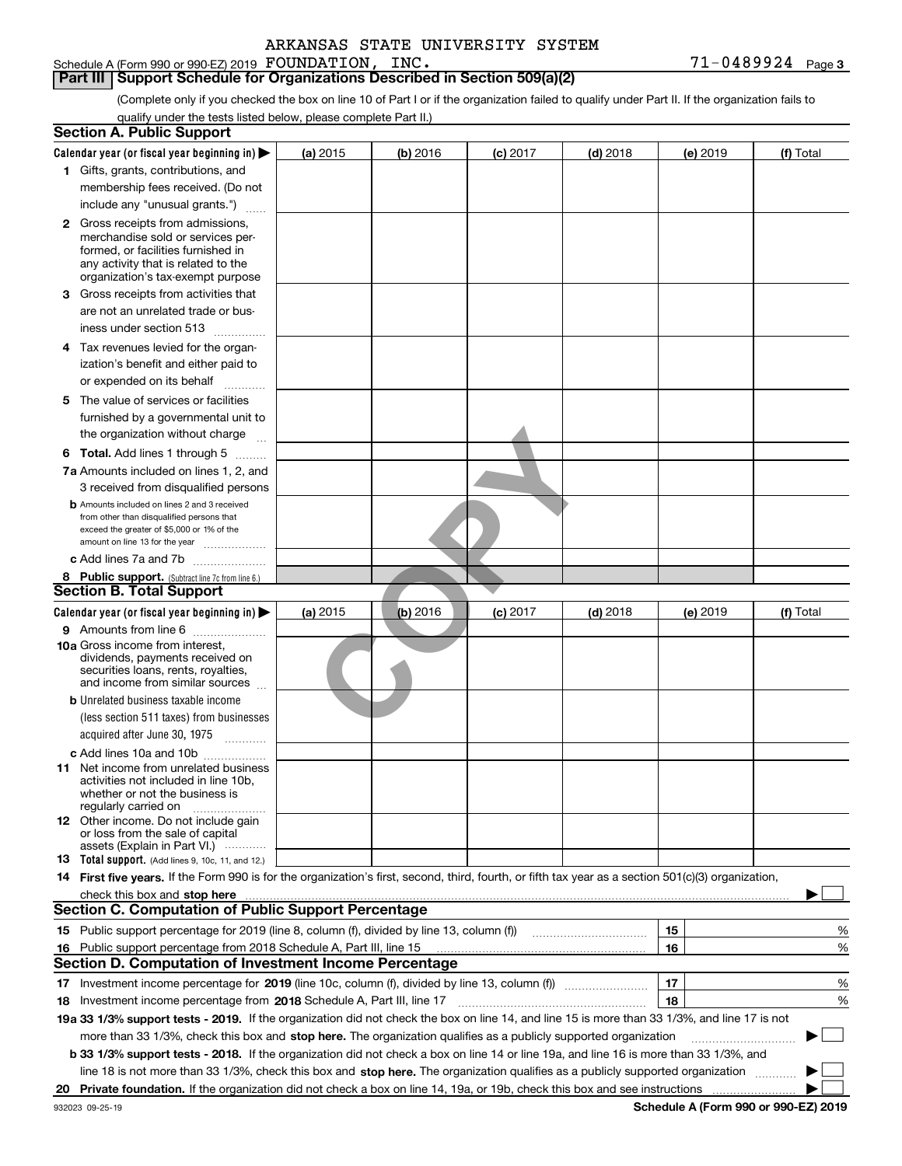Schedule A (Form 990 or 990-EZ) 2019 Page FOUNDATION, INC. 71-0489924

(Complete only if you checked the box on line 10 of Part I or if the organization failed to qualify under Part II. If the organization fails to qualify under the tests listed below, please complete Part II.)

|    | <b>Section A. Public Support</b>                                                                                                                                                                                                                          |          |          |            |            |          |          |                                      |        |
|----|-----------------------------------------------------------------------------------------------------------------------------------------------------------------------------------------------------------------------------------------------------------|----------|----------|------------|------------|----------|----------|--------------------------------------|--------|
|    | Calendar year (or fiscal year beginning in) $\blacktriangleright$                                                                                                                                                                                         | (a) 2015 | (b) 2016 | $(c)$ 2017 | $(d)$ 2018 |          | (e) 2019 | (f) Total                            |        |
|    | 1 Gifts, grants, contributions, and                                                                                                                                                                                                                       |          |          |            |            |          |          |                                      |        |
|    | membership fees received. (Do not                                                                                                                                                                                                                         |          |          |            |            |          |          |                                      |        |
|    | include any "unusual grants.")                                                                                                                                                                                                                            |          |          |            |            |          |          |                                      |        |
|    | <b>2</b> Gross receipts from admissions,<br>merchandise sold or services per-                                                                                                                                                                             |          |          |            |            |          |          |                                      |        |
|    | formed, or facilities furnished in                                                                                                                                                                                                                        |          |          |            |            |          |          |                                      |        |
|    | any activity that is related to the                                                                                                                                                                                                                       |          |          |            |            |          |          |                                      |        |
|    | organization's tax-exempt purpose                                                                                                                                                                                                                         |          |          |            |            |          |          |                                      |        |
|    | 3 Gross receipts from activities that                                                                                                                                                                                                                     |          |          |            |            |          |          |                                      |        |
|    | are not an unrelated trade or bus-                                                                                                                                                                                                                        |          |          |            |            |          |          |                                      |        |
|    | iness under section 513                                                                                                                                                                                                                                   |          |          |            |            |          |          |                                      |        |
|    | 4 Tax revenues levied for the organ-                                                                                                                                                                                                                      |          |          |            |            |          |          |                                      |        |
|    | ization's benefit and either paid to                                                                                                                                                                                                                      |          |          |            |            |          |          |                                      |        |
|    | or expended on its behalf<br>.                                                                                                                                                                                                                            |          |          |            |            |          |          |                                      |        |
|    | 5 The value of services or facilities                                                                                                                                                                                                                     |          |          |            |            |          |          |                                      |        |
|    | furnished by a governmental unit to                                                                                                                                                                                                                       |          |          |            |            |          |          |                                      |        |
|    | the organization without charge                                                                                                                                                                                                                           |          |          |            |            |          |          |                                      |        |
|    | <b>6 Total.</b> Add lines 1 through 5                                                                                                                                                                                                                     |          |          |            |            |          |          |                                      |        |
|    | 7a Amounts included on lines 1, 2, and                                                                                                                                                                                                                    |          |          |            |            |          |          |                                      |        |
|    | 3 received from disqualified persons                                                                                                                                                                                                                      |          |          |            |            |          |          |                                      |        |
|    | <b>b</b> Amounts included on lines 2 and 3 received                                                                                                                                                                                                       |          |          |            |            |          |          |                                      |        |
|    | from other than disqualified persons that                                                                                                                                                                                                                 |          |          |            |            |          |          |                                      |        |
|    | exceed the greater of \$5,000 or 1% of the<br>amount on line 13 for the year                                                                                                                                                                              |          |          |            |            |          |          |                                      |        |
|    | c Add lines 7a and 7b                                                                                                                                                                                                                                     |          |          |            |            |          |          |                                      |        |
|    | 8 Public support. (Subtract line 7c from line 6.)                                                                                                                                                                                                         |          |          |            |            |          |          |                                      |        |
|    | <b>Section B. Total Support</b>                                                                                                                                                                                                                           |          |          |            |            |          |          |                                      |        |
|    | Calendar year (or fiscal year beginning in)                                                                                                                                                                                                               | (a) 2015 | (b) 2016 | $(c)$ 2017 | $(d)$ 2018 |          | (e) 2019 | (f) Total                            |        |
|    | 9 Amounts from line 6                                                                                                                                                                                                                                     |          |          |            |            |          |          |                                      |        |
|    | <b>10a</b> Gross income from interest,<br>dividends, payments received on<br>securities loans, rents, royalties,<br>and income from similar sources                                                                                                       |          |          |            |            |          |          |                                      |        |
|    | <b>b</b> Unrelated business taxable income                                                                                                                                                                                                                |          |          |            |            |          |          |                                      |        |
|    | (less section 511 taxes) from businesses                                                                                                                                                                                                                  |          |          |            |            |          |          |                                      |        |
|    | acquired after June 30, 1975                                                                                                                                                                                                                              |          |          |            |            |          |          |                                      |        |
|    | c Add lines 10a and 10b                                                                                                                                                                                                                                   |          |          |            |            |          |          |                                      |        |
|    | 11 Net income from unrelated business                                                                                                                                                                                                                     |          |          |            |            |          |          |                                      |        |
|    | activities not included in line 10b,<br>whether or not the business is                                                                                                                                                                                    |          |          |            |            |          |          |                                      |        |
|    | regularly carried on<br><b>12</b> Other income. Do not include gain                                                                                                                                                                                       |          |          |            |            |          |          |                                      |        |
|    | or loss from the sale of capital                                                                                                                                                                                                                          |          |          |            |            |          |          |                                      |        |
|    | assets (Explain in Part VI.)                                                                                                                                                                                                                              |          |          |            |            |          |          |                                      |        |
|    | <b>13</b> Total support. (Add lines 9, 10c, 11, and 12.)                                                                                                                                                                                                  |          |          |            |            |          |          |                                      |        |
|    | 14 First five years. If the Form 990 is for the organization's first, second, third, fourth, or fifth tax year as a section 501(c)(3) organization,                                                                                                       |          |          |            |            |          |          |                                      |        |
|    | check this box and <b>stop here</b> with an accommutation of the contract of the state of the contract of the contract of<br><b>Section C. Computation of Public Support Percentage</b>                                                                   |          |          |            |            |          |          |                                      |        |
|    | 15 Public support percentage for 2019 (line 8, column (f), divided by line 13, column (f))                                                                                                                                                                |          |          |            |            |          |          |                                      |        |
|    |                                                                                                                                                                                                                                                           |          |          |            |            | 15<br>16 |          |                                      | %<br>% |
|    | 16 Public support percentage from 2018 Schedule A, Part III, line 15<br>Section D. Computation of Investment Income Percentage                                                                                                                            |          |          |            |            |          |          |                                      |        |
| 17 | Investment income percentage for 2019 (line 10c, column (f), divided by line 13, column (f))                                                                                                                                                              |          |          |            |            | 17       |          |                                      | %      |
|    | <b>18</b> Investment income percentage from <b>2018</b> Schedule A, Part III, line 17                                                                                                                                                                     |          |          |            |            | 18       |          |                                      | %      |
|    | 19a 33 1/3% support tests - 2019. If the organization did not check the box on line 14, and line 15 is more than 33 1/3%, and line 17 is not                                                                                                              |          |          |            |            |          |          |                                      |        |
|    |                                                                                                                                                                                                                                                           |          |          |            |            |          |          | ▶                                    | $\sim$ |
|    | more than 33 1/3%, check this box and stop here. The organization qualifies as a publicly supported organization<br>b 33 1/3% support tests - 2018. If the organization did not check a box on line 14 or line 19a, and line 16 is more than 33 1/3%, and |          |          |            |            |          |          |                                      |        |
|    |                                                                                                                                                                                                                                                           |          |          |            |            |          |          |                                      |        |
|    | line 18 is not more than 33 1/3%, check this box and stop here. The organization qualifies as a publicly supported organization                                                                                                                           |          |          |            |            |          |          |                                      |        |
| 20 | Private foundation. If the organization did not check a box on line 14, 19a, or 19b, check this box and see instructions<br>932023 09-25-19                                                                                                               |          |          |            |            |          |          | Schedule A (Form 990 or 990-EZ) 2019 |        |
|    |                                                                                                                                                                                                                                                           |          |          |            |            |          |          |                                      |        |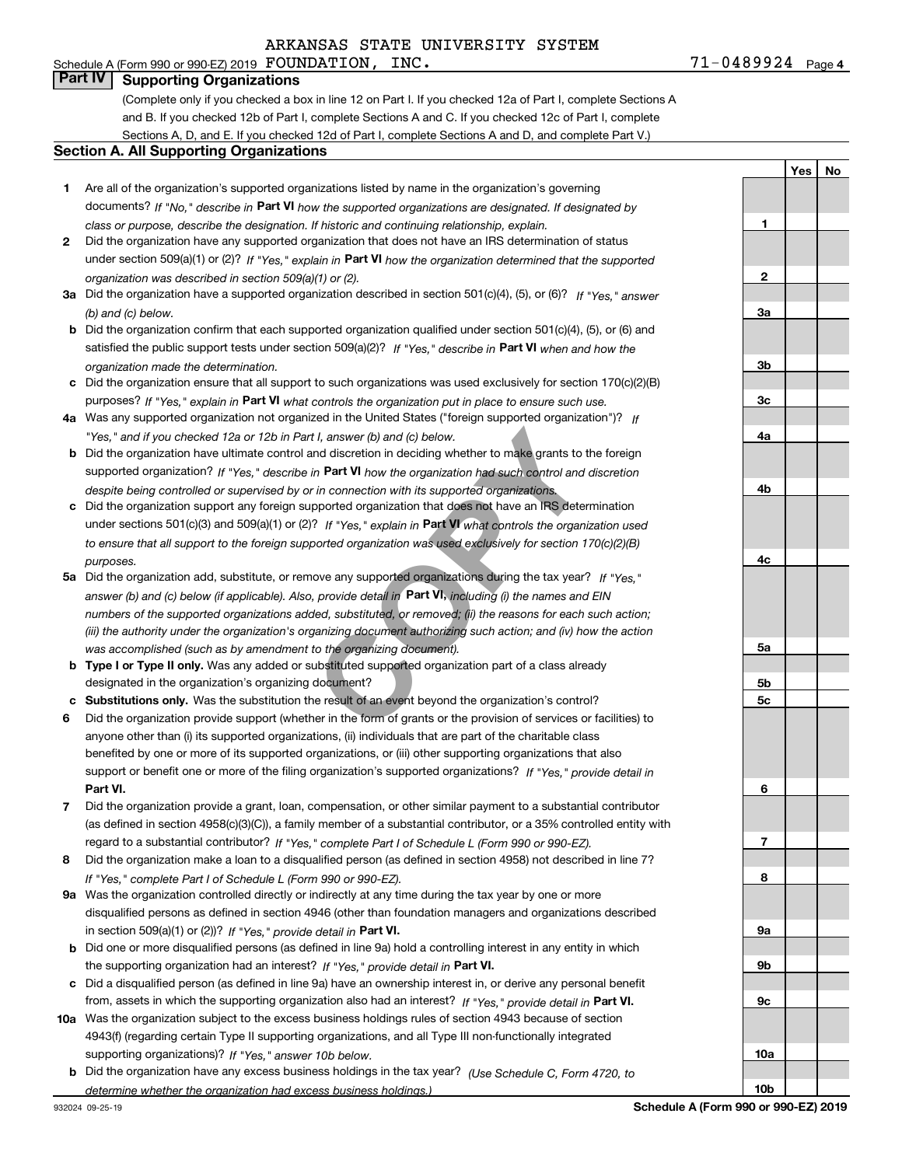# **Part IV Supporting Organizations**

(Complete only if you checked a box in line 12 on Part I. If you checked 12a of Part I, complete Sections A and B. If you checked 12b of Part I, complete Sections A and C. If you checked 12c of Part I, complete Sections A, D, and E. If you checked 12d of Part I, complete Sections A and D, and complete Part V.)

#### **Section A. All Supporting Organizations**

- **1** Are all of the organization's supported organizations listed by name in the organization's governing documents? If "No," describe in **Part VI** how the supported organizations are designated. If designated by *class or purpose, describe the designation. If historic and continuing relationship, explain.*
- **2** Did the organization have any supported organization that does not have an IRS determination of status under section 509(a)(1) or (2)? If "Yes," explain in Part VI how the organization determined that the supported *organization was described in section 509(a)(1) or (2).*
- **3a** Did the organization have a supported organization described in section 501(c)(4), (5), or (6)? If "Yes," answer *(b) and (c) below.*
- **b** Did the organization confirm that each supported organization qualified under section 501(c)(4), (5), or (6) and satisfied the public support tests under section 509(a)(2)? If "Yes," describe in **Part VI** when and how the *organization made the determination.*
- **c**Did the organization ensure that all support to such organizations was used exclusively for section 170(c)(2)(B) purposes? If "Yes," explain in **Part VI** what controls the organization put in place to ensure such use.
- **4a***If* Was any supported organization not organized in the United States ("foreign supported organization")? *"Yes," and if you checked 12a or 12b in Part I, answer (b) and (c) below.*
- **b** Did the organization have ultimate control and discretion in deciding whether to make grants to the foreign supported organization? If "Yes," describe in **Part VI** how the organization had such control and discretion *despite being controlled or supervised by or in connection with its supported organizations.*
- **c** Did the organization support any foreign supported organization that does not have an IRS determination under sections 501(c)(3) and 509(a)(1) or (2)? If "Yes," explain in **Part VI** what controls the organization used *to ensure that all support to the foreign supported organization was used exclusively for section 170(c)(2)(B) purposes.*
- **5a***If "Yes,"* Did the organization add, substitute, or remove any supported organizations during the tax year? answer (b) and (c) below (if applicable). Also, provide detail in **Part VI,** including (i) the names and EIN *numbers of the supported organizations added, substituted, or removed; (ii) the reasons for each such action; (iii) the authority under the organization's organizing document authorizing such action; and (iv) how the action was accomplished (such as by amendment to the organizing document). t I, answer (b) and (c) below.*<br>
In discretion in deciding whether to make grants to t<br>
in Part VI how the organization had such control and<br>
in connection with its supported organizations.<br>
pported organization that does
- **b** Type I or Type II only. Was any added or substituted supported organization part of a class already designated in the organization's organizing document?
- **cSubstitutions only.**  Was the substitution the result of an event beyond the organization's control?
- **6** Did the organization provide support (whether in the form of grants or the provision of services or facilities) to **Part VI.** *If "Yes," provide detail in* support or benefit one or more of the filing organization's supported organizations? anyone other than (i) its supported organizations, (ii) individuals that are part of the charitable class benefited by one or more of its supported organizations, or (iii) other supporting organizations that also
- **7**Did the organization provide a grant, loan, compensation, or other similar payment to a substantial contributor *If "Yes," complete Part I of Schedule L (Form 990 or 990-EZ).* regard to a substantial contributor? (as defined in section 4958(c)(3)(C)), a family member of a substantial contributor, or a 35% controlled entity with
- **8** Did the organization make a loan to a disqualified person (as defined in section 4958) not described in line 7? *If "Yes," complete Part I of Schedule L (Form 990 or 990-EZ).*
- **9a** Was the organization controlled directly or indirectly at any time during the tax year by one or more in section 509(a)(1) or (2))? If "Yes," *provide detail in* <code>Part VI.</code> disqualified persons as defined in section 4946 (other than foundation managers and organizations described
- **b** Did one or more disqualified persons (as defined in line 9a) hold a controlling interest in any entity in which the supporting organization had an interest? If "Yes," provide detail in P**art VI**.
- **c**Did a disqualified person (as defined in line 9a) have an ownership interest in, or derive any personal benefit from, assets in which the supporting organization also had an interest? If "Yes," provide detail in P**art VI.**
- **10a** Was the organization subject to the excess business holdings rules of section 4943 because of section supporting organizations)? If "Yes," answer 10b below. 4943(f) (regarding certain Type II supporting organizations, and all Type III non-functionally integrated
- **b** Did the organization have any excess business holdings in the tax year? (Use Schedule C, Form 4720, to *determine whether the organization had excess business holdings.)*

**23a3b3c4a4b4c5a5b5c6789a 9b9c10a**

**10b**

**1**

**Yes No**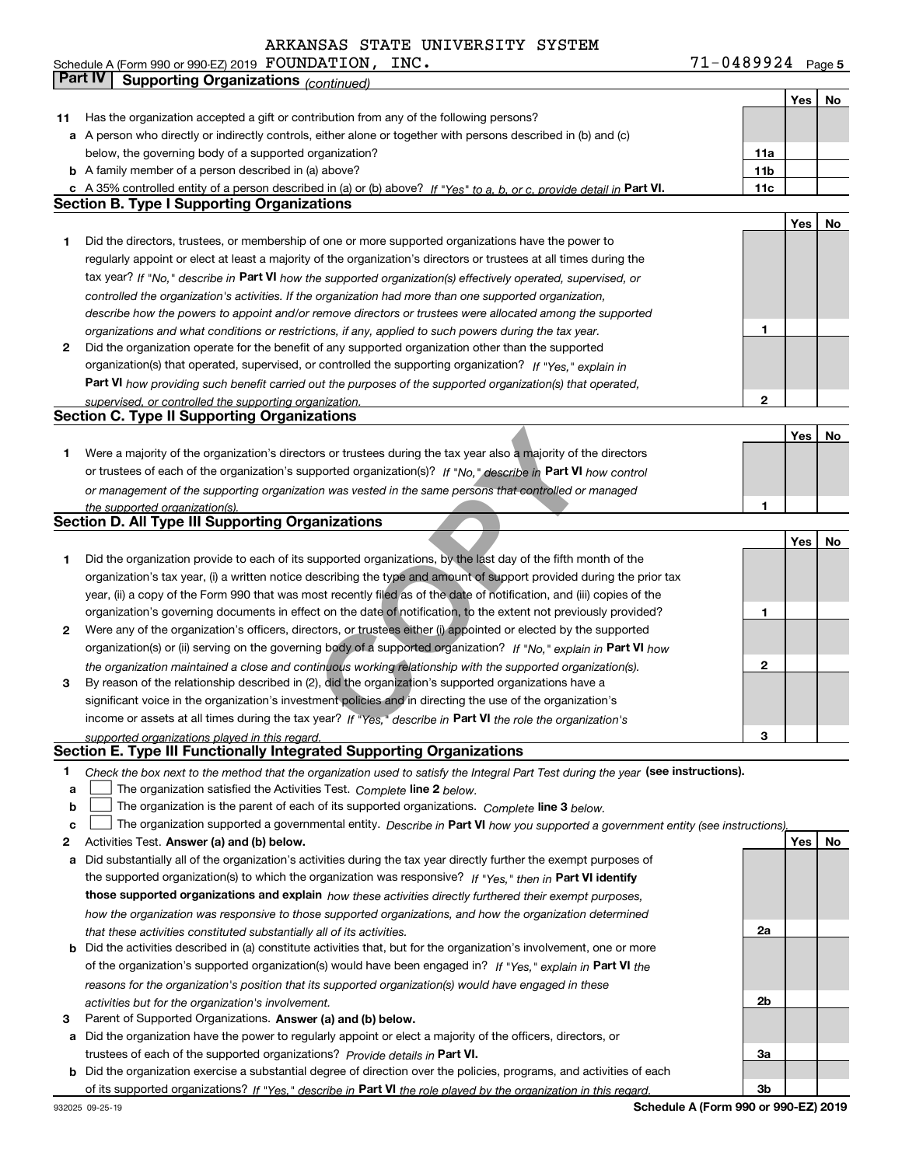**5** Schedule A (Form 990 or 990-EZ) 2019 Page FOUNDATION, INC. 71-0489924

|    | <b>Part IV</b><br><b>Supporting Organizations (continued)</b>                                                                                                                                       |              |            |    |
|----|-----------------------------------------------------------------------------------------------------------------------------------------------------------------------------------------------------|--------------|------------|----|
|    |                                                                                                                                                                                                     |              | Yes        | No |
| 11 | Has the organization accepted a gift or contribution from any of the following persons?                                                                                                             |              |            |    |
|    | a A person who directly or indirectly controls, either alone or together with persons described in (b) and (c)                                                                                      |              |            |    |
|    | below, the governing body of a supported organization?                                                                                                                                              | 11a          |            |    |
|    | <b>b</b> A family member of a person described in (a) above?                                                                                                                                        | 11b          |            |    |
|    | c A 35% controlled entity of a person described in (a) or (b) above? If "Yes" to a, b, or c, provide detail in Part VI.                                                                             | 11c          |            |    |
|    | <b>Section B. Type I Supporting Organizations</b>                                                                                                                                                   |              |            |    |
|    |                                                                                                                                                                                                     |              | Yes        | No |
| 1  | Did the directors, trustees, or membership of one or more supported organizations have the power to                                                                                                 |              |            |    |
|    | regularly appoint or elect at least a majority of the organization's directors or trustees at all times during the                                                                                  |              |            |    |
|    | tax year? If "No," describe in Part VI how the supported organization(s) effectively operated, supervised, or                                                                                       |              |            |    |
|    | controlled the organization's activities. If the organization had more than one supported organization,                                                                                             |              |            |    |
|    | describe how the powers to appoint and/or remove directors or trustees were allocated among the supported                                                                                           |              |            |    |
|    | organizations and what conditions or restrictions, if any, applied to such powers during the tax year.                                                                                              | 1            |            |    |
| 2  | Did the organization operate for the benefit of any supported organization other than the supported                                                                                                 |              |            |    |
|    | organization(s) that operated, supervised, or controlled the supporting organization? If "Yes," explain in                                                                                          |              |            |    |
|    | Part VI how providing such benefit carried out the purposes of the supported organization(s) that operated,                                                                                         |              |            |    |
|    | supervised, or controlled the supporting organization.                                                                                                                                              | $\mathbf{2}$ |            |    |
|    | <b>Section C. Type II Supporting Organizations</b>                                                                                                                                                  |              |            |    |
|    |                                                                                                                                                                                                     |              | Yes        | No |
| 1  | Were a majority of the organization's directors or trustees during the tax year also a majority of the directors                                                                                    |              |            |    |
|    | or trustees of each of the organization's supported organization(s)? If "No," describe in Part VI how control                                                                                       |              |            |    |
|    | or management of the supporting organization was vested in the same persons that controlled or managed                                                                                              |              |            |    |
|    | the supported organization(s).                                                                                                                                                                      | 1            |            |    |
|    | <b>Section D. All Type III Supporting Organizations</b>                                                                                                                                             |              |            |    |
|    |                                                                                                                                                                                                     |              | Yes        | No |
| 1  | Did the organization provide to each of its supported organizations, by the last day of the fifth month of the                                                                                      |              |            |    |
|    | organization's tax year, (i) a written notice describing the type and amount of support provided during the prior tax                                                                               |              |            |    |
|    | year, (ii) a copy of the Form 990 that was most recently filed as of the date of notification, and (iii) copies of the                                                                              |              |            |    |
|    | organization's governing documents in effect on the date of notification, to the extent not previously provided?                                                                                    | 1            |            |    |
| 2  | Were any of the organization's officers, directors, or trustees either (i) appointed or elected by the supported                                                                                    |              |            |    |
|    | organization(s) or (ii) serving on the governing body of a supported organization? If "No," explain in Part VI how                                                                                  |              |            |    |
|    | the organization maintained a close and continuous working relationship with the supported organization(s).                                                                                         | 2            |            |    |
| 3  | By reason of the relationship described in (2), did the organization's supported organizations have a                                                                                               |              |            |    |
|    | significant voice in the organization's investment policies and in directing the use of the organization's                                                                                          |              |            |    |
|    | income or assets at all times during the tax year? If "Yes," describe in Part VI the role the organization's                                                                                        |              |            |    |
|    | supported organizations played in this regard.                                                                                                                                                      | З            |            |    |
|    | Section E. Type III Functionally Integrated Supporting Organizations                                                                                                                                |              |            |    |
| 1  | Check the box next to the method that the organization used to satisfy the Integral Part Test during the year (see instructions).                                                                   |              |            |    |
| a  | The organization satisfied the Activities Test. Complete line 2 below.                                                                                                                              |              |            |    |
| b  | The organization is the parent of each of its supported organizations. Complete line 3 below.                                                                                                       |              |            |    |
| с  | The organization supported a governmental entity. Describe in Part VI how you supported a government entity (see instructions).                                                                     |              |            |    |
| 2  | Activities Test. Answer (a) and (b) below.                                                                                                                                                          |              | <b>Yes</b> | No |
| a  | Did substantially all of the organization's activities during the tax year directly further the exempt purposes of                                                                                  |              |            |    |
|    | the supported organization(s) to which the organization was responsive? If "Yes," then in Part VI identify                                                                                          |              |            |    |
|    | those supported organizations and explain how these activities directly furthered their exempt purposes,                                                                                            |              |            |    |
|    | how the organization was responsive to those supported organizations, and how the organization determined                                                                                           |              |            |    |
|    | that these activities constituted substantially all of its activities.                                                                                                                              | 2a           |            |    |
| b  | Did the activities described in (a) constitute activities that, but for the organization's involvement, one or more                                                                                 |              |            |    |
|    | of the organization's supported organization(s) would have been engaged in? If "Yes," explain in Part VI the                                                                                        |              |            |    |
|    | reasons for the organization's position that its supported organization(s) would have engaged in these                                                                                              |              |            |    |
|    | activities but for the organization's involvement.                                                                                                                                                  | 2b           |            |    |
| з  | Parent of Supported Organizations. Answer (a) and (b) below.                                                                                                                                        |              |            |    |
| a  | Did the organization have the power to regularly appoint or elect a majority of the officers, directors, or                                                                                         | За           |            |    |
|    | trustees of each of the supported organizations? Provide details in Part VI.<br>Did the organization exercise a substantial degree of direction over the policies, programs, and activities of each |              |            |    |
| b  |                                                                                                                                                                                                     | 3b           |            |    |
|    | of its supported organizations? If "Yes," describe in Part VI the role played by the organization in this regard.                                                                                   |              |            |    |

**Schedule A (Form 990 or 990-EZ) 2019**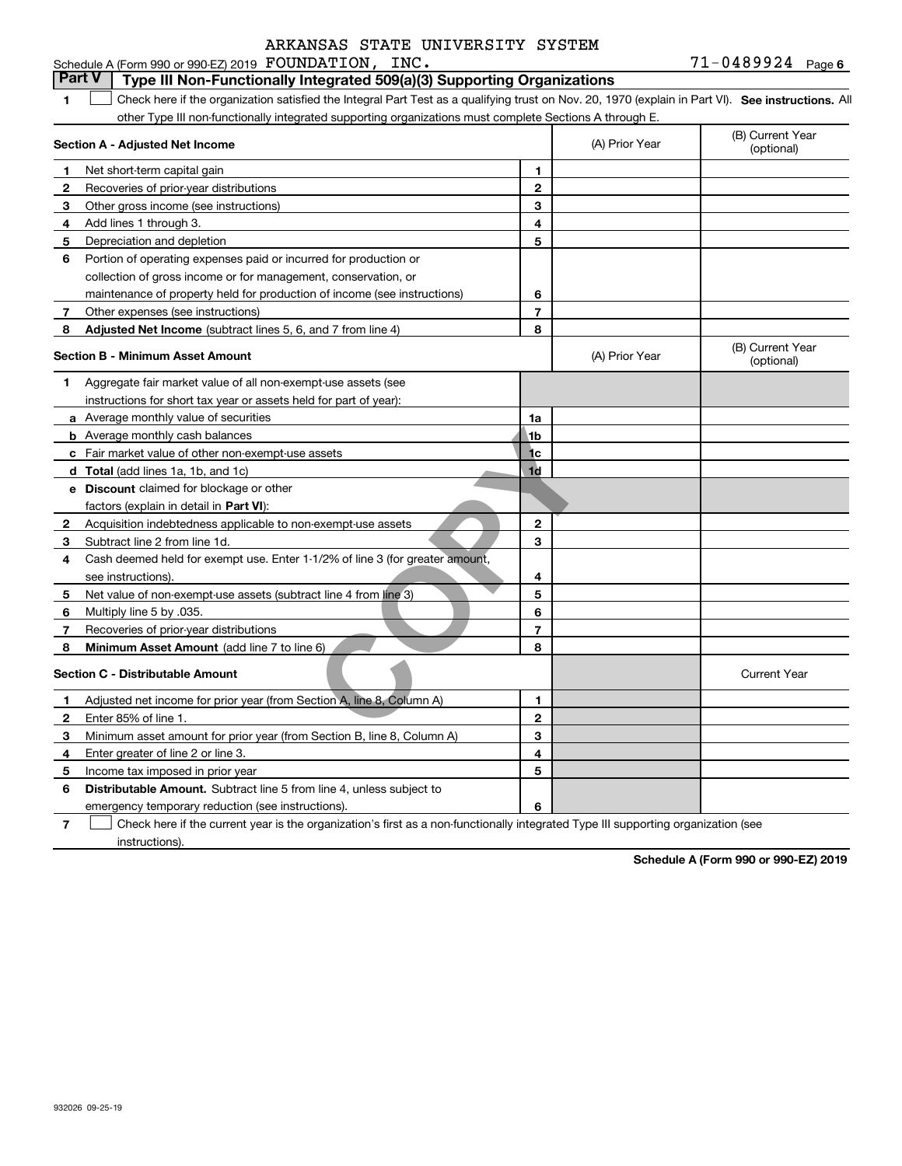#### **1SEP 10. See instructions.** All antegral Part Test as a qualifying trust on Nov. 20, 1970 (explain in Part VI). See instructions. All **Section A - Adjusted Net Income 123** Other gross income (see instructions) **4**Add lines 1 through 3. **56** Portion of operating expenses paid or incurred for production or **78** Adjusted Net Income (subtract lines 5, 6, and 7 from line 4) **8 8 1234567Section B - Minimum Asset Amount 1**Aggregate fair market value of all non-exempt-use assets (see **2**Acquisition indebtedness applicable to non-exempt-use assets **3** Subtract line 2 from line 1d. **4**Cash deemed held for exempt use. Enter 1-1/2% of line 3 (for greater amount, **5** Net value of non-exempt-use assets (subtract line 4 from line 3) **678a** Average monthly value of securities **b** Average monthly cash balances **c**Fair market value of other non-exempt-use assets **dTotal**  (add lines 1a, 1b, and 1c) **eDiscount** claimed for blockage or other **1a1b1c1d2345678**factors (explain in detail in **Part VI**): **Minimum Asset Amount**  (add line 7 to line 6) **Section C - Distributable Amount 123456123456Distributable Amount.** Subtract line 5 from line 4, unless subject to Schedule A (Form 990 or 990-EZ) 2019 Page FOUNDATION, INC. 71-0489924 other Type III non-functionally integrated supporting organizations must complete Sections A through E. (B) Current Year (optional)(A) Prior Year Net short-term capital gain Recoveries of prior-year distributions Depreciation and depletion collection of gross income or for management, conservation, or maintenance of property held for production of income (see instructions) Other expenses (see instructions) (B) Current Year (optional)(A) Prior Year instructions for short tax year or assets held for part of year): see instructions). Multiply line 5 by .035. Recoveries of prior-year distributions Current Year Adjusted net income for prior year (from Section A, line 8, Column A) Enter 85% of line 1. Minimum asset amount for prior year (from Section B, line 8, Column A) Enter greater of line 2 or line 3. Income tax imposed in prior year emergency temporary reduction (see instructions). **Part V** Type III Non-Functionally Integrated 509(a)(3) Supporting Organizations  $\mathcal{L}^{\text{max}}$ **CONSERVERS**<br> **COPY**<br> **COPYPE 1299**<br> **COPYPE 12999 12999 12999 12999 12999 12999 12999 12999 12999 12999 12999 12999 12999 12999 12999 12999 12999 12999 12999 12999 12999 12999 12999 12999 12999 12999 12999 12999 12999 129**

**7**Check here if the current year is the organization's first as a non-functionally integrated Type III supporting organization (see instructions). $\mathcal{L}^{\text{max}}$ 

**Schedule A (Form 990 or 990-EZ) 2019**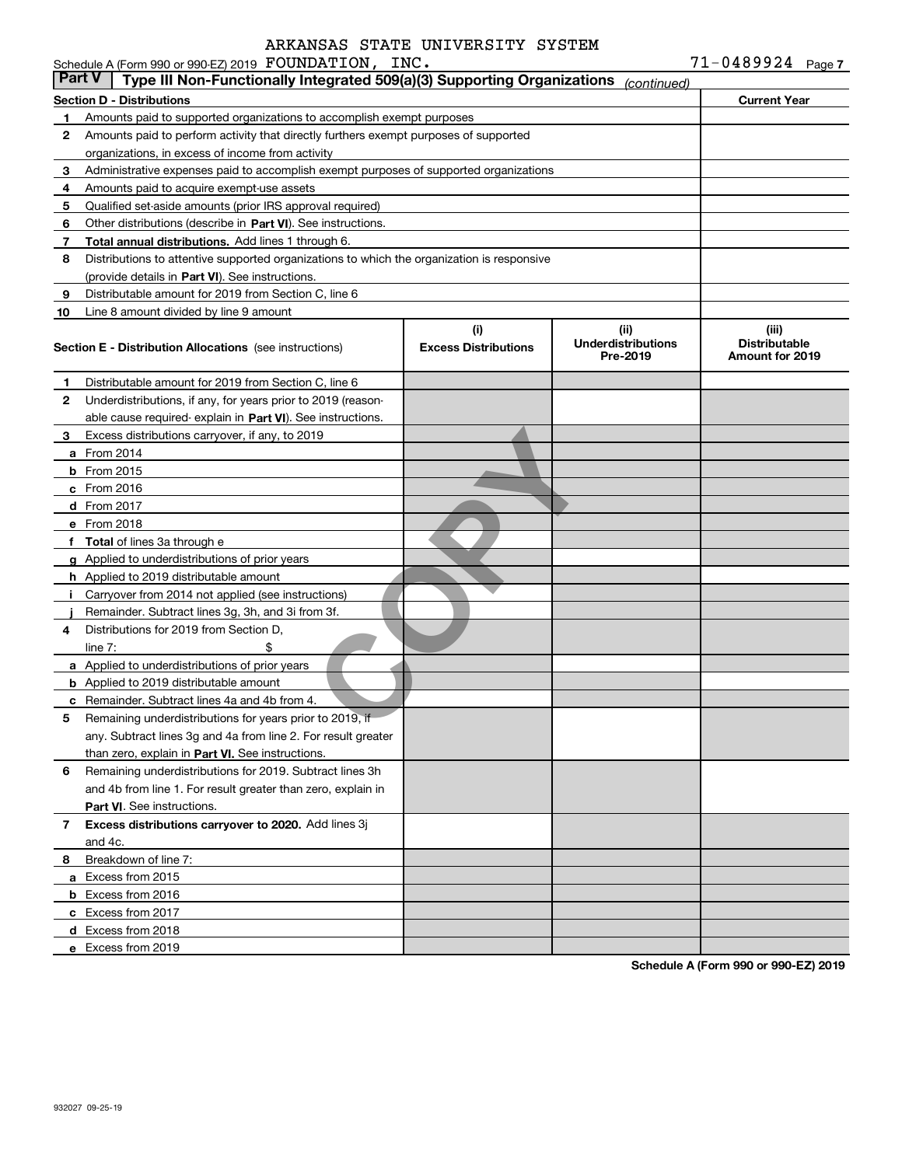|              | Schedule A (Form 990 or 990-EZ) 2019 FOUNDATION, INC.                                         |                                    |                                               | $71 - 0489924$ Page 7                            |  |
|--------------|-----------------------------------------------------------------------------------------------|------------------------------------|-----------------------------------------------|--------------------------------------------------|--|
|              | Part V<br>Type III Non-Functionally Integrated 509(a)(3) Supporting Organizations (continued) |                                    |                                               |                                                  |  |
|              | <b>Section D - Distributions</b>                                                              |                                    |                                               | <b>Current Year</b>                              |  |
| 1.           | Amounts paid to supported organizations to accomplish exempt purposes                         |                                    |                                               |                                                  |  |
| $\mathbf{2}$ | Amounts paid to perform activity that directly furthers exempt purposes of supported          |                                    |                                               |                                                  |  |
|              | organizations, in excess of income from activity                                              |                                    |                                               |                                                  |  |
| 3            | Administrative expenses paid to accomplish exempt purposes of supported organizations         |                                    |                                               |                                                  |  |
| 4            | Amounts paid to acquire exempt-use assets                                                     |                                    |                                               |                                                  |  |
| 5            | Qualified set-aside amounts (prior IRS approval required)                                     |                                    |                                               |                                                  |  |
| 6            | Other distributions (describe in Part VI). See instructions.                                  |                                    |                                               |                                                  |  |
| 7            | Total annual distributions. Add lines 1 through 6.                                            |                                    |                                               |                                                  |  |
| 8            | Distributions to attentive supported organizations to which the organization is responsive    |                                    |                                               |                                                  |  |
|              | (provide details in Part VI). See instructions.                                               |                                    |                                               |                                                  |  |
| 9            | Distributable amount for 2019 from Section C, line 6                                          |                                    |                                               |                                                  |  |
| 10           | Line 8 amount divided by line 9 amount                                                        |                                    |                                               |                                                  |  |
|              | <b>Section E - Distribution Allocations</b> (see instructions)                                | (i)<br><b>Excess Distributions</b> | (ii)<br><b>Underdistributions</b><br>Pre-2019 | (iii)<br><b>Distributable</b><br>Amount for 2019 |  |
| 1.           | Distributable amount for 2019 from Section C, line 6                                          |                                    |                                               |                                                  |  |
| $\mathbf{2}$ | Underdistributions, if any, for years prior to 2019 (reason-                                  |                                    |                                               |                                                  |  |
|              | able cause required-explain in Part VI). See instructions.                                    |                                    |                                               |                                                  |  |
| 3            | Excess distributions carryover, if any, to 2019                                               |                                    |                                               |                                                  |  |
|              | <b>a</b> From 2014                                                                            |                                    |                                               |                                                  |  |
|              | $b$ From 2015                                                                                 |                                    |                                               |                                                  |  |
|              | $c$ From 2016                                                                                 |                                    |                                               |                                                  |  |
|              | d From 2017                                                                                   |                                    |                                               |                                                  |  |
|              | e From 2018                                                                                   |                                    |                                               |                                                  |  |
|              | f Total of lines 3a through e                                                                 |                                    |                                               |                                                  |  |
|              | g Applied to underdistributions of prior years                                                |                                    |                                               |                                                  |  |
|              | <b>h</b> Applied to 2019 distributable amount                                                 |                                    |                                               |                                                  |  |
| j.           | Carryover from 2014 not applied (see instructions)                                            |                                    |                                               |                                                  |  |
|              | Remainder. Subtract lines 3g, 3h, and 3i from 3f.                                             |                                    |                                               |                                                  |  |
| 4            | Distributions for 2019 from Section D,                                                        |                                    |                                               |                                                  |  |
|              | line $7:$                                                                                     |                                    |                                               |                                                  |  |
|              | <b>a</b> Applied to underdistributions of prior years                                         |                                    |                                               |                                                  |  |
|              | <b>b</b> Applied to 2019 distributable amount                                                 |                                    |                                               |                                                  |  |
|              | c Remainder. Subtract lines 4a and 4b from 4.                                                 |                                    |                                               |                                                  |  |
|              | Remaining underdistributions for years prior to 2019, if                                      |                                    |                                               |                                                  |  |
|              | any. Subtract lines 3g and 4a from line 2. For result greater                                 |                                    |                                               |                                                  |  |
|              | than zero, explain in Part VI. See instructions.                                              |                                    |                                               |                                                  |  |
| 6            | Remaining underdistributions for 2019. Subtract lines 3h                                      |                                    |                                               |                                                  |  |
|              | and 4b from line 1. For result greater than zero, explain in                                  |                                    |                                               |                                                  |  |
|              | <b>Part VI.</b> See instructions.                                                             |                                    |                                               |                                                  |  |
| 7            | Excess distributions carryover to 2020. Add lines 3j                                          |                                    |                                               |                                                  |  |
|              | and 4c.                                                                                       |                                    |                                               |                                                  |  |
| 8            | Breakdown of line 7:                                                                          |                                    |                                               |                                                  |  |
|              | a Excess from 2015                                                                            |                                    |                                               |                                                  |  |
|              | <b>b</b> Excess from 2016                                                                     |                                    |                                               |                                                  |  |
|              | c Excess from 2017                                                                            |                                    |                                               |                                                  |  |
|              | d Excess from 2018                                                                            |                                    |                                               |                                                  |  |
|              | e Excess from 2019                                                                            |                                    |                                               |                                                  |  |

**Schedule A (Form 990 or 990-EZ) 2019**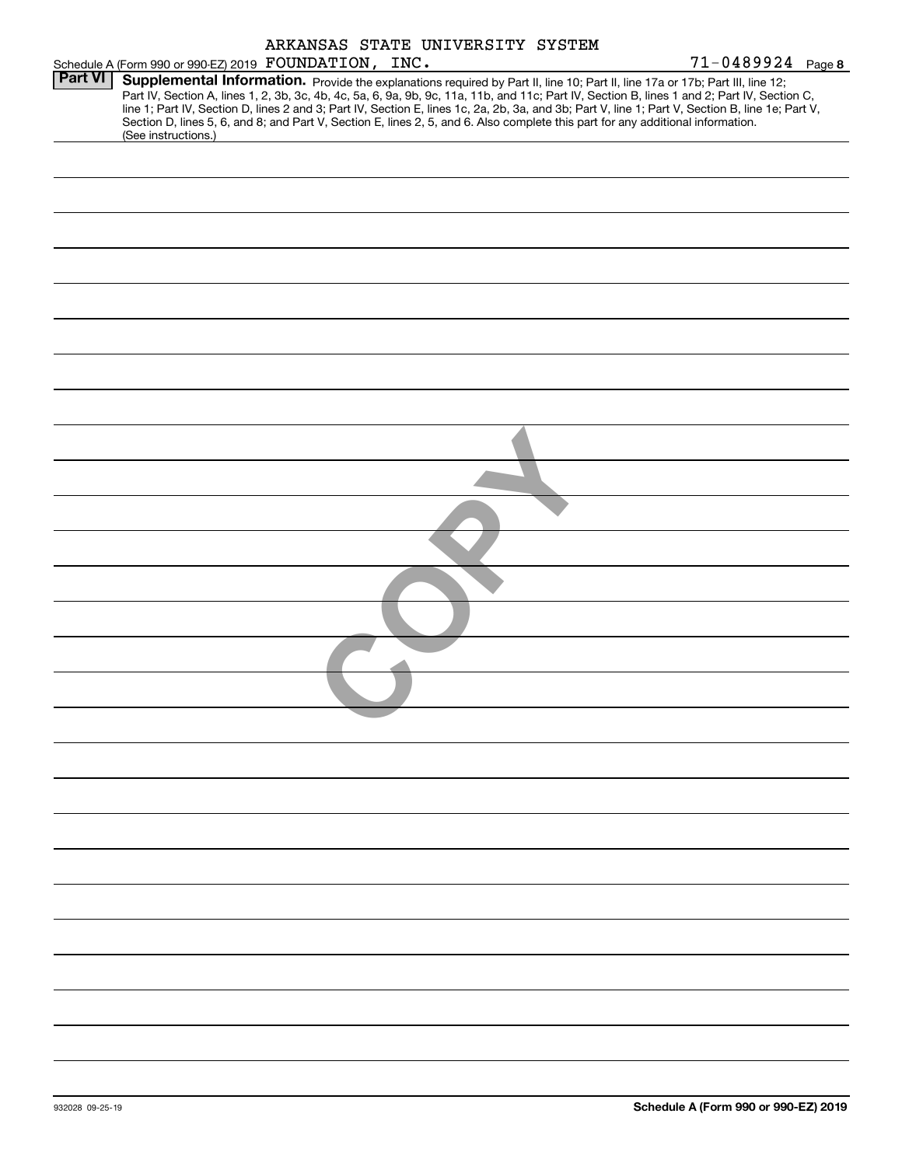|                |                                                                                                                                                        |  | ARKANSAS STATE UNIVERSITY SYSTEM |                                                                                                                                                                                                                                                                                                                                                                                                                                   |
|----------------|--------------------------------------------------------------------------------------------------------------------------------------------------------|--|----------------------------------|-----------------------------------------------------------------------------------------------------------------------------------------------------------------------------------------------------------------------------------------------------------------------------------------------------------------------------------------------------------------------------------------------------------------------------------|
|                | Schedule A (Form 990 or 990-EZ) 2019 FOUNDATION, INC.                                                                                                  |  |                                  | $71 - 0489924$ Page 8                                                                                                                                                                                                                                                                                                                                                                                                             |
| <b>Part VI</b> | Section D, lines 5, 6, and 8; and Part V, Section E, lines 2, 5, and 6. Also complete this part for any additional information.<br>(See instructions.) |  |                                  | Supplemental Information. Provide the explanations required by Part II, line 10; Part II, line 17a or 17b; Part III, line 12;<br>Part IV, Section A, lines 1, 2, 3b, 3c, 4b, 4c, 5a, 6, 9a, 9b, 9c, 11a, 11b, and 11c; Part IV, Section B, lines 1 and 2; Part IV, Section C,<br>line 1; Part IV, Section D, lines 2 and 3; Part IV, Section E, lines 1c, 2a, 2b, 3a, and 3b; Part V, line 1; Part V, Section B, line 1e; Part V, |
|                |                                                                                                                                                        |  |                                  |                                                                                                                                                                                                                                                                                                                                                                                                                                   |
|                |                                                                                                                                                        |  |                                  |                                                                                                                                                                                                                                                                                                                                                                                                                                   |
|                |                                                                                                                                                        |  |                                  |                                                                                                                                                                                                                                                                                                                                                                                                                                   |
|                |                                                                                                                                                        |  |                                  |                                                                                                                                                                                                                                                                                                                                                                                                                                   |
|                |                                                                                                                                                        |  |                                  |                                                                                                                                                                                                                                                                                                                                                                                                                                   |
|                |                                                                                                                                                        |  |                                  |                                                                                                                                                                                                                                                                                                                                                                                                                                   |
|                |                                                                                                                                                        |  |                                  |                                                                                                                                                                                                                                                                                                                                                                                                                                   |
|                |                                                                                                                                                        |  |                                  |                                                                                                                                                                                                                                                                                                                                                                                                                                   |
|                |                                                                                                                                                        |  |                                  |                                                                                                                                                                                                                                                                                                                                                                                                                                   |
|                |                                                                                                                                                        |  |                                  |                                                                                                                                                                                                                                                                                                                                                                                                                                   |
|                |                                                                                                                                                        |  |                                  |                                                                                                                                                                                                                                                                                                                                                                                                                                   |
|                |                                                                                                                                                        |  |                                  |                                                                                                                                                                                                                                                                                                                                                                                                                                   |
|                |                                                                                                                                                        |  |                                  |                                                                                                                                                                                                                                                                                                                                                                                                                                   |
|                |                                                                                                                                                        |  |                                  |                                                                                                                                                                                                                                                                                                                                                                                                                                   |
|                |                                                                                                                                                        |  |                                  |                                                                                                                                                                                                                                                                                                                                                                                                                                   |
|                |                                                                                                                                                        |  |                                  |                                                                                                                                                                                                                                                                                                                                                                                                                                   |
|                |                                                                                                                                                        |  |                                  |                                                                                                                                                                                                                                                                                                                                                                                                                                   |
|                |                                                                                                                                                        |  |                                  |                                                                                                                                                                                                                                                                                                                                                                                                                                   |
|                |                                                                                                                                                        |  |                                  |                                                                                                                                                                                                                                                                                                                                                                                                                                   |
|                |                                                                                                                                                        |  |                                  |                                                                                                                                                                                                                                                                                                                                                                                                                                   |
|                |                                                                                                                                                        |  |                                  |                                                                                                                                                                                                                                                                                                                                                                                                                                   |
|                |                                                                                                                                                        |  |                                  |                                                                                                                                                                                                                                                                                                                                                                                                                                   |
|                |                                                                                                                                                        |  |                                  |                                                                                                                                                                                                                                                                                                                                                                                                                                   |
|                |                                                                                                                                                        |  |                                  |                                                                                                                                                                                                                                                                                                                                                                                                                                   |
|                |                                                                                                                                                        |  |                                  |                                                                                                                                                                                                                                                                                                                                                                                                                                   |
|                |                                                                                                                                                        |  |                                  |                                                                                                                                                                                                                                                                                                                                                                                                                                   |
|                |                                                                                                                                                        |  |                                  |                                                                                                                                                                                                                                                                                                                                                                                                                                   |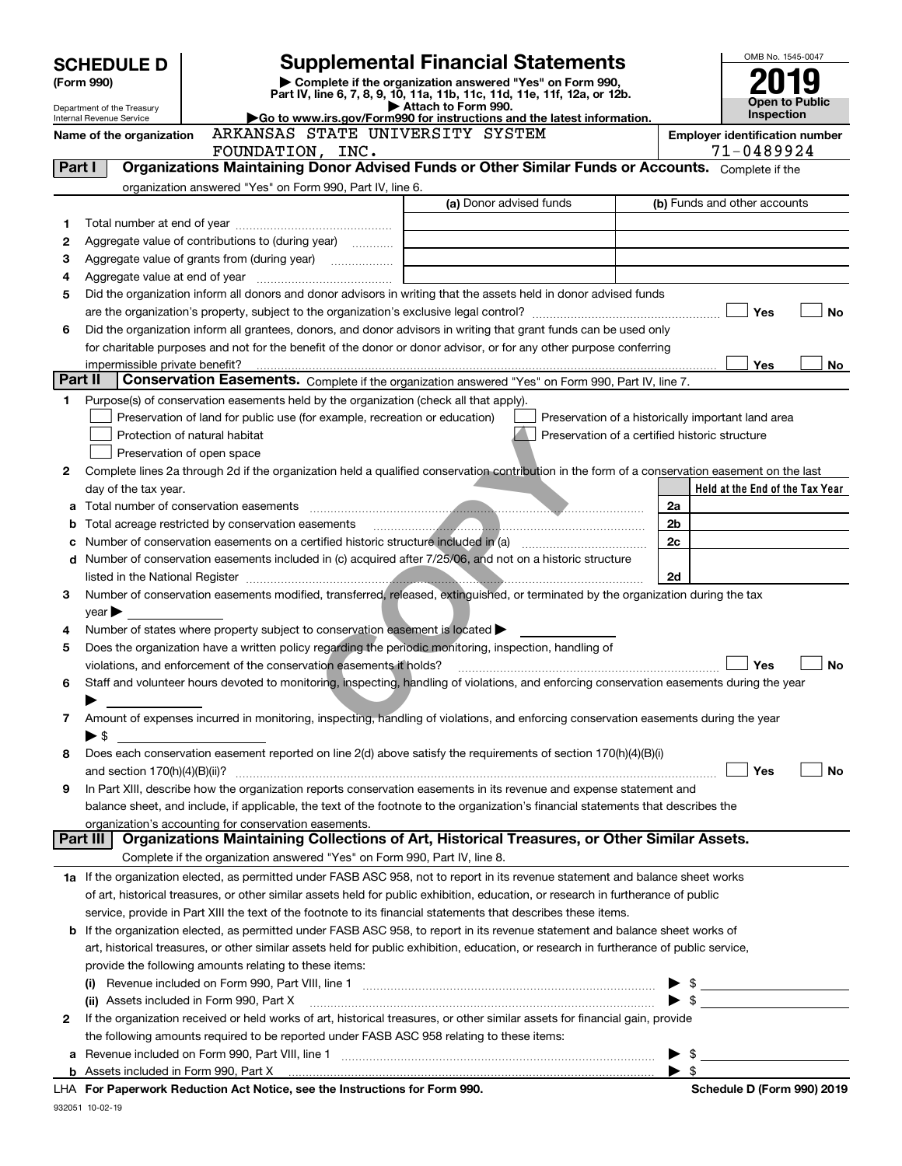|         | <b>SCHEDULE D</b>              |                                                                                                                                                                                            | <b>Supplemental Financial Statements</b>                 |                                                    |                         | OMB No. 1545-0047                     |
|---------|--------------------------------|--------------------------------------------------------------------------------------------------------------------------------------------------------------------------------------------|----------------------------------------------------------|----------------------------------------------------|-------------------------|---------------------------------------|
|         | (Form 990)                     |                                                                                                                                                                                            | Complete if the organization answered "Yes" on Form 990, |                                                    |                         |                                       |
|         | Department of the Treasury     | Part IV, line 6, 7, 8, 9, 10, 11a, 11b, 11c, 11d, 11e, 11f, 12a, or 12b.                                                                                                                   | Attach to Form 990.                                      |                                                    |                         | <b>Open to Public</b>                 |
|         | Internal Revenue Service       | Go to www.irs.gov/Form990 for instructions and the latest information.                                                                                                                     |                                                          |                                                    |                         | Inspection                            |
|         | Name of the organization       | ARKANSAS STATE UNIVERSITY SYSTEM                                                                                                                                                           |                                                          |                                                    |                         | <b>Employer identification number</b> |
| Part I  |                                | FOUNDATION, INC.<br>Organizations Maintaining Donor Advised Funds or Other Similar Funds or Accounts. Complete if the                                                                      |                                                          |                                                    |                         | 71-0489924                            |
|         |                                | organization answered "Yes" on Form 990, Part IV, line 6.                                                                                                                                  |                                                          |                                                    |                         |                                       |
|         |                                |                                                                                                                                                                                            | (a) Donor advised funds                                  |                                                    |                         | (b) Funds and other accounts          |
| 1       |                                |                                                                                                                                                                                            |                                                          |                                                    |                         |                                       |
| 2       |                                | Aggregate value of contributions to (during year)                                                                                                                                          |                                                          |                                                    |                         |                                       |
| 3       |                                |                                                                                                                                                                                            |                                                          |                                                    |                         |                                       |
| 4       |                                |                                                                                                                                                                                            |                                                          |                                                    |                         |                                       |
| 5       |                                | Did the organization inform all donors and donor advisors in writing that the assets held in donor advised funds                                                                           |                                                          |                                                    |                         |                                       |
|         |                                |                                                                                                                                                                                            |                                                          |                                                    |                         | Yes<br>No                             |
| 6       |                                | Did the organization inform all grantees, donors, and donor advisors in writing that grant funds can be used only                                                                          |                                                          |                                                    |                         |                                       |
|         |                                | for charitable purposes and not for the benefit of the donor or donor advisor, or for any other purpose conferring                                                                         |                                                          |                                                    |                         |                                       |
|         | impermissible private benefit? |                                                                                                                                                                                            |                                                          |                                                    |                         | Yes<br>No                             |
| Part II |                                | Conservation Easements. Complete if the organization answered "Yes" on Form 990, Part IV, line 7.                                                                                          |                                                          |                                                    |                         |                                       |
| 1       |                                | Purpose(s) of conservation easements held by the organization (check all that apply).                                                                                                      |                                                          |                                                    |                         |                                       |
|         |                                | Preservation of land for public use (for example, recreation or education)                                                                                                                 |                                                          | Preservation of a historically important land area |                         |                                       |
|         |                                | Protection of natural habitat                                                                                                                                                              |                                                          | Preservation of a certified historic structure     |                         |                                       |
|         |                                | Preservation of open space                                                                                                                                                                 |                                                          |                                                    |                         |                                       |
| 2       |                                | Complete lines 2a through 2d if the organization held a qualified conservation contribution in the form of a conservation easement on the last                                             |                                                          |                                                    |                         |                                       |
| a       | day of the tax year.           |                                                                                                                                                                                            |                                                          |                                                    | 2a                      | Held at the End of the Tax Year       |
| b       |                                | Total acreage restricted by conservation easements                                                                                                                                         |                                                          |                                                    | 2 <sub>b</sub>          |                                       |
| c       |                                |                                                                                                                                                                                            |                                                          |                                                    | 2c                      |                                       |
|         |                                | d Number of conservation easements included in (c) acquired after 7/25/06, and not on a historic structure                                                                                 |                                                          |                                                    |                         |                                       |
|         |                                |                                                                                                                                                                                            |                                                          |                                                    | 2d                      |                                       |
| 3       |                                | Number of conservation easements modified, transferred, released, extinguished, or terminated by the organization during the tax                                                           |                                                          |                                                    |                         |                                       |
|         | year                           |                                                                                                                                                                                            |                                                          |                                                    |                         |                                       |
| 4       |                                | Number of states where property subject to conservation easement is located                                                                                                                |                                                          |                                                    |                         |                                       |
| 5       |                                | Does the organization have a written policy regarding the periodic monitoring, inspection, handling of                                                                                     |                                                          |                                                    |                         |                                       |
|         |                                | violations, and enforcement of the conservation easements it holds?                                                                                                                        |                                                          |                                                    |                         | No<br>Yes                             |
| 6       |                                | Staff and volunteer hours devoted to monitoring, inspecting, handling of violations, and enforcing conservation easements during the year                                                  |                                                          |                                                    |                         |                                       |
|         |                                |                                                                                                                                                                                            |                                                          |                                                    |                         |                                       |
| 7       |                                | Amount of expenses incurred in monitoring, inspecting, handling of violations, and enforcing conservation easements during the year                                                        |                                                          |                                                    |                         |                                       |
|         | $\blacktriangleright$ \$       |                                                                                                                                                                                            |                                                          |                                                    |                         |                                       |
| 8       |                                | Does each conservation easement reported on line 2(d) above satisfy the requirements of section 170(h)(4)(B)(i)                                                                            |                                                          |                                                    |                         |                                       |
|         |                                |                                                                                                                                                                                            |                                                          |                                                    |                         | Yes<br>No                             |
| 9       |                                | In Part XIII, describe how the organization reports conservation easements in its revenue and expense statement and                                                                        |                                                          |                                                    |                         |                                       |
|         |                                | balance sheet, and include, if applicable, the text of the footnote to the organization's financial statements that describes the<br>organization's accounting for conservation easements. |                                                          |                                                    |                         |                                       |
|         | Part III                       | Organizations Maintaining Collections of Art, Historical Treasures, or Other Similar Assets.                                                                                               |                                                          |                                                    |                         |                                       |
|         |                                | Complete if the organization answered "Yes" on Form 990, Part IV, line 8.                                                                                                                  |                                                          |                                                    |                         |                                       |
|         |                                | 1a If the organization elected, as permitted under FASB ASC 958, not to report in its revenue statement and balance sheet works                                                            |                                                          |                                                    |                         |                                       |
|         |                                | of art, historical treasures, or other similar assets held for public exhibition, education, or research in furtherance of public                                                          |                                                          |                                                    |                         |                                       |
|         |                                | service, provide in Part XIII the text of the footnote to its financial statements that describes these items.                                                                             |                                                          |                                                    |                         |                                       |
|         |                                | <b>b</b> If the organization elected, as permitted under FASB ASC 958, to report in its revenue statement and balance sheet works of                                                       |                                                          |                                                    |                         |                                       |
|         |                                | art, historical treasures, or other similar assets held for public exhibition, education, or research in furtherance of public service,                                                    |                                                          |                                                    |                         |                                       |
|         |                                | provide the following amounts relating to these items:                                                                                                                                     |                                                          |                                                    |                         |                                       |
|         |                                |                                                                                                                                                                                            |                                                          |                                                    |                         |                                       |
|         |                                |                                                                                                                                                                                            |                                                          |                                                    |                         | $\triangleright$ \$                   |
| 2       |                                | If the organization received or held works of art, historical treasures, or other similar assets for financial gain, provide                                                               |                                                          |                                                    |                         |                                       |
|         |                                | the following amounts required to be reported under FASB ASC 958 relating to these items:                                                                                                  |                                                          |                                                    |                         |                                       |
| а       |                                |                                                                                                                                                                                            |                                                          |                                                    | ▶                       | - \$                                  |
|         |                                |                                                                                                                                                                                            |                                                          |                                                    | $\blacktriangleright$ s |                                       |
|         |                                | LHA For Paperwork Reduction Act Notice, see the Instructions for Form 990.                                                                                                                 |                                                          |                                                    |                         | Schedule D (Form 990) 2019            |

932051 10-02-19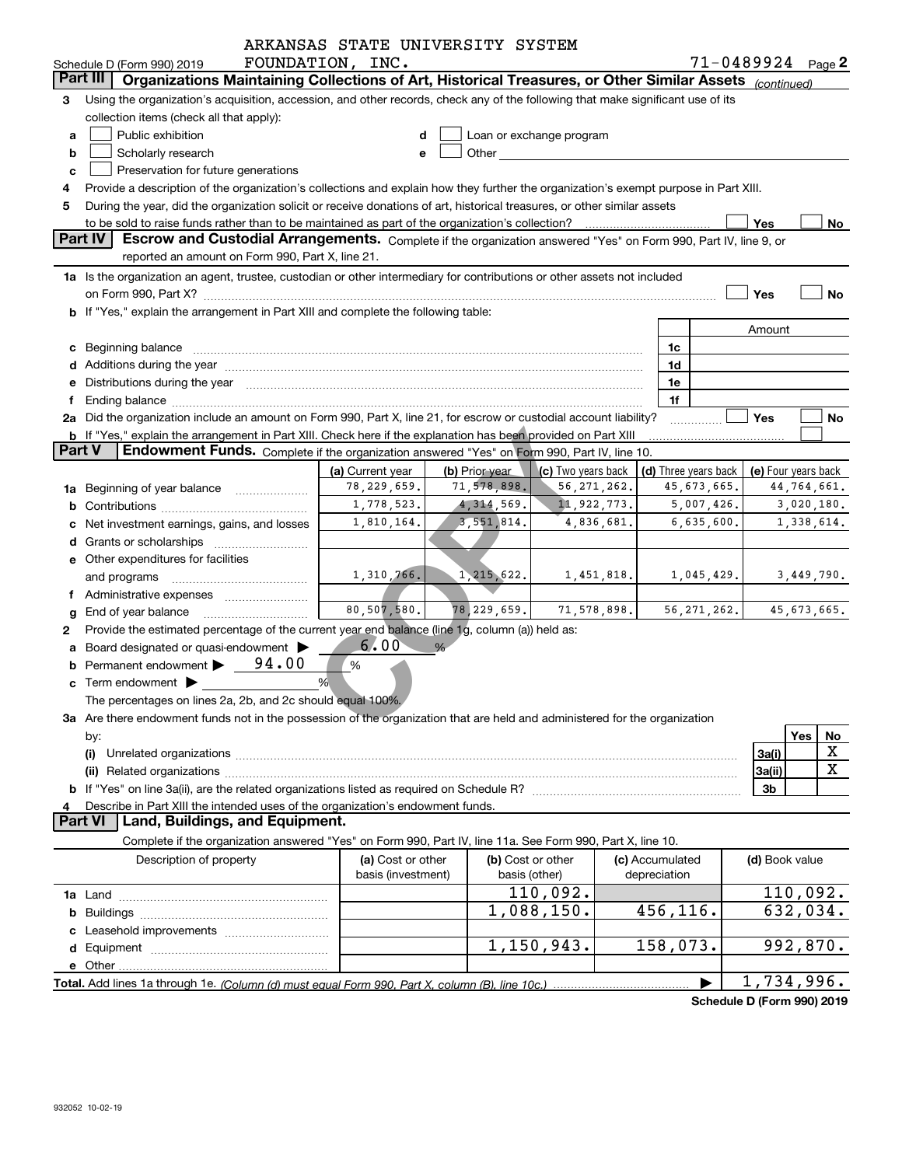|               |                                                                                                                                                                                                                                | ARKANSAS STATE UNIVERSITY SYSTEM |                |                                                                                                                                                                                                                                |             |                      |            |                |                       |
|---------------|--------------------------------------------------------------------------------------------------------------------------------------------------------------------------------------------------------------------------------|----------------------------------|----------------|--------------------------------------------------------------------------------------------------------------------------------------------------------------------------------------------------------------------------------|-------------|----------------------|------------|----------------|-----------------------|
|               | Schedule D (Form 990) 2019                                                                                                                                                                                                     | FOUNDATION, INC.                 |                |                                                                                                                                                                                                                                |             |                      |            |                | $71 - 0489924$ Page 2 |
|               | Part III<br>Organizations Maintaining Collections of Art, Historical Treasures, or Other Similar Assets (continued)                                                                                                            |                                  |                |                                                                                                                                                                                                                                |             |                      |            |                |                       |
| 3             | Using the organization's acquisition, accession, and other records, check any of the following that make significant use of its                                                                                                |                                  |                |                                                                                                                                                                                                                                |             |                      |            |                |                       |
|               | collection items (check all that apply):                                                                                                                                                                                       |                                  |                |                                                                                                                                                                                                                                |             |                      |            |                |                       |
| a             | Public exhibition                                                                                                                                                                                                              |                                  |                | Loan or exchange program                                                                                                                                                                                                       |             |                      |            |                |                       |
| b             | Scholarly research                                                                                                                                                                                                             |                                  |                | Other the contract of the contract of the contract of the contract of the contract of the contract of the contract of the contract of the contract of the contract of the contract of the contract of the contract of the cont |             |                      |            |                |                       |
| c             | Preservation for future generations                                                                                                                                                                                            |                                  |                |                                                                                                                                                                                                                                |             |                      |            |                |                       |
|               | Provide a description of the organization's collections and explain how they further the organization's exempt purpose in Part XIII.                                                                                           |                                  |                |                                                                                                                                                                                                                                |             |                      |            |                |                       |
| 5             | During the year, did the organization solicit or receive donations of art, historical treasures, or other similar assets                                                                                                       |                                  |                |                                                                                                                                                                                                                                |             |                      |            |                |                       |
|               |                                                                                                                                                                                                                                |                                  |                |                                                                                                                                                                                                                                |             |                      |            | Yes            | No                    |
|               | <b>Part IV</b><br>Escrow and Custodial Arrangements. Complete if the organization answered "Yes" on Form 990, Part IV, line 9, or                                                                                              |                                  |                |                                                                                                                                                                                                                                |             |                      |            |                |                       |
|               | reported an amount on Form 990, Part X, line 21.                                                                                                                                                                               |                                  |                |                                                                                                                                                                                                                                |             |                      |            |                |                       |
|               | 1a Is the organization an agent, trustee, custodian or other intermediary for contributions or other assets not included                                                                                                       |                                  |                |                                                                                                                                                                                                                                |             |                      |            |                |                       |
|               |                                                                                                                                                                                                                                |                                  |                |                                                                                                                                                                                                                                |             |                      |            | Yes            | <b>No</b>             |
|               | b If "Yes," explain the arrangement in Part XIII and complete the following table:                                                                                                                                             |                                  |                |                                                                                                                                                                                                                                |             |                      |            |                |                       |
|               |                                                                                                                                                                                                                                |                                  |                |                                                                                                                                                                                                                                |             |                      |            | Amount         |                       |
|               | c Beginning balance measurements and the contract of the contract of the contract of the contract of the contract of the contract of the contract of the contract of the contract of the contract of the contract of the contr |                                  |                |                                                                                                                                                                                                                                |             | 1c                   |            |                |                       |
|               |                                                                                                                                                                                                                                |                                  |                |                                                                                                                                                                                                                                |             | 1d                   |            |                |                       |
|               | e Distributions during the year manufactured and continuum and control of the control of the control of the control of the control of the control of the control of the control of the control of the control of the control o |                                  |                |                                                                                                                                                                                                                                |             | 1e                   |            |                |                       |
| f             | Ending balance manufactured and contract and contract the contract of the contract of the contract of the contract of the contract of the contract of the contract of the contract of the contract of the contract of the cont |                                  |                |                                                                                                                                                                                                                                |             | 1f                   |            |                |                       |
|               | 2a Did the organization include an amount on Form 990, Part X, line 21, for escrow or custodial account liability?                                                                                                             |                                  |                |                                                                                                                                                                                                                                |             |                      |            | Yes            | No                    |
| <b>Part V</b> | b If "Yes," explain the arrangement in Part XIII. Check here if the explanation has been provided on Part XIII                                                                                                                 |                                  |                |                                                                                                                                                                                                                                |             |                      |            |                |                       |
|               | Endowment Funds. Complete if the organization answered "Yes" on Form 990, Part IV, line 10.                                                                                                                                    |                                  |                |                                                                                                                                                                                                                                |             |                      |            |                |                       |
|               |                                                                                                                                                                                                                                | (a) Current year                 | (b) Prior year | (c) Two years back                                                                                                                                                                                                             |             | (d) Three years back |            |                | (e) Four years back   |
|               | 1a Beginning of year balance                                                                                                                                                                                                   | 78, 229, 659.                    | 71, 578, 898.  | 56,271,262.                                                                                                                                                                                                                    |             | 45,673,665.          |            |                | 44,764,661.           |
|               |                                                                                                                                                                                                                                | 1,778,523.                       | 4, 314, 569.   | 11,922,773.                                                                                                                                                                                                                    |             |                      | 5,007,426. |                | 3,020,180.            |
|               | Net investment earnings, gains, and losses                                                                                                                                                                                     | 1,810,164.                       | 3,551,814.     |                                                                                                                                                                                                                                | 4,836,681.  |                      | 6,635,600. |                | 1,338,614.            |
|               |                                                                                                                                                                                                                                |                                  |                |                                                                                                                                                                                                                                |             |                      |            |                |                       |
|               | e Other expenditures for facilities                                                                                                                                                                                            |                                  |                |                                                                                                                                                                                                                                |             |                      |            |                |                       |
|               | and programs                                                                                                                                                                                                                   | 1,310,766.                       | 1, 215, 622.   |                                                                                                                                                                                                                                | 1,451,818.  |                      | 1,045,429. |                | 3,449,790.            |
|               | f Administrative expenses                                                                                                                                                                                                      | 80,507,580.                      |                |                                                                                                                                                                                                                                |             |                      |            |                |                       |
|               | <b>g</b> End of year balance $\ldots$                                                                                                                                                                                          |                                  | 78, 229, 659.  |                                                                                                                                                                                                                                | 71,578,898. | 56, 271, 262.        |            |                | 45,673,665.           |
| 2             | Provide the estimated percentage of the current year end balance (line 1g, column (a)) held as:                                                                                                                                |                                  |                |                                                                                                                                                                                                                                |             |                      |            |                |                       |
|               | a Board designated or quasi-endowment >                                                                                                                                                                                        | 6.00                             | $\frac{0}{6}$  |                                                                                                                                                                                                                                |             |                      |            |                |                       |
|               | Permanent endowment $\blacktriangleright$ 94.00                                                                                                                                                                                | %                                |                |                                                                                                                                                                                                                                |             |                      |            |                |                       |
|               | $\mathbf c$ Term endowment $\blacktriangleright$                                                                                                                                                                               | %                                |                |                                                                                                                                                                                                                                |             |                      |            |                |                       |
|               | The percentages on lines 2a, 2b, and 2c should equal 100%.                                                                                                                                                                     |                                  |                |                                                                                                                                                                                                                                |             |                      |            |                |                       |
|               | 3a Are there endowment funds not in the possession of the organization that are held and administered for the organization                                                                                                     |                                  |                |                                                                                                                                                                                                                                |             |                      |            |                |                       |
|               | by:                                                                                                                                                                                                                            |                                  |                |                                                                                                                                                                                                                                |             |                      |            |                | Yes<br>No<br>х        |
|               | (i)                                                                                                                                                                                                                            |                                  |                |                                                                                                                                                                                                                                |             |                      |            | 3a(i)          | X                     |
|               |                                                                                                                                                                                                                                |                                  |                |                                                                                                                                                                                                                                |             |                      |            | 3a(ii)         |                       |
|               |                                                                                                                                                                                                                                |                                  |                |                                                                                                                                                                                                                                |             |                      |            | 3b             |                       |
| 4             | Describe in Part XIII the intended uses of the organization's endowment funds.<br>Land, Buildings, and Equipment.<br><b>Part VI</b>                                                                                            |                                  |                |                                                                                                                                                                                                                                |             |                      |            |                |                       |
|               | Complete if the organization answered "Yes" on Form 990, Part IV, line 11a. See Form 990, Part X, line 10.                                                                                                                     |                                  |                |                                                                                                                                                                                                                                |             |                      |            |                |                       |
|               | Description of property                                                                                                                                                                                                        | (a) Cost or other                |                | (b) Cost or other                                                                                                                                                                                                              |             | (c) Accumulated      |            | (d) Book value |                       |
|               |                                                                                                                                                                                                                                | basis (investment)               |                | basis (other)                                                                                                                                                                                                                  |             | depreciation         |            |                |                       |
|               |                                                                                                                                                                                                                                |                                  |                | 110,092.                                                                                                                                                                                                                       |             |                      |            |                | 110,092.              |
|               |                                                                                                                                                                                                                                |                                  |                | 1,088,150.                                                                                                                                                                                                                     |             | 456,116.             |            |                | 632,034.              |
|               |                                                                                                                                                                                                                                |                                  |                |                                                                                                                                                                                                                                |             |                      |            |                |                       |
|               |                                                                                                                                                                                                                                |                                  |                | 1,150,943.                                                                                                                                                                                                                     |             | 158,073.             |            |                | 992,870.              |
|               |                                                                                                                                                                                                                                |                                  |                |                                                                                                                                                                                                                                |             |                      |            |                |                       |
|               |                                                                                                                                                                                                                                |                                  |                |                                                                                                                                                                                                                                |             |                      |            |                | 1,734,996.            |
|               |                                                                                                                                                                                                                                |                                  |                |                                                                                                                                                                                                                                |             |                      |            |                |                       |

**Schedule D (Form 990) 2019**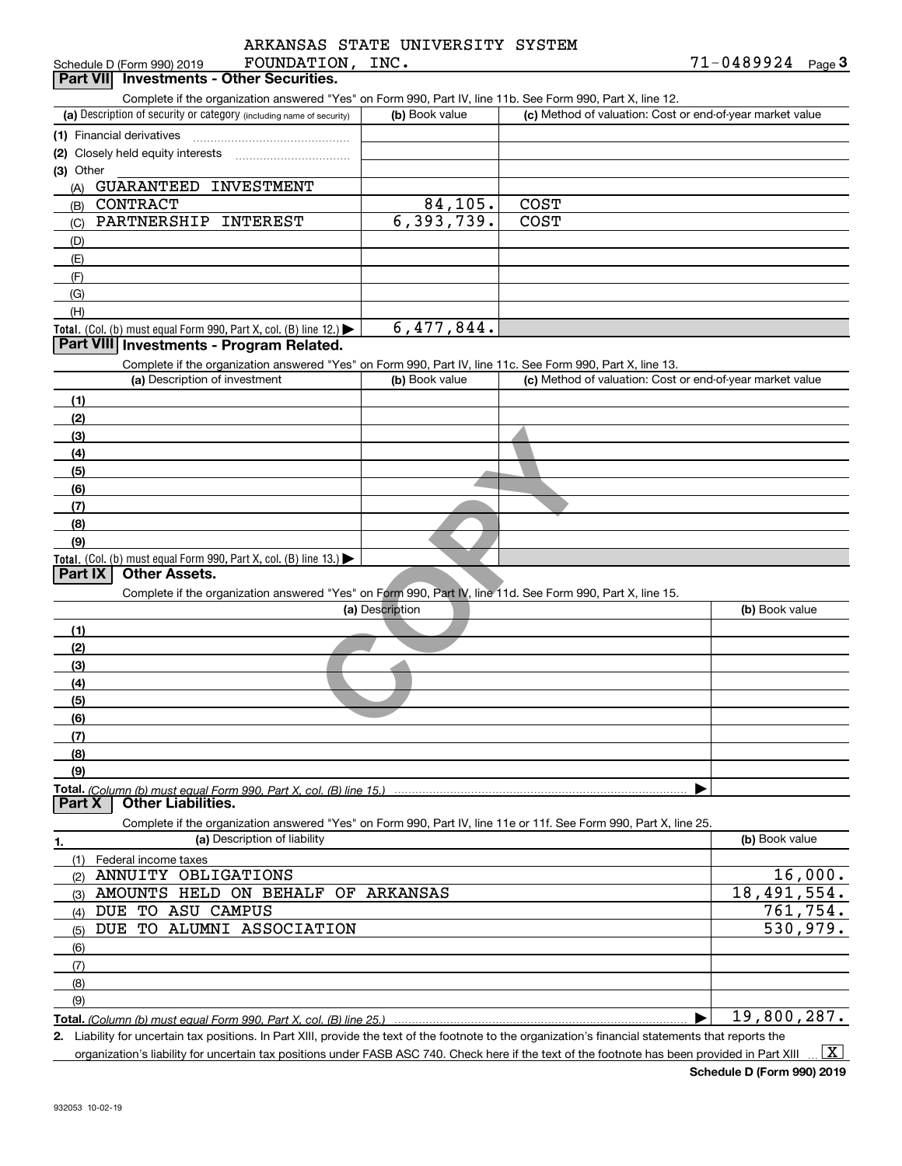| ANNANDAD      |  |  |        | U |
|---------------|--|--|--------|---|
| 7077777777727 |  |  | $-1-1$ |   |

| FOUNDATION,<br>Schedule D (Form 990) 2019                                                                         | INC.            |                                                           | $71 - 0489924$ Page 3                                         |
|-------------------------------------------------------------------------------------------------------------------|-----------------|-----------------------------------------------------------|---------------------------------------------------------------|
| <b>Investments - Other Securities.</b><br><b>Part VII</b>                                                         |                 |                                                           |                                                               |
| Complete if the organization answered "Yes" on Form 990, Part IV, line 11b. See Form 990, Part X, line 12.        |                 |                                                           |                                                               |
| (a) Description of security or category (including name of security)                                              | (b) Book value  | (c) Method of valuation: Cost or end-of-year market value |                                                               |
| (1) Financial derivatives                                                                                         |                 |                                                           |                                                               |
| (2) Closely held equity interests                                                                                 |                 |                                                           |                                                               |
| (3) Other                                                                                                         |                 |                                                           |                                                               |
| <b>GUARANTEED</b><br>INVESTMENT<br>(A)                                                                            |                 |                                                           |                                                               |
| <b>CONTRACT</b><br>(B)                                                                                            | 84,105.         | <b>COST</b>                                               |                                                               |
| PARTNERSHIP<br><b>INTEREST</b><br>(C)                                                                             | 6, 393, 739.    | <b>COST</b>                                               |                                                               |
| (D)                                                                                                               |                 |                                                           |                                                               |
| (E)                                                                                                               |                 |                                                           |                                                               |
| (F)                                                                                                               |                 |                                                           |                                                               |
| (G)                                                                                                               |                 |                                                           |                                                               |
| (H)                                                                                                               |                 |                                                           |                                                               |
| Total. (Col. (b) must equal Form 990, Part X, col. (B) line 12.) $\blacktriangleright$                            | 6,477,844.      |                                                           |                                                               |
| Part VIII Investments - Program Related.                                                                          |                 |                                                           |                                                               |
| Complete if the organization answered "Yes" on Form 990, Part IV, line 11c. See Form 990, Part X, line 13.        |                 |                                                           |                                                               |
| (a) Description of investment                                                                                     | (b) Book value  | (c) Method of valuation: Cost or end-of-year market value |                                                               |
| (1)                                                                                                               |                 |                                                           |                                                               |
| (2)                                                                                                               |                 |                                                           |                                                               |
| (3)                                                                                                               |                 |                                                           |                                                               |
| (4)                                                                                                               |                 |                                                           |                                                               |
| (5)                                                                                                               |                 |                                                           |                                                               |
| (6)                                                                                                               |                 |                                                           |                                                               |
| (7)                                                                                                               |                 |                                                           |                                                               |
| (8)                                                                                                               |                 |                                                           |                                                               |
| (9)                                                                                                               |                 |                                                           |                                                               |
| Total. (Col. (b) must equal Form 990, Part X, col. (B) line 13.)                                                  |                 |                                                           |                                                               |
| Part IX<br><b>Other Assets.</b>                                                                                   |                 |                                                           |                                                               |
| Complete if the organization answered "Yes" on Form 990, Part IV, line 11d. See Form 990, Part X, line 15.        |                 |                                                           |                                                               |
|                                                                                                                   | (a) Description |                                                           | (b) Book value                                                |
| (1)                                                                                                               |                 |                                                           |                                                               |
| (2)                                                                                                               |                 |                                                           |                                                               |
| (3)                                                                                                               |                 |                                                           |                                                               |
| (4)                                                                                                               |                 |                                                           |                                                               |
| (5)                                                                                                               |                 |                                                           |                                                               |
| (6)                                                                                                               |                 |                                                           |                                                               |
|                                                                                                                   |                 |                                                           |                                                               |
|                                                                                                                   |                 |                                                           |                                                               |
| (7)                                                                                                               |                 |                                                           |                                                               |
| (8)                                                                                                               |                 |                                                           |                                                               |
| (9)                                                                                                               |                 |                                                           |                                                               |
|                                                                                                                   |                 |                                                           |                                                               |
| <b>Other Liabilities.</b><br>Part X                                                                               |                 |                                                           |                                                               |
| Complete if the organization answered "Yes" on Form 990, Part IV, line 11e or 11f. See Form 990, Part X, line 25. |                 |                                                           |                                                               |
| (a) Description of liability                                                                                      |                 |                                                           | (b) Book value                                                |
| Federal income taxes<br>(1)                                                                                       |                 |                                                           |                                                               |
| ANNUITY OBLIGATIONS<br>(2)                                                                                        |                 |                                                           |                                                               |
| AMOUNTS HELD ON BEHALF OF ARKANSAS<br>(3)                                                                         |                 |                                                           |                                                               |
| DUE TO ASU CAMPUS<br>(4)                                                                                          |                 |                                                           |                                                               |
| DUE TO ALUMNI ASSOCIATION<br>(5)                                                                                  |                 |                                                           |                                                               |
| (6)                                                                                                               |                 |                                                           |                                                               |
| (7)                                                                                                               |                 |                                                           |                                                               |
| (8)                                                                                                               |                 |                                                           |                                                               |
| 1.<br>(9)                                                                                                         |                 |                                                           | 16,000.<br>18,491,554.<br>761,754.<br>530,979.<br>19,800,287. |

organization's liability for uncertain tax positions under FASB ASC 740. Check here if the text of the footnote has been provided in Part XIII  $\boxed{\text{X}}$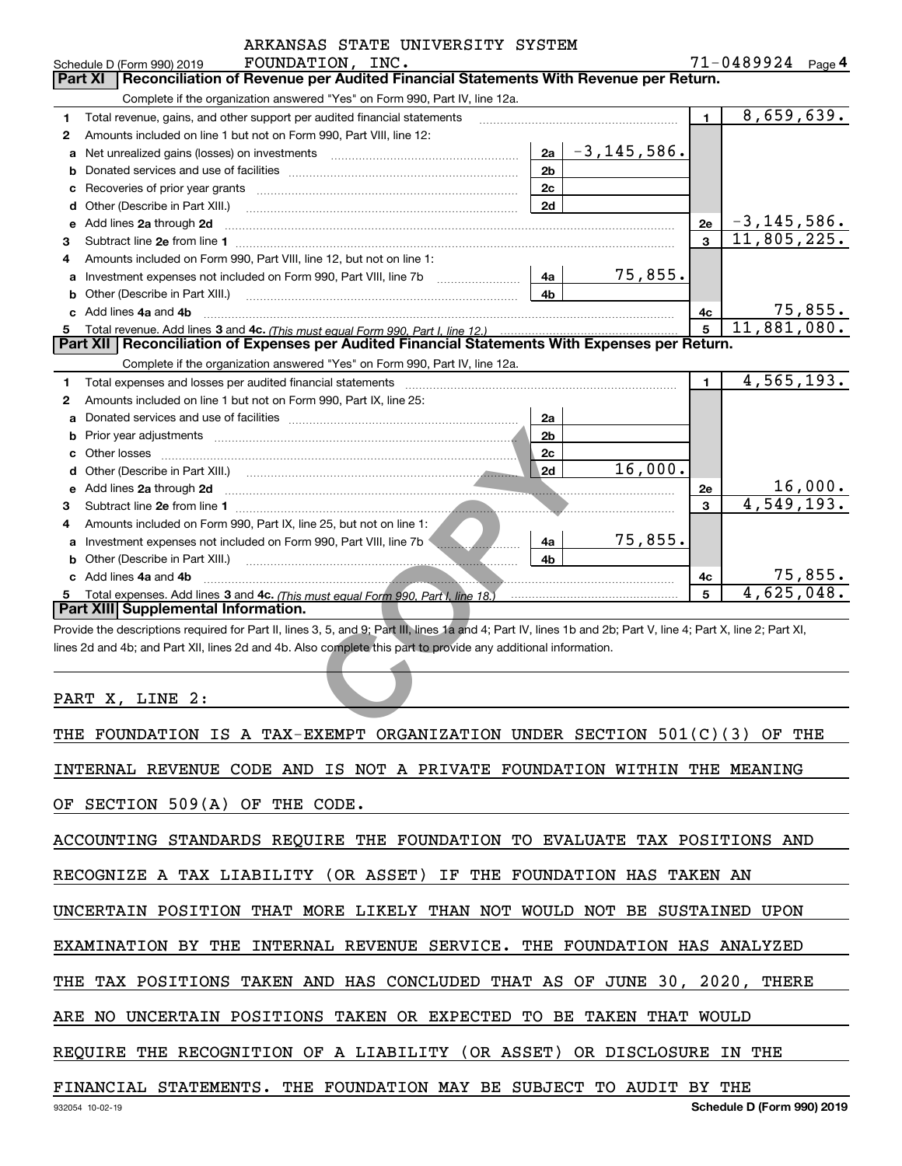| $71 - 0489924$ Page 4<br>FOUNDATION, INC.<br>Schedule D (Form 990) 2019<br>Reconciliation of Revenue per Audited Financial Statements With Revenue per Return.<br><b>Part XI</b><br>Complete if the organization answered "Yes" on Form 990, Part IV, line 12a.<br>8,659,639.<br>$\blacksquare$<br>Total revenue, gains, and other support per audited financial statements<br>1<br>Amounts included on line 1 but not on Form 990, Part VIII, line 12:<br>2<br>$-3, 145, 586$ .<br>2a<br>2 <sub>b</sub><br>b<br>2c<br>c<br>2d<br>Other (Describe in Part XIII.)<br>d<br>$-3, 145, 586.$<br>Add lines 2a through 2d<br>2e<br>е<br>11,805,225.<br>3<br>Subtract line 2e from line 1<br>3<br>Amounts included on Form 990, Part VIII, line 12, but not on line 1:<br>4<br>75,855.<br><b>a</b> Investment expenses not included on Form 990, Part VIII, line 7b<br>4а<br>4 <sub>b</sub><br>Other (Describe in Part XIII.)<br>b<br>75,855.<br>c Add lines 4a and 4b<br>4c<br>11,881,080.<br>5<br>Total revenue. Add lines 3 and 4c. (This must equal Form 990, Part I. line 12.)<br>5<br>Part XII   Reconciliation of Expenses per Audited Financial Statements With Expenses per Return.<br>Complete if the organization answered "Yes" on Form 990, Part IV, line 12a.<br>4,565,193.<br>$\blacksquare$<br>1<br>Amounts included on line 1 but not on Form 990, Part IX, line 25:<br>2<br>2a<br>a<br>2 <sub>b</sub><br>b<br>2c<br>Other losses<br>c<br>16,000.<br>2d<br>Other (Describe in Part XIII.) (2000) (2000) (2000) (2000) (2000) (2000) (2000) (2000) (2000) (2000) (2000) (2000) (2000) (2000) (2000) (2000) (2000) (2000) (2000) (2000) (2000) (2000) (2000) (2000) (2000) (2000) (2000) (2<br>d<br>16,000.<br>Add lines 2a through 2d <b>contract and the contract of the contract of the contract of the contract of the contract of the contract of the contract of the contract of the contract of the contract of the contract of the cont</b><br><b>2e</b><br>е<br>4,549,193.<br>3<br>3<br>Amounts included on Form 990, Part IX, line 25, but not on line 1:<br>4<br>75,855.<br>Investment expenses not included on Form 990, Part VIII, line 7b<br>4a<br>a<br>4b<br>Other (Describe in Part XIII.)<br>b<br>75,855.<br>Add lines 4a and 4b<br>4с<br>c.<br>4,625,048.<br>5<br>5<br>Part XIII Supplemental Information.<br>Provide the descriptions required for Part II, lines 3, 5, and 9; Part III, lines 1a and 4; Part IV, lines 1b and 2b; Part V, line 4; Part X, line 2; Part XI,<br>lines 2d and 4b; and Part XII, lines 2d and 4b. Also complete this part to provide any additional information.<br>PART X, LINE 2:<br>GBAMTAM E01/A1121 A<br>mum moto | ARKANSAS STATE UNIVERSITY SYSTEM |  |  |
|--------------------------------------------------------------------------------------------------------------------------------------------------------------------------------------------------------------------------------------------------------------------------------------------------------------------------------------------------------------------------------------------------------------------------------------------------------------------------------------------------------------------------------------------------------------------------------------------------------------------------------------------------------------------------------------------------------------------------------------------------------------------------------------------------------------------------------------------------------------------------------------------------------------------------------------------------------------------------------------------------------------------------------------------------------------------------------------------------------------------------------------------------------------------------------------------------------------------------------------------------------------------------------------------------------------------------------------------------------------------------------------------------------------------------------------------------------------------------------------------------------------------------------------------------------------------------------------------------------------------------------------------------------------------------------------------------------------------------------------------------------------------------------------------------------------------------------------------------------------------------------------------------------------------------------------------------------------------------------------------------------------------------------------------------------------------------------------------------------------------------------------------------------------------------------------------------------------------------------------------------------------------------------------------------------------------------------------------------------------------------------------------------------------------------------------------------------------------------------------------------------------------------------------------------------------------------------------------------------------------------------------------------------------------------------|----------------------------------|--|--|
|                                                                                                                                                                                                                                                                                                                                                                                                                                                                                                                                                                                                                                                                                                                                                                                                                                                                                                                                                                                                                                                                                                                                                                                                                                                                                                                                                                                                                                                                                                                                                                                                                                                                                                                                                                                                                                                                                                                                                                                                                                                                                                                                                                                                                                                                                                                                                                                                                                                                                                                                                                                                                                                                                |                                  |  |  |
|                                                                                                                                                                                                                                                                                                                                                                                                                                                                                                                                                                                                                                                                                                                                                                                                                                                                                                                                                                                                                                                                                                                                                                                                                                                                                                                                                                                                                                                                                                                                                                                                                                                                                                                                                                                                                                                                                                                                                                                                                                                                                                                                                                                                                                                                                                                                                                                                                                                                                                                                                                                                                                                                                |                                  |  |  |
|                                                                                                                                                                                                                                                                                                                                                                                                                                                                                                                                                                                                                                                                                                                                                                                                                                                                                                                                                                                                                                                                                                                                                                                                                                                                                                                                                                                                                                                                                                                                                                                                                                                                                                                                                                                                                                                                                                                                                                                                                                                                                                                                                                                                                                                                                                                                                                                                                                                                                                                                                                                                                                                                                |                                  |  |  |
|                                                                                                                                                                                                                                                                                                                                                                                                                                                                                                                                                                                                                                                                                                                                                                                                                                                                                                                                                                                                                                                                                                                                                                                                                                                                                                                                                                                                                                                                                                                                                                                                                                                                                                                                                                                                                                                                                                                                                                                                                                                                                                                                                                                                                                                                                                                                                                                                                                                                                                                                                                                                                                                                                |                                  |  |  |
|                                                                                                                                                                                                                                                                                                                                                                                                                                                                                                                                                                                                                                                                                                                                                                                                                                                                                                                                                                                                                                                                                                                                                                                                                                                                                                                                                                                                                                                                                                                                                                                                                                                                                                                                                                                                                                                                                                                                                                                                                                                                                                                                                                                                                                                                                                                                                                                                                                                                                                                                                                                                                                                                                |                                  |  |  |
|                                                                                                                                                                                                                                                                                                                                                                                                                                                                                                                                                                                                                                                                                                                                                                                                                                                                                                                                                                                                                                                                                                                                                                                                                                                                                                                                                                                                                                                                                                                                                                                                                                                                                                                                                                                                                                                                                                                                                                                                                                                                                                                                                                                                                                                                                                                                                                                                                                                                                                                                                                                                                                                                                |                                  |  |  |
|                                                                                                                                                                                                                                                                                                                                                                                                                                                                                                                                                                                                                                                                                                                                                                                                                                                                                                                                                                                                                                                                                                                                                                                                                                                                                                                                                                                                                                                                                                                                                                                                                                                                                                                                                                                                                                                                                                                                                                                                                                                                                                                                                                                                                                                                                                                                                                                                                                                                                                                                                                                                                                                                                |                                  |  |  |
|                                                                                                                                                                                                                                                                                                                                                                                                                                                                                                                                                                                                                                                                                                                                                                                                                                                                                                                                                                                                                                                                                                                                                                                                                                                                                                                                                                                                                                                                                                                                                                                                                                                                                                                                                                                                                                                                                                                                                                                                                                                                                                                                                                                                                                                                                                                                                                                                                                                                                                                                                                                                                                                                                |                                  |  |  |
|                                                                                                                                                                                                                                                                                                                                                                                                                                                                                                                                                                                                                                                                                                                                                                                                                                                                                                                                                                                                                                                                                                                                                                                                                                                                                                                                                                                                                                                                                                                                                                                                                                                                                                                                                                                                                                                                                                                                                                                                                                                                                                                                                                                                                                                                                                                                                                                                                                                                                                                                                                                                                                                                                |                                  |  |  |
|                                                                                                                                                                                                                                                                                                                                                                                                                                                                                                                                                                                                                                                                                                                                                                                                                                                                                                                                                                                                                                                                                                                                                                                                                                                                                                                                                                                                                                                                                                                                                                                                                                                                                                                                                                                                                                                                                                                                                                                                                                                                                                                                                                                                                                                                                                                                                                                                                                                                                                                                                                                                                                                                                |                                  |  |  |
|                                                                                                                                                                                                                                                                                                                                                                                                                                                                                                                                                                                                                                                                                                                                                                                                                                                                                                                                                                                                                                                                                                                                                                                                                                                                                                                                                                                                                                                                                                                                                                                                                                                                                                                                                                                                                                                                                                                                                                                                                                                                                                                                                                                                                                                                                                                                                                                                                                                                                                                                                                                                                                                                                |                                  |  |  |
|                                                                                                                                                                                                                                                                                                                                                                                                                                                                                                                                                                                                                                                                                                                                                                                                                                                                                                                                                                                                                                                                                                                                                                                                                                                                                                                                                                                                                                                                                                                                                                                                                                                                                                                                                                                                                                                                                                                                                                                                                                                                                                                                                                                                                                                                                                                                                                                                                                                                                                                                                                                                                                                                                |                                  |  |  |
|                                                                                                                                                                                                                                                                                                                                                                                                                                                                                                                                                                                                                                                                                                                                                                                                                                                                                                                                                                                                                                                                                                                                                                                                                                                                                                                                                                                                                                                                                                                                                                                                                                                                                                                                                                                                                                                                                                                                                                                                                                                                                                                                                                                                                                                                                                                                                                                                                                                                                                                                                                                                                                                                                |                                  |  |  |
|                                                                                                                                                                                                                                                                                                                                                                                                                                                                                                                                                                                                                                                                                                                                                                                                                                                                                                                                                                                                                                                                                                                                                                                                                                                                                                                                                                                                                                                                                                                                                                                                                                                                                                                                                                                                                                                                                                                                                                                                                                                                                                                                                                                                                                                                                                                                                                                                                                                                                                                                                                                                                                                                                |                                  |  |  |
|                                                                                                                                                                                                                                                                                                                                                                                                                                                                                                                                                                                                                                                                                                                                                                                                                                                                                                                                                                                                                                                                                                                                                                                                                                                                                                                                                                                                                                                                                                                                                                                                                                                                                                                                                                                                                                                                                                                                                                                                                                                                                                                                                                                                                                                                                                                                                                                                                                                                                                                                                                                                                                                                                |                                  |  |  |
|                                                                                                                                                                                                                                                                                                                                                                                                                                                                                                                                                                                                                                                                                                                                                                                                                                                                                                                                                                                                                                                                                                                                                                                                                                                                                                                                                                                                                                                                                                                                                                                                                                                                                                                                                                                                                                                                                                                                                                                                                                                                                                                                                                                                                                                                                                                                                                                                                                                                                                                                                                                                                                                                                |                                  |  |  |
|                                                                                                                                                                                                                                                                                                                                                                                                                                                                                                                                                                                                                                                                                                                                                                                                                                                                                                                                                                                                                                                                                                                                                                                                                                                                                                                                                                                                                                                                                                                                                                                                                                                                                                                                                                                                                                                                                                                                                                                                                                                                                                                                                                                                                                                                                                                                                                                                                                                                                                                                                                                                                                                                                |                                  |  |  |
|                                                                                                                                                                                                                                                                                                                                                                                                                                                                                                                                                                                                                                                                                                                                                                                                                                                                                                                                                                                                                                                                                                                                                                                                                                                                                                                                                                                                                                                                                                                                                                                                                                                                                                                                                                                                                                                                                                                                                                                                                                                                                                                                                                                                                                                                                                                                                                                                                                                                                                                                                                                                                                                                                |                                  |  |  |
|                                                                                                                                                                                                                                                                                                                                                                                                                                                                                                                                                                                                                                                                                                                                                                                                                                                                                                                                                                                                                                                                                                                                                                                                                                                                                                                                                                                                                                                                                                                                                                                                                                                                                                                                                                                                                                                                                                                                                                                                                                                                                                                                                                                                                                                                                                                                                                                                                                                                                                                                                                                                                                                                                |                                  |  |  |
|                                                                                                                                                                                                                                                                                                                                                                                                                                                                                                                                                                                                                                                                                                                                                                                                                                                                                                                                                                                                                                                                                                                                                                                                                                                                                                                                                                                                                                                                                                                                                                                                                                                                                                                                                                                                                                                                                                                                                                                                                                                                                                                                                                                                                                                                                                                                                                                                                                                                                                                                                                                                                                                                                |                                  |  |  |
|                                                                                                                                                                                                                                                                                                                                                                                                                                                                                                                                                                                                                                                                                                                                                                                                                                                                                                                                                                                                                                                                                                                                                                                                                                                                                                                                                                                                                                                                                                                                                                                                                                                                                                                                                                                                                                                                                                                                                                                                                                                                                                                                                                                                                                                                                                                                                                                                                                                                                                                                                                                                                                                                                |                                  |  |  |
|                                                                                                                                                                                                                                                                                                                                                                                                                                                                                                                                                                                                                                                                                                                                                                                                                                                                                                                                                                                                                                                                                                                                                                                                                                                                                                                                                                                                                                                                                                                                                                                                                                                                                                                                                                                                                                                                                                                                                                                                                                                                                                                                                                                                                                                                                                                                                                                                                                                                                                                                                                                                                                                                                |                                  |  |  |
|                                                                                                                                                                                                                                                                                                                                                                                                                                                                                                                                                                                                                                                                                                                                                                                                                                                                                                                                                                                                                                                                                                                                                                                                                                                                                                                                                                                                                                                                                                                                                                                                                                                                                                                                                                                                                                                                                                                                                                                                                                                                                                                                                                                                                                                                                                                                                                                                                                                                                                                                                                                                                                                                                |                                  |  |  |
|                                                                                                                                                                                                                                                                                                                                                                                                                                                                                                                                                                                                                                                                                                                                                                                                                                                                                                                                                                                                                                                                                                                                                                                                                                                                                                                                                                                                                                                                                                                                                                                                                                                                                                                                                                                                                                                                                                                                                                                                                                                                                                                                                                                                                                                                                                                                                                                                                                                                                                                                                                                                                                                                                |                                  |  |  |
|                                                                                                                                                                                                                                                                                                                                                                                                                                                                                                                                                                                                                                                                                                                                                                                                                                                                                                                                                                                                                                                                                                                                                                                                                                                                                                                                                                                                                                                                                                                                                                                                                                                                                                                                                                                                                                                                                                                                                                                                                                                                                                                                                                                                                                                                                                                                                                                                                                                                                                                                                                                                                                                                                |                                  |  |  |
|                                                                                                                                                                                                                                                                                                                                                                                                                                                                                                                                                                                                                                                                                                                                                                                                                                                                                                                                                                                                                                                                                                                                                                                                                                                                                                                                                                                                                                                                                                                                                                                                                                                                                                                                                                                                                                                                                                                                                                                                                                                                                                                                                                                                                                                                                                                                                                                                                                                                                                                                                                                                                                                                                |                                  |  |  |
|                                                                                                                                                                                                                                                                                                                                                                                                                                                                                                                                                                                                                                                                                                                                                                                                                                                                                                                                                                                                                                                                                                                                                                                                                                                                                                                                                                                                                                                                                                                                                                                                                                                                                                                                                                                                                                                                                                                                                                                                                                                                                                                                                                                                                                                                                                                                                                                                                                                                                                                                                                                                                                                                                |                                  |  |  |
|                                                                                                                                                                                                                                                                                                                                                                                                                                                                                                                                                                                                                                                                                                                                                                                                                                                                                                                                                                                                                                                                                                                                                                                                                                                                                                                                                                                                                                                                                                                                                                                                                                                                                                                                                                                                                                                                                                                                                                                                                                                                                                                                                                                                                                                                                                                                                                                                                                                                                                                                                                                                                                                                                |                                  |  |  |
|                                                                                                                                                                                                                                                                                                                                                                                                                                                                                                                                                                                                                                                                                                                                                                                                                                                                                                                                                                                                                                                                                                                                                                                                                                                                                                                                                                                                                                                                                                                                                                                                                                                                                                                                                                                                                                                                                                                                                                                                                                                                                                                                                                                                                                                                                                                                                                                                                                                                                                                                                                                                                                                                                |                                  |  |  |
|                                                                                                                                                                                                                                                                                                                                                                                                                                                                                                                                                                                                                                                                                                                                                                                                                                                                                                                                                                                                                                                                                                                                                                                                                                                                                                                                                                                                                                                                                                                                                                                                                                                                                                                                                                                                                                                                                                                                                                                                                                                                                                                                                                                                                                                                                                                                                                                                                                                                                                                                                                                                                                                                                |                                  |  |  |
|                                                                                                                                                                                                                                                                                                                                                                                                                                                                                                                                                                                                                                                                                                                                                                                                                                                                                                                                                                                                                                                                                                                                                                                                                                                                                                                                                                                                                                                                                                                                                                                                                                                                                                                                                                                                                                                                                                                                                                                                                                                                                                                                                                                                                                                                                                                                                                                                                                                                                                                                                                                                                                                                                |                                  |  |  |
|                                                                                                                                                                                                                                                                                                                                                                                                                                                                                                                                                                                                                                                                                                                                                                                                                                                                                                                                                                                                                                                                                                                                                                                                                                                                                                                                                                                                                                                                                                                                                                                                                                                                                                                                                                                                                                                                                                                                                                                                                                                                                                                                                                                                                                                                                                                                                                                                                                                                                                                                                                                                                                                                                |                                  |  |  |
|                                                                                                                                                                                                                                                                                                                                                                                                                                                                                                                                                                                                                                                                                                                                                                                                                                                                                                                                                                                                                                                                                                                                                                                                                                                                                                                                                                                                                                                                                                                                                                                                                                                                                                                                                                                                                                                                                                                                                                                                                                                                                                                                                                                                                                                                                                                                                                                                                                                                                                                                                                                                                                                                                |                                  |  |  |
|                                                                                                                                                                                                                                                                                                                                                                                                                                                                                                                                                                                                                                                                                                                                                                                                                                                                                                                                                                                                                                                                                                                                                                                                                                                                                                                                                                                                                                                                                                                                                                                                                                                                                                                                                                                                                                                                                                                                                                                                                                                                                                                                                                                                                                                                                                                                                                                                                                                                                                                                                                                                                                                                                |                                  |  |  |
|                                                                                                                                                                                                                                                                                                                                                                                                                                                                                                                                                                                                                                                                                                                                                                                                                                                                                                                                                                                                                                                                                                                                                                                                                                                                                                                                                                                                                                                                                                                                                                                                                                                                                                                                                                                                                                                                                                                                                                                                                                                                                                                                                                                                                                                                                                                                                                                                                                                                                                                                                                                                                                                                                |                                  |  |  |
|                                                                                                                                                                                                                                                                                                                                                                                                                                                                                                                                                                                                                                                                                                                                                                                                                                                                                                                                                                                                                                                                                                                                                                                                                                                                                                                                                                                                                                                                                                                                                                                                                                                                                                                                                                                                                                                                                                                                                                                                                                                                                                                                                                                                                                                                                                                                                                                                                                                                                                                                                                                                                                                                                |                                  |  |  |
|                                                                                                                                                                                                                                                                                                                                                                                                                                                                                                                                                                                                                                                                                                                                                                                                                                                                                                                                                                                                                                                                                                                                                                                                                                                                                                                                                                                                                                                                                                                                                                                                                                                                                                                                                                                                                                                                                                                                                                                                                                                                                                                                                                                                                                                                                                                                                                                                                                                                                                                                                                                                                                                                                |                                  |  |  |
|                                                                                                                                                                                                                                                                                                                                                                                                                                                                                                                                                                                                                                                                                                                                                                                                                                                                                                                                                                                                                                                                                                                                                                                                                                                                                                                                                                                                                                                                                                                                                                                                                                                                                                                                                                                                                                                                                                                                                                                                                                                                                                                                                                                                                                                                                                                                                                                                                                                                                                                                                                                                                                                                                |                                  |  |  |

THE FOUNDATION IS A TAX-EXEMPT ORGANIZATION UNDER SECTION 501(C)(3) OF THE

INTERNAL REVENUE CODE AND IS NOT A PRIVATE FOUNDATION WITHIN THE MEANING

OF SECTION 509(A) OF THE CODE.

ACCOUNTING STANDARDS REQUIRE THE FOUNDATION TO EVALUATE TAX POSITIONS AND

RECOGNIZE A TAX LIABILITY (OR ASSET) IF THE FOUNDATION HAS TAKEN AN

UNCERTAIN POSITION THAT MORE LIKELY THAN NOT WOULD NOT BE SUSTAINED UPON

EXAMINATION BY THE INTERNAL REVENUE SERVICE. THE FOUNDATION HAS ANALYZED

THE TAX POSITIONS TAKEN AND HAS CONCLUDED THAT AS OF JUNE 30, 2020, THERE

ARE NO UNCERTAIN POSITIONS TAKEN OR EXPECTED TO BE TAKEN THAT WOULD

REQUIRE THE RECOGNITION OF A LIABILITY (OR ASSET) OR DISCLOSURE IN THE

#### FINANCIAL STATEMENTS. THE FOUNDATION MAY BE SUBJECT TO AUDIT BY THE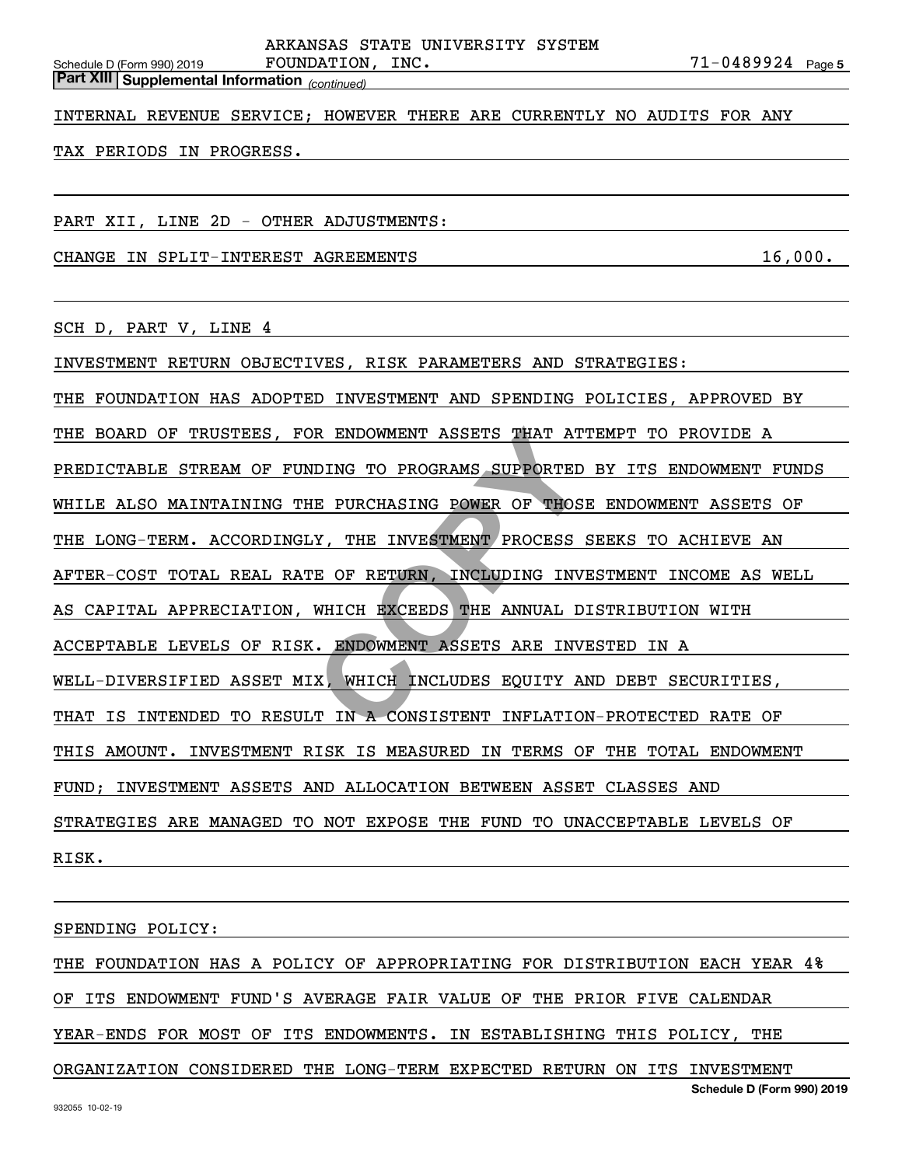**Schedule D (Form 990) 2019**

*(continued)* **Part XIII Supplemental Information** 

INTERNAL REVENUE SERVICE; HOWEVER THERE ARE CURRENTLY NO AUDITS FOR ANY

TAX PERIODS IN PROGRESS.

PART XII, LINE 2D - OTHER ADJUSTMENTS:

CHANGE IN SPLIT-INTEREST AGREEMENTS 16,000.

SCH D, PART V, LINE 4

INVESTMENT RETURN OBJECTIVES, RISK PARAMETERS AND STRATEGIES:

THE FOUNDATION HAS ADOPTED INVESTMENT AND SPENDING POLICIES, APPROVED BY THE BOARD OF TRUSTEES, FOR ENDOWMENT ASSETS THAT ATTEMPT TO PROVIDE A PREDICTABLE STREAM OF FUNDING TO PROGRAMS SUPPORTED BY ITS ENDOWMENT FUNDS WHILE ALSO MAINTAINING THE PURCHASING POWER OF THOSE ENDOWMENT ASSETS OF THE LONG-TERM. ACCORDINGLY, THE INVESTMENT PROCESS SEEKS TO ACHIEVE AN AFTER-COST TOTAL REAL RATE OF RETURN, INCLUDING INVESTMENT INCOME AS WELL AS CAPITAL APPRECIATION, WHICH EXCEEDS THE ANNUAL DISTRIBUTION WITH ACCEPTABLE LEVELS OF RISK. ENDOWMENT ASSETS ARE INVESTED IN A WELL-DIVERSIFIED ASSET MIX, WHICH INCLUDES EQUITY AND DEBT SECURITIES, THAT IS INTENDED TO RESULT IN A CONSISTENT INFLATION-PROTECTED RATE OF THIS AMOUNT. INVESTMENT RISK IS MEASURED IN TERMS OF THE TOTAL ENDOWMENT FUND; INVESTMENT ASSETS AND ALLOCATION BETWEEN ASSET CLASSES AND STRATEGIES ARE MANAGED TO NOT EXPOSE THE FUND TO UNACCEPTABLE LEVELS OF RISK. R ENDOWMENT ASSETS THAT ATT<br>
IDING TO PROGRAMS SUPPORTED<br>
IE PURCHASING POWER OF THOSE<br>
THE INVESTMENT PROCESS<br>
COPY RETURN, INCLUDING INVENTION<br>
COPY THE ANNUAL DI<br>
COPY ANDOWMENT ASSETS ARE INVENTION<br>
COPY ANDOWNENT ASSE

SPENDING POLICY:

THE FOUNDATION HAS A POLICY OF APPROPRIATING FOR DISTRIBUTION EACH YEAR 4% OF ITS ENDOWMENT FUND'S AVERAGE FAIR VALUE OF THE PRIOR FIVE CALENDAR YEAR-ENDS FOR MOST OF ITS ENDOWMENTS. IN ESTABLISHING THIS POLICY, THE ORGANIZATION CONSIDERED THE LONG-TERM EXPECTED RETURN ON ITS INVESTMENT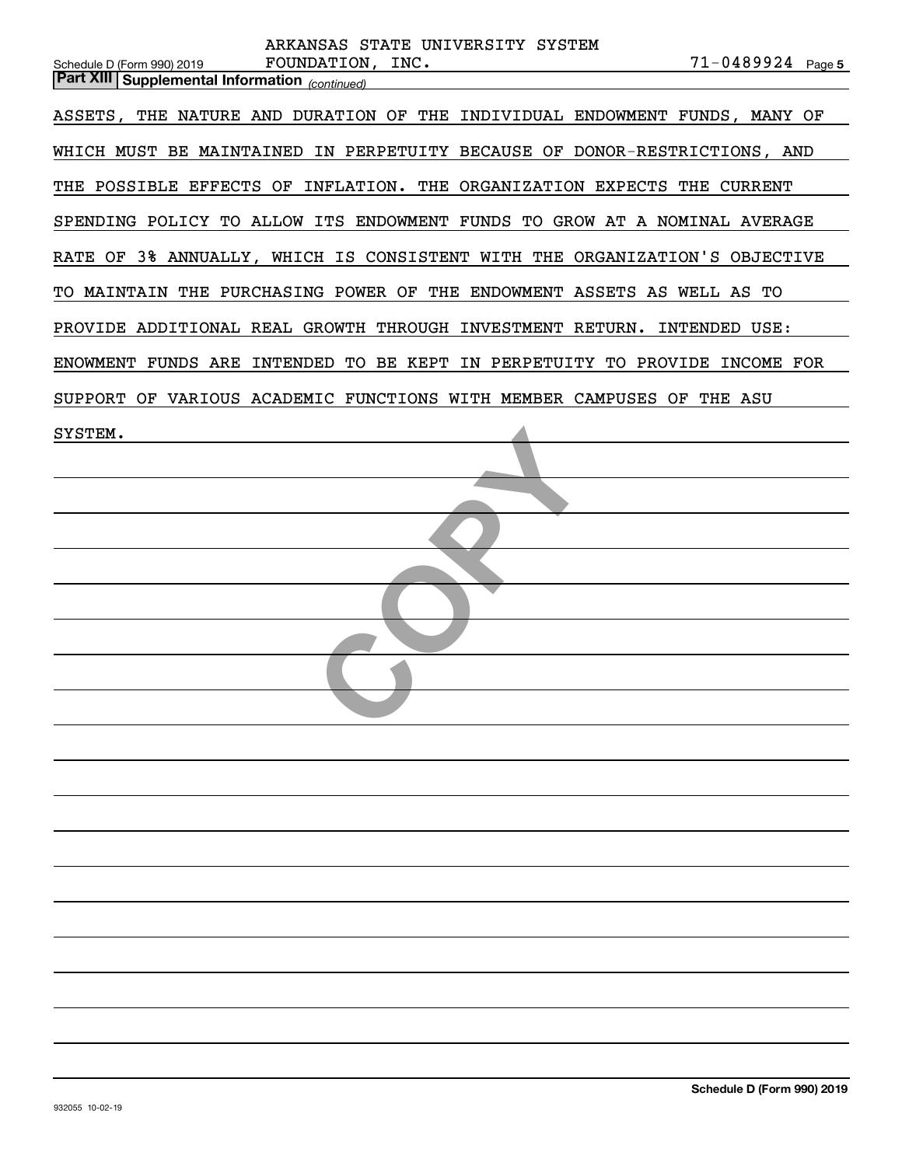| ARKANSAS STATE UNIVERSITY SYSTEM                                                                                                 |
|----------------------------------------------------------------------------------------------------------------------------------|
| $71 - 0489924$ Page 5<br>FOUNDATION, INC.<br>Schedule D (Form 990) 2019<br><b>Part XIII Supplemental Information</b> (continued) |
|                                                                                                                                  |
| ASSETS, THE NATURE AND DURATION OF THE INDIVIDUAL ENDOWMENT FUNDS, MANY OF                                                       |
| WHICH MUST BE MAINTAINED IN PERPETUITY BECAUSE OF DONOR-RESTRICTIONS, AND                                                        |
| THE POSSIBLE EFFECTS OF INFLATION. THE ORGANIZATION EXPECTS THE CURRENT                                                          |
| SPENDING POLICY TO ALLOW ITS ENDOWMENT FUNDS TO GROW AT A NOMINAL AVERAGE                                                        |
| RATE OF 3% ANNUALLY, WHICH IS CONSISTENT WITH THE ORGANIZATION'S OBJECTIVE                                                       |
| TO MAINTAIN THE PURCHASING POWER OF THE ENDOWMENT ASSETS AS WELL AS TO                                                           |
| PROVIDE ADDITIONAL REAL GROWTH THROUGH INVESTMENT RETURN. INTENDED USE:                                                          |
| ENOWMENT FUNDS ARE INTENDED TO BE KEPT IN PERPETUITY TO PROVIDE INCOME FOR                                                       |
| SUPPORT OF VARIOUS ACADEMIC FUNCTIONS WITH MEMBER CAMPUSES OF THE ASU                                                            |
| SYSTEM.                                                                                                                          |
|                                                                                                                                  |
|                                                                                                                                  |
|                                                                                                                                  |
|                                                                                                                                  |
|                                                                                                                                  |
|                                                                                                                                  |
|                                                                                                                                  |
|                                                                                                                                  |
|                                                                                                                                  |
|                                                                                                                                  |
|                                                                                                                                  |
|                                                                                                                                  |
|                                                                                                                                  |
|                                                                                                                                  |
|                                                                                                                                  |
|                                                                                                                                  |
|                                                                                                                                  |
|                                                                                                                                  |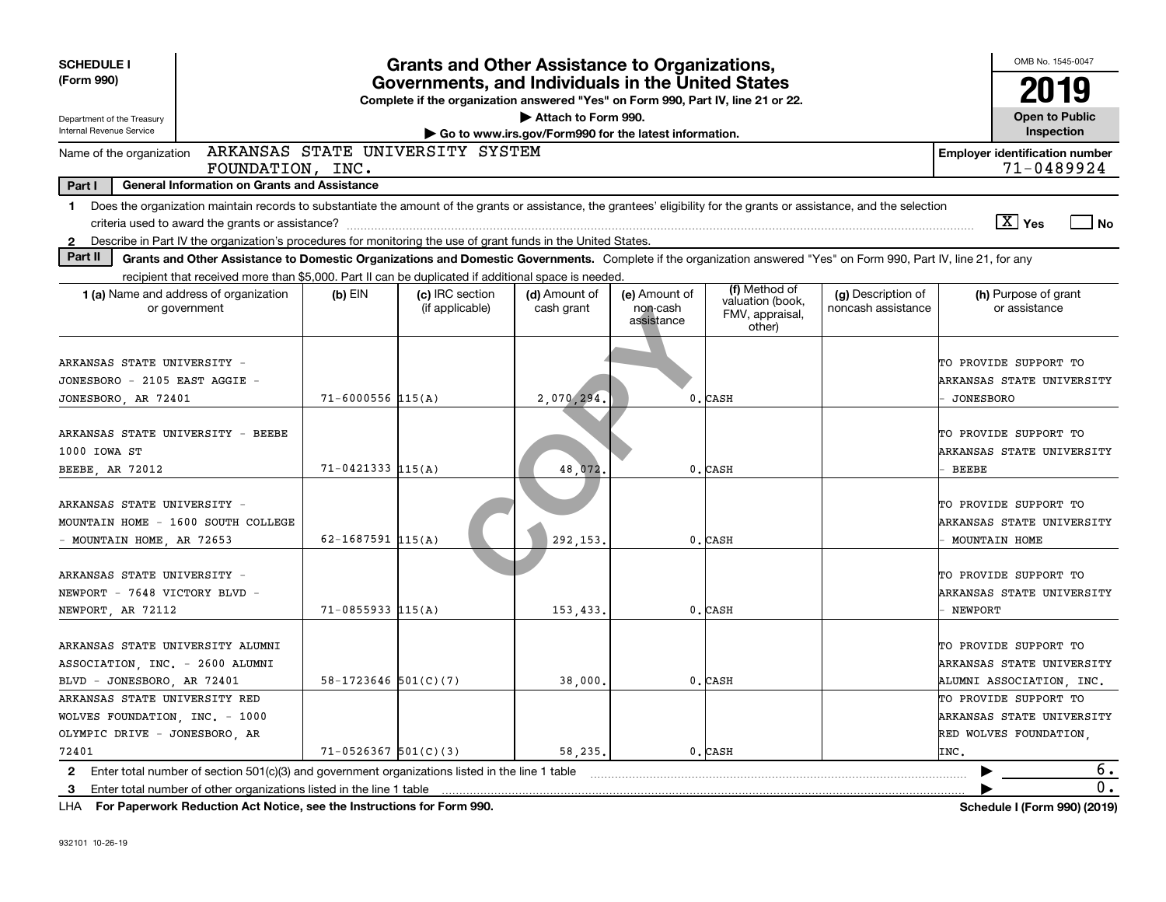| <b>SCHEDULE I</b>                                                                                                                                                                       |                            | <b>Grants and Other Assistance to Organizations,</b>                                                                                  |                                                       |                                         |                                               |                                          | OMB No. 1545-0047                                   |
|-----------------------------------------------------------------------------------------------------------------------------------------------------------------------------------------|----------------------------|---------------------------------------------------------------------------------------------------------------------------------------|-------------------------------------------------------|-----------------------------------------|-----------------------------------------------|------------------------------------------|-----------------------------------------------------|
| (Form 990)                                                                                                                                                                              |                            | Governments, and Individuals in the United States<br>Complete if the organization answered "Yes" on Form 990, Part IV, line 21 or 22. |                                                       |                                         |                                               |                                          | 2019                                                |
| Department of the Treasury<br>Internal Revenue Service                                                                                                                                  |                            |                                                                                                                                       | Attach to Form 990.                                   |                                         |                                               |                                          | <b>Open to Public</b><br>Inspection                 |
|                                                                                                                                                                                         |                            | ARKANSAS STATE UNIVERSITY SYSTEM                                                                                                      | Go to www.irs.gov/Form990 for the latest information. |                                         |                                               |                                          |                                                     |
| Name of the organization<br>FOUNDATION, INC.                                                                                                                                            |                            |                                                                                                                                       |                                                       |                                         |                                               |                                          | <b>Employer identification number</b><br>71-0489924 |
| Part I<br><b>General Information on Grants and Assistance</b>                                                                                                                           |                            |                                                                                                                                       |                                                       |                                         |                                               |                                          |                                                     |
| Does the organization maintain records to substantiate the amount of the grants or assistance, the grantees' eligibility for the grants or assistance, and the selection<br>$\mathbf 1$ |                            |                                                                                                                                       |                                                       |                                         |                                               |                                          |                                                     |
|                                                                                                                                                                                         |                            |                                                                                                                                       |                                                       |                                         |                                               |                                          | $\boxed{\text{X}}$ Yes<br>  No                      |
| Describe in Part IV the organization's procedures for monitoring the use of grant funds in the United States.<br>$\mathbf{2}$                                                           |                            |                                                                                                                                       |                                                       |                                         |                                               |                                          |                                                     |
| Part II<br>Grants and Other Assistance to Domestic Organizations and Domestic Governments. Complete if the organization answered "Yes" on Form 990, Part IV, line 21, for any           |                            |                                                                                                                                       |                                                       |                                         |                                               |                                          |                                                     |
| recipient that received more than \$5,000. Part II can be duplicated if additional space is needed.                                                                                     |                            |                                                                                                                                       |                                                       |                                         | (f) Method of                                 |                                          |                                                     |
| <b>1 (a)</b> Name and address of organization<br>or government                                                                                                                          | (b) EIN                    | (c) IRC section<br>(if applicable)                                                                                                    | (d) Amount of<br>cash grant                           | (e) Amount of<br>non-cash<br>assistance | valuation (book,<br>FMV, appraisal,<br>other) | (g) Description of<br>noncash assistance | (h) Purpose of grant<br>or assistance               |
|                                                                                                                                                                                         |                            |                                                                                                                                       |                                                       |                                         |                                               |                                          |                                                     |
| ARKANSAS STATE UNIVERSITY -                                                                                                                                                             |                            |                                                                                                                                       |                                                       |                                         |                                               |                                          | TO PROVIDE SUPPORT TO                               |
| JONESBORO - 2105 EAST AGGIE -                                                                                                                                                           |                            |                                                                                                                                       |                                                       |                                         |                                               |                                          | ARKANSAS STATE UNIVERSITY                           |
| JONESBORO, AR 72401                                                                                                                                                                     | $71 - 6000556$ 115(A)      |                                                                                                                                       | 2,070,294.                                            |                                         | $0$ . CASH                                    |                                          | <b>JONESBORO</b>                                    |
| ARKANSAS STATE UNIVERSITY - BEEBE                                                                                                                                                       |                            |                                                                                                                                       |                                                       |                                         |                                               |                                          | TO PROVIDE SUPPORT TO                               |
| 1000 IOWA ST                                                                                                                                                                            |                            |                                                                                                                                       |                                                       |                                         |                                               |                                          | ARKANSAS STATE UNIVERSITY                           |
| <b>BEEBE, AR 72012</b>                                                                                                                                                                  | $71 - 0421333$ $115(A)$    |                                                                                                                                       | 48,072                                                |                                         | 0. CASH                                       |                                          | <b>BEEBE</b>                                        |
|                                                                                                                                                                                         |                            |                                                                                                                                       |                                                       |                                         |                                               |                                          |                                                     |
| ARKANSAS STATE UNIVERSITY -                                                                                                                                                             |                            |                                                                                                                                       |                                                       |                                         |                                               |                                          | TO PROVIDE SUPPORT TO                               |
| MOUNTAIN HOME - 1600 SOUTH COLLEGE                                                                                                                                                      |                            |                                                                                                                                       |                                                       |                                         |                                               |                                          | ARKANSAS STATE UNIVERSITY                           |
| MOUNTAIN HOME, AR 72653                                                                                                                                                                 | 62-1687591 $115(A)$        |                                                                                                                                       | 292,153,                                              |                                         | 0. CASH                                       |                                          | MOUNTAIN HOME                                       |
|                                                                                                                                                                                         |                            |                                                                                                                                       |                                                       |                                         |                                               |                                          |                                                     |
| ARKANSAS STATE UNIVERSITY -                                                                                                                                                             |                            |                                                                                                                                       |                                                       |                                         |                                               |                                          | TO PROVIDE SUPPORT TO                               |
| NEWPORT - 7648 VICTORY BLVD -                                                                                                                                                           |                            |                                                                                                                                       |                                                       |                                         |                                               |                                          | ARKANSAS STATE UNIVERSITY                           |
| NEWPORT, AR 72112                                                                                                                                                                       | $71 - 0855933$ $115(A)$    |                                                                                                                                       | 153,433,                                              |                                         | 0. CASH                                       |                                          | NEWPORT                                             |
|                                                                                                                                                                                         |                            |                                                                                                                                       |                                                       |                                         |                                               |                                          |                                                     |
| ARKANSAS STATE UNIVERSITY ALUMNI                                                                                                                                                        |                            |                                                                                                                                       |                                                       |                                         |                                               |                                          | TO PROVIDE SUPPORT TO                               |
| ASSOCIATION, INC. - 2600 ALUMNI                                                                                                                                                         |                            |                                                                                                                                       |                                                       |                                         |                                               |                                          | ARKANSAS STATE UNIVERSITY                           |
| BLVD - JONESBORO, AR 72401                                                                                                                                                              | $58-1723646$ $501(C)(7)$   |                                                                                                                                       | 38,000.                                               |                                         | 0. CASH                                       |                                          | ALUMNI ASSOCIATION, INC.                            |
| ARKANSAS STATE UNIVERSITY RED                                                                                                                                                           |                            |                                                                                                                                       |                                                       |                                         |                                               |                                          | TO PROVIDE SUPPORT TO                               |
| WOLVES FOUNDATION, INC. - 1000                                                                                                                                                          |                            |                                                                                                                                       |                                                       |                                         |                                               |                                          | ARKANSAS STATE UNIVERSITY                           |
| OLYMPIC DRIVE - JONESBORO, AR                                                                                                                                                           |                            |                                                                                                                                       |                                                       |                                         |                                               |                                          | RED WOLVES FOUNDATION.                              |
| 72401                                                                                                                                                                                   | $71 - 0526367$ $501(C)(3)$ |                                                                                                                                       | 58,235.                                               |                                         | 0. CASH                                       |                                          | INC.                                                |
| 2 Enter total number of section 501(c)(3) and government organizations listed in the line 1 table                                                                                       |                            |                                                                                                                                       |                                                       |                                         |                                               |                                          | б.                                                  |
| 3 Enter total number of other organizations listed in the line 1 table                                                                                                                  |                            |                                                                                                                                       |                                                       |                                         |                                               |                                          | $\overline{0}$ .                                    |

**For Paperwork Reduction Act Notice, see the Instructions for Form 990. Schedule I (Form 990) (2019)** LHA

Schedule I (Form 990) (2019)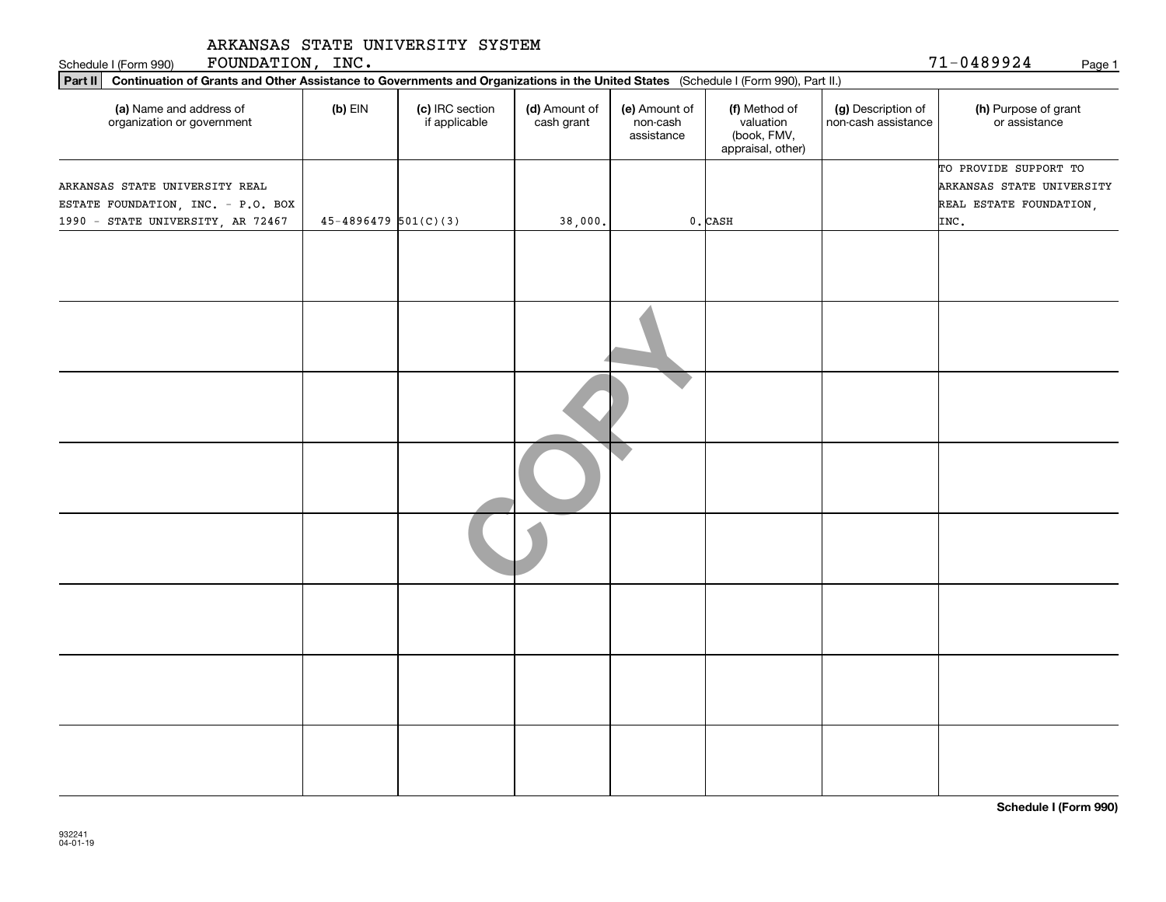Schedule I (Form 990) Page 1 FOUNDATION, INC.

71-0489924

| Part II   Continuation of Grants and Other Assistance to Governments and Organizations in the United States (Schedule I (Form 990), Part II.) |                          |                                  |                             |                                         |                                                                |                                           |                                                                               |
|-----------------------------------------------------------------------------------------------------------------------------------------------|--------------------------|----------------------------------|-----------------------------|-----------------------------------------|----------------------------------------------------------------|-------------------------------------------|-------------------------------------------------------------------------------|
| (a) Name and address of<br>organization or government                                                                                         | $(b)$ EIN                | (c) IRC section<br>if applicable | (d) Amount of<br>cash grant | (e) Amount of<br>non-cash<br>assistance | (f) Method of<br>valuation<br>(book, FMV,<br>appraisal, other) | (g) Description of<br>non-cash assistance | (h) Purpose of grant<br>or assistance                                         |
| ARKANSAS STATE UNIVERSITY REAL<br>ESTATE FOUNDATION, INC. - P.O. BOX                                                                          |                          |                                  |                             |                                         |                                                                |                                           | TO PROVIDE SUPPORT TO<br>ARKANSAS STATE UNIVERSITY<br>REAL ESTATE FOUNDATION, |
| 1990 - STATE UNIVERSITY, AR 72467                                                                                                             | $45 - 4896479$ 501(C)(3) |                                  | 38,000.                     |                                         | 0.CASH                                                         |                                           | INC.                                                                          |
|                                                                                                                                               |                          |                                  |                             |                                         |                                                                |                                           |                                                                               |
|                                                                                                                                               |                          |                                  |                             |                                         |                                                                |                                           |                                                                               |
|                                                                                                                                               |                          |                                  |                             |                                         |                                                                |                                           |                                                                               |
|                                                                                                                                               |                          |                                  |                             |                                         |                                                                |                                           |                                                                               |
|                                                                                                                                               |                          |                                  |                             |                                         |                                                                |                                           |                                                                               |
|                                                                                                                                               |                          |                                  |                             |                                         |                                                                |                                           |                                                                               |
|                                                                                                                                               |                          |                                  |                             |                                         |                                                                |                                           |                                                                               |
|                                                                                                                                               |                          |                                  |                             |                                         |                                                                |                                           |                                                                               |

**Schedule I (Form 990)**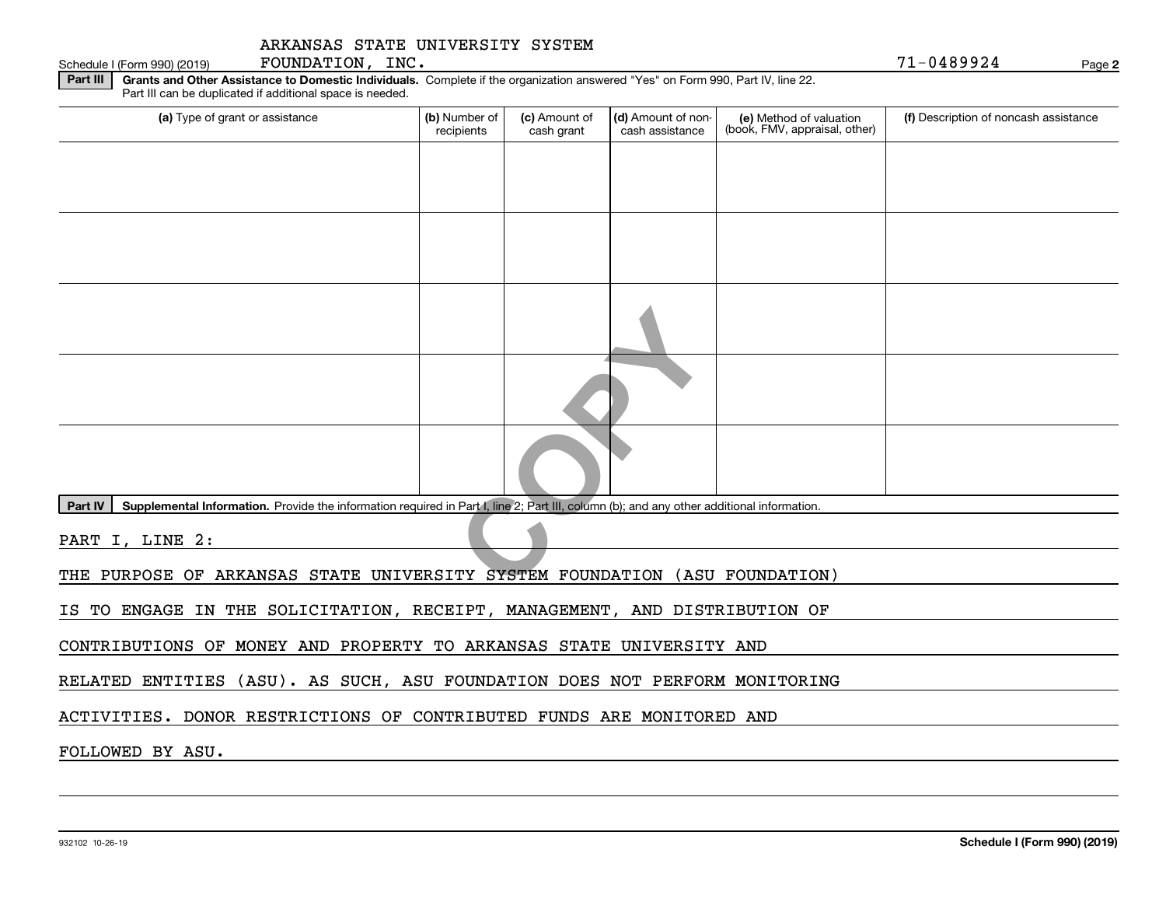| FOUNDATION, INC.<br>Schedule I (Form 990) (2019)                                                                                                                                                         |                             |                             |                                       |                                                          | 71-0489924                            | Page 2 |
|----------------------------------------------------------------------------------------------------------------------------------------------------------------------------------------------------------|-----------------------------|-----------------------------|---------------------------------------|----------------------------------------------------------|---------------------------------------|--------|
| Part III<br>Grants and Other Assistance to Domestic Individuals. Complete if the organization answered "Yes" on Form 990, Part IV, line 22.<br>Part III can be duplicated if additional space is needed. |                             |                             |                                       |                                                          |                                       |        |
| (a) Type of grant or assistance                                                                                                                                                                          | (b) Number of<br>recipients | (c) Amount of<br>cash grant | (d) Amount of non-<br>cash assistance | (e) Method of valuation<br>(book, FMV, appraisal, other) | (f) Description of noncash assistance |        |
|                                                                                                                                                                                                          |                             |                             |                                       |                                                          |                                       |        |
|                                                                                                                                                                                                          |                             |                             |                                       |                                                          |                                       |        |
|                                                                                                                                                                                                          |                             |                             |                                       |                                                          |                                       |        |
|                                                                                                                                                                                                          |                             |                             |                                       |                                                          |                                       |        |
|                                                                                                                                                                                                          |                             |                             |                                       |                                                          |                                       |        |
|                                                                                                                                                                                                          |                             |                             |                                       |                                                          |                                       |        |
|                                                                                                                                                                                                          |                             |                             |                                       |                                                          |                                       |        |
|                                                                                                                                                                                                          |                             |                             |                                       |                                                          |                                       |        |
| Supplemental Information. Provide the information required in Part I, line 2; Part III, column (b); and any other additional information.<br>Part IV                                                     |                             |                             |                                       |                                                          |                                       |        |
| PART I, LINE 2:                                                                                                                                                                                          |                             |                             |                                       |                                                          |                                       |        |
| THE PURPOSE OF ARKANSAS STATE UNIVERSITY SYSTEM FOUNDATION (ASU FOUNDATION)                                                                                                                              |                             |                             |                                       |                                                          |                                       |        |

IS TO ENGAGE IN THE SOLICITATION, RECEIPT, MANAGEMENT, AND DISTRIBUTION OF

CONTRIBUTIONS OF MONEY AND PROPERTY TO ARKANSAS STATE UNIVERSITY AND

RELATED ENTITIES (ASU). AS SUCH, ASU FOUNDATION DOES NOT PERFORM MONITORING

ACTIVITIES. DONOR RESTRICTIONS OF CONTRIBUTED FUNDS ARE MONITORED AND

FOLLOWED BY ASU.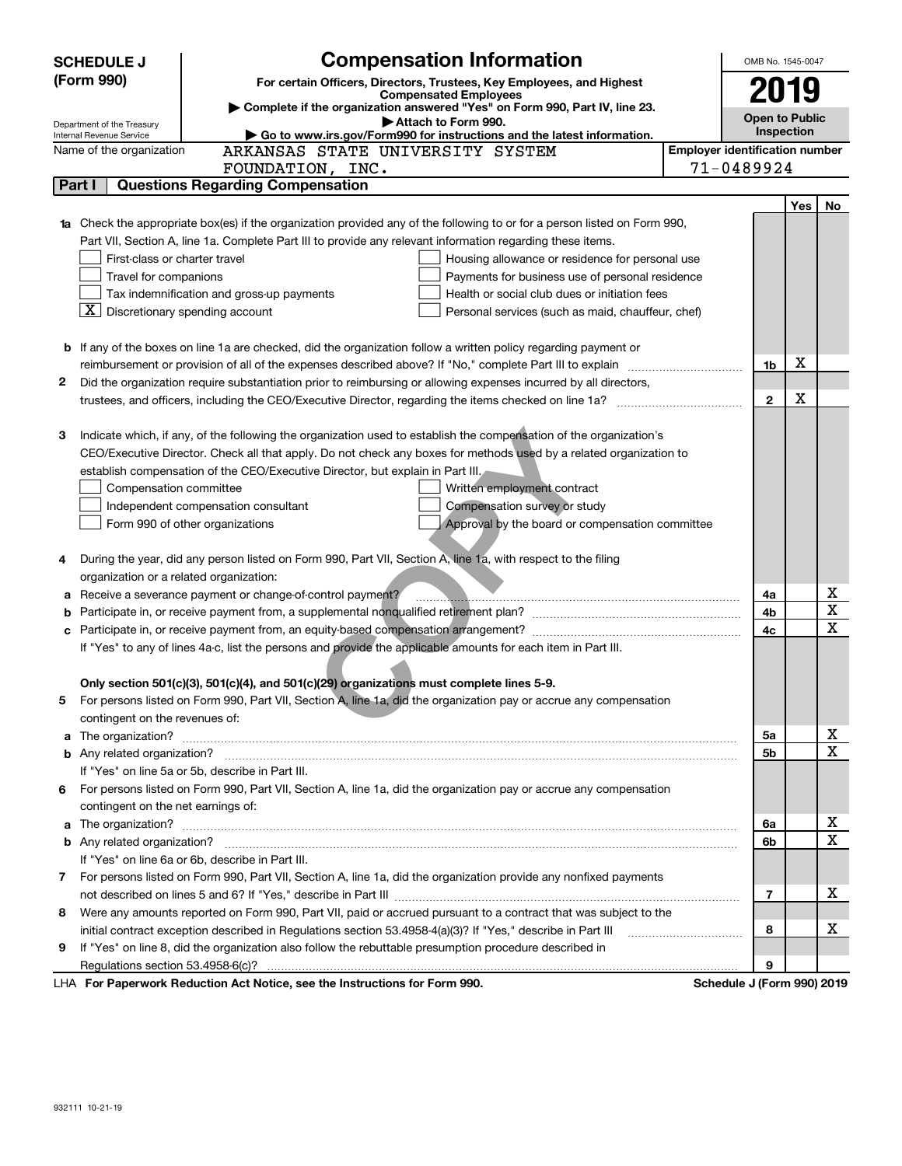|        | <b>SCHEDULE J</b>                                                                                                | <b>Compensation Information</b>                                                                                                                                                                                                      | OMB No. 1545-0047                     |     |    |
|--------|------------------------------------------------------------------------------------------------------------------|--------------------------------------------------------------------------------------------------------------------------------------------------------------------------------------------------------------------------------------|---------------------------------------|-----|----|
|        | (Form 990)                                                                                                       | For certain Officers, Directors, Trustees, Key Employees, and Highest                                                                                                                                                                |                                       |     |    |
|        |                                                                                                                  | <b>Compensated Employees</b><br>Complete if the organization answered "Yes" on Form 990, Part IV, line 23.                                                                                                                           | 2019                                  |     |    |
|        | Department of the Treasury                                                                                       | Attach to Form 990.                                                                                                                                                                                                                  | <b>Open to Public</b>                 |     |    |
|        | Internal Revenue Service                                                                                         | Go to www.irs.gov/Form990 for instructions and the latest information.                                                                                                                                                               | Inspection                            |     |    |
|        | Name of the organization                                                                                         | ARKANSAS STATE UNIVERSITY SYSTEM                                                                                                                                                                                                     | <b>Employer identification number</b> |     |    |
|        |                                                                                                                  | FOUNDATION, INC.                                                                                                                                                                                                                     | 71-0489924                            |     |    |
| Part I |                                                                                                                  | <b>Questions Regarding Compensation</b>                                                                                                                                                                                              |                                       |     |    |
|        |                                                                                                                  |                                                                                                                                                                                                                                      |                                       | Yes | No |
|        |                                                                                                                  | 1a Check the appropriate box(es) if the organization provided any of the following to or for a person listed on Form 990,                                                                                                            |                                       |     |    |
|        |                                                                                                                  | Part VII, Section A, line 1a. Complete Part III to provide any relevant information regarding these items.                                                                                                                           |                                       |     |    |
|        | First-class or charter travel                                                                                    | Housing allowance or residence for personal use                                                                                                                                                                                      |                                       |     |    |
|        | Travel for companions                                                                                            | Payments for business use of personal residence                                                                                                                                                                                      |                                       |     |    |
|        |                                                                                                                  | Tax indemnification and gross-up payments<br>Health or social club dues or initiation fees                                                                                                                                           |                                       |     |    |
|        | $\overline{X}$ Discretionary spending account                                                                    | Personal services (such as maid, chauffeur, chef)                                                                                                                                                                                    |                                       |     |    |
|        |                                                                                                                  |                                                                                                                                                                                                                                      |                                       |     |    |
|        |                                                                                                                  | <b>b</b> If any of the boxes on line 1a are checked, did the organization follow a written policy regarding payment or                                                                                                               |                                       |     |    |
|        |                                                                                                                  | 1b                                                                                                                                                                                                                                   | х                                     |     |    |
| 2      | Did the organization require substantiation prior to reimbursing or allowing expenses incurred by all directors, |                                                                                                                                                                                                                                      | х                                     |     |    |
|        |                                                                                                                  |                                                                                                                                                                                                                                      | $\mathbf{2}$                          |     |    |
|        |                                                                                                                  |                                                                                                                                                                                                                                      |                                       |     |    |
| З      |                                                                                                                  | Indicate which, if any, of the following the organization used to establish the compensation of the organization's                                                                                                                   |                                       |     |    |
|        |                                                                                                                  | CEO/Executive Director. Check all that apply. Do not check any boxes for methods used by a related organization to                                                                                                                   |                                       |     |    |
|        |                                                                                                                  | establish compensation of the CEO/Executive Director, but explain in Part III.                                                                                                                                                       |                                       |     |    |
|        | Compensation committee                                                                                           | Written employment contract                                                                                                                                                                                                          |                                       |     |    |
|        |                                                                                                                  | Compensation survey or study<br>Independent compensation consultant<br>Form 990 of other organizations                                                                                                                               |                                       |     |    |
|        |                                                                                                                  | Approval by the board or compensation committee                                                                                                                                                                                      |                                       |     |    |
| 4      |                                                                                                                  | During the year, did any person listed on Form 990, Part VII, Section A, line 1a, with respect to the filing                                                                                                                         |                                       |     |    |
|        | organization or a related organization:                                                                          |                                                                                                                                                                                                                                      |                                       |     |    |
| а      |                                                                                                                  | Receive a severance payment or change-of-control payment?                                                                                                                                                                            | 4a                                    |     | x  |
| b      |                                                                                                                  |                                                                                                                                                                                                                                      | 4b                                    |     | X  |
| c      |                                                                                                                  |                                                                                                                                                                                                                                      | 4с                                    |     | х  |
|        |                                                                                                                  | If "Yes" to any of lines 4a-c, list the persons and provide the applicable amounts for each item in Part III.                                                                                                                        |                                       |     |    |
|        |                                                                                                                  |                                                                                                                                                                                                                                      |                                       |     |    |
|        |                                                                                                                  | Only section 501(c)(3), 501(c)(4), and 501(c)(29) organizations must complete lines 5-9.                                                                                                                                             |                                       |     |    |
|        |                                                                                                                  | For persons listed on Form 990, Part VII, Section A, line 1a, did the organization pay or accrue any compensation                                                                                                                    |                                       |     |    |
|        | contingent on the revenues of:                                                                                   |                                                                                                                                                                                                                                      |                                       |     |    |
|        |                                                                                                                  |                                                                                                                                                                                                                                      | 5a                                    |     | x  |
|        |                                                                                                                  |                                                                                                                                                                                                                                      | 5b                                    |     | Χ  |
|        |                                                                                                                  | If "Yes" on line 5a or 5b, describe in Part III.                                                                                                                                                                                     |                                       |     |    |
|        |                                                                                                                  | 6 For persons listed on Form 990, Part VII, Section A, line 1a, did the organization pay or accrue any compensation                                                                                                                  |                                       |     |    |
|        | contingent on the net earnings of:                                                                               |                                                                                                                                                                                                                                      |                                       |     |    |
|        |                                                                                                                  | a The organization? <b>With the contract of the contract of the contract of the contract of the contract of the contract of the contract of the contract of the contract of the contract of the contract of the contract of the </b> | 6a                                    |     | х  |
|        |                                                                                                                  |                                                                                                                                                                                                                                      | 6b                                    |     | Χ  |
|        |                                                                                                                  | If "Yes" on line 6a or 6b, describe in Part III.                                                                                                                                                                                     |                                       |     |    |
|        |                                                                                                                  | 7 For persons listed on Form 990, Part VII, Section A, line 1a, did the organization provide any nonfixed payments                                                                                                                   |                                       |     |    |
|        |                                                                                                                  |                                                                                                                                                                                                                                      | 7                                     |     | х  |
| 8      |                                                                                                                  | Were any amounts reported on Form 990, Part VII, paid or accrued pursuant to a contract that was subject to the                                                                                                                      |                                       |     |    |
|        |                                                                                                                  | initial contract exception described in Regulations section 53.4958-4(a)(3)? If "Yes," describe in Part III                                                                                                                          | 8                                     |     | х  |
| 9      |                                                                                                                  | If "Yes" on line 8, did the organization also follow the rebuttable presumption procedure described in                                                                                                                               |                                       |     |    |
|        |                                                                                                                  |                                                                                                                                                                                                                                      | 9                                     |     |    |
|        |                                                                                                                  | LHA For Paperwork Reduction Act Notice, see the Instructions for Form 990.                                                                                                                                                           | Schedule J (Form 990) 2019            |     |    |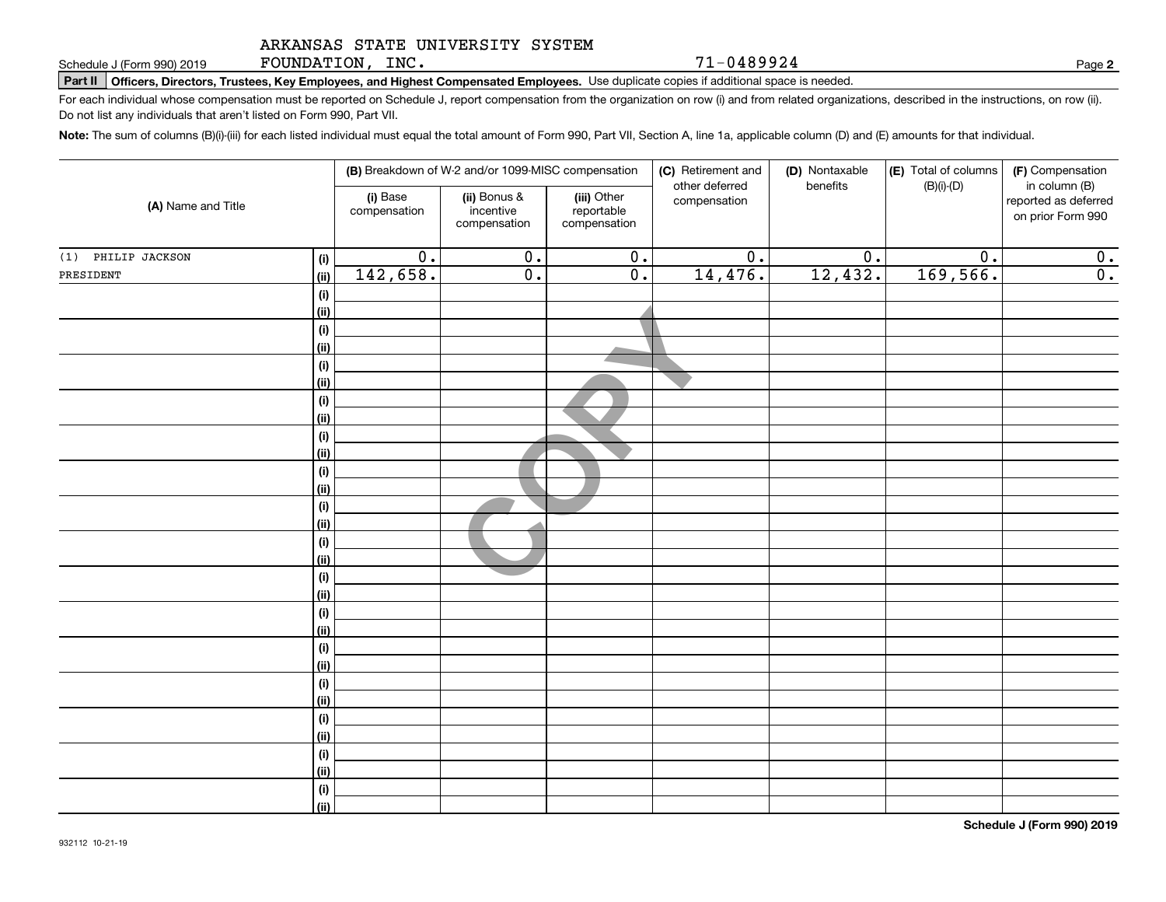FOUNDATION, INC.

**Part II Officers, Directors, Trustees, Key Employees, and Highest Compensated Employees.**  Schedule J (Form 990) 2019 Page Use duplicate copies if additional space is needed.

For each individual whose compensation must be reported on Schedule J, report compensation from the organization on row (i) and from related organizations, described in the instructions, on row (ii). Do not list any individuals that aren't listed on Form 990, Part VII.

**Note:**  The sum of columns (B)(i)-(iii) for each listed individual must equal the total amount of Form 990, Part VII, Section A, line 1a, applicable column (D) and (E) amounts for that individual.

|                    |             |                          | (B) Breakdown of W-2 and/or 1099-MISC compensation |                                           | (C) Retirement and<br>other deferred | (D) Nontaxable<br>benefits | (E) Total of columns<br>$(B)(i)-(D)$ | (F) Compensation<br>in column (B)         |
|--------------------|-------------|--------------------------|----------------------------------------------------|-------------------------------------------|--------------------------------------|----------------------------|--------------------------------------|-------------------------------------------|
| (A) Name and Title |             | (i) Base<br>compensation | (ii) Bonus &<br>incentive<br>compensation          | (iii) Other<br>reportable<br>compensation | compensation                         |                            |                                      | reported as deferred<br>on prior Form 990 |
| (1) PHILIP JACKSON | (i)         | 0.                       | $\overline{0}$ .                                   | $\overline{0}$ .                          | $\overline{0}$ .                     | $\overline{0}$ .           | $\overline{0}$ .                     | 0.                                        |
| PRESIDENT          | (ii)        | 142,658.                 | $\overline{0}$ .                                   | $\overline{0}$ .                          | 14,476.                              | 12,432.                    | 169,566.                             | $\overline{0}$ .                          |
|                    | $(\sf{i})$  |                          |                                                    |                                           |                                      |                            |                                      |                                           |
|                    | (ii)        |                          |                                                    |                                           |                                      |                            |                                      |                                           |
|                    | (i)         |                          |                                                    |                                           |                                      |                            |                                      |                                           |
|                    | (ii)        |                          |                                                    |                                           |                                      |                            |                                      |                                           |
|                    | (i)         |                          |                                                    |                                           |                                      |                            |                                      |                                           |
|                    | (ii)        |                          |                                                    |                                           |                                      |                            |                                      |                                           |
|                    | (i)         |                          |                                                    |                                           |                                      |                            |                                      |                                           |
|                    | (ii)        |                          |                                                    |                                           |                                      |                            |                                      |                                           |
|                    | (i)         |                          |                                                    |                                           |                                      |                            |                                      |                                           |
|                    | (ii)        |                          |                                                    |                                           |                                      |                            |                                      |                                           |
|                    | (i)         |                          |                                                    |                                           |                                      |                            |                                      |                                           |
|                    | (ii)        |                          |                                                    |                                           |                                      |                            |                                      |                                           |
|                    | $(\sf{i})$  |                          |                                                    |                                           |                                      |                            |                                      |                                           |
|                    | (ii)        |                          |                                                    |                                           |                                      |                            |                                      |                                           |
|                    | (i)         |                          |                                                    |                                           |                                      |                            |                                      |                                           |
|                    | (ii)        |                          |                                                    |                                           |                                      |                            |                                      |                                           |
|                    | (i)         |                          |                                                    |                                           |                                      |                            |                                      |                                           |
|                    | (ii)        |                          |                                                    |                                           |                                      |                            |                                      |                                           |
|                    | (i)         |                          |                                                    |                                           |                                      |                            |                                      |                                           |
|                    | (ii)        |                          |                                                    |                                           |                                      |                            |                                      |                                           |
|                    | (i)         |                          |                                                    |                                           |                                      |                            |                                      |                                           |
|                    | (ii)        |                          |                                                    |                                           |                                      |                            |                                      |                                           |
|                    | (i)         |                          |                                                    |                                           |                                      |                            |                                      |                                           |
|                    | (ii)        |                          |                                                    |                                           |                                      |                            |                                      |                                           |
|                    | (i)         |                          |                                                    |                                           |                                      |                            |                                      |                                           |
|                    | (ii)        |                          |                                                    |                                           |                                      |                            |                                      |                                           |
|                    | (i)         |                          |                                                    |                                           |                                      |                            |                                      |                                           |
|                    | (ii)        |                          |                                                    |                                           |                                      |                            |                                      |                                           |
|                    | (i)<br>(ii) |                          |                                                    |                                           |                                      |                            |                                      |                                           |
|                    |             |                          |                                                    |                                           |                                      |                            |                                      |                                           |

**2**

71-0489924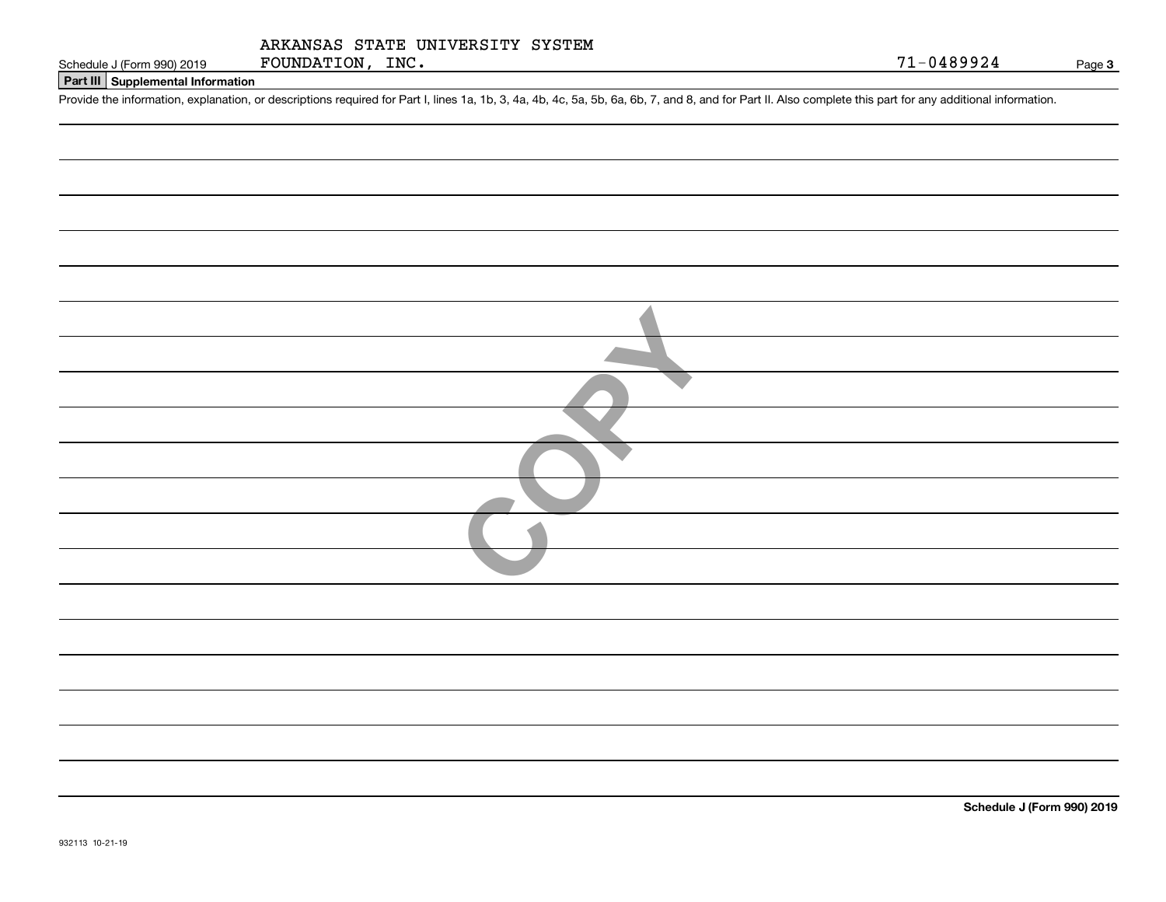|                  |  | ARKANSAS STATE UNIVERSITY SYSTEM |  |
|------------------|--|----------------------------------|--|
| FOUNDATION, INC. |  |                                  |  |

| Schedule J (Form 990) 2019 |  |
|----------------------------|--|
|----------------------------|--|

### **Part III Supplemental Information**

Schedule J (Form 990) 2019 FOUNDATION, INC.<br>Part III Supplemental Information<br>Provide the information, explanation, or descriptions required for Part I, lines 1a, 1b, 3, 4a, 4b, 4c, 5a, 5b, 6a, 6b, 7, and 8, and for Part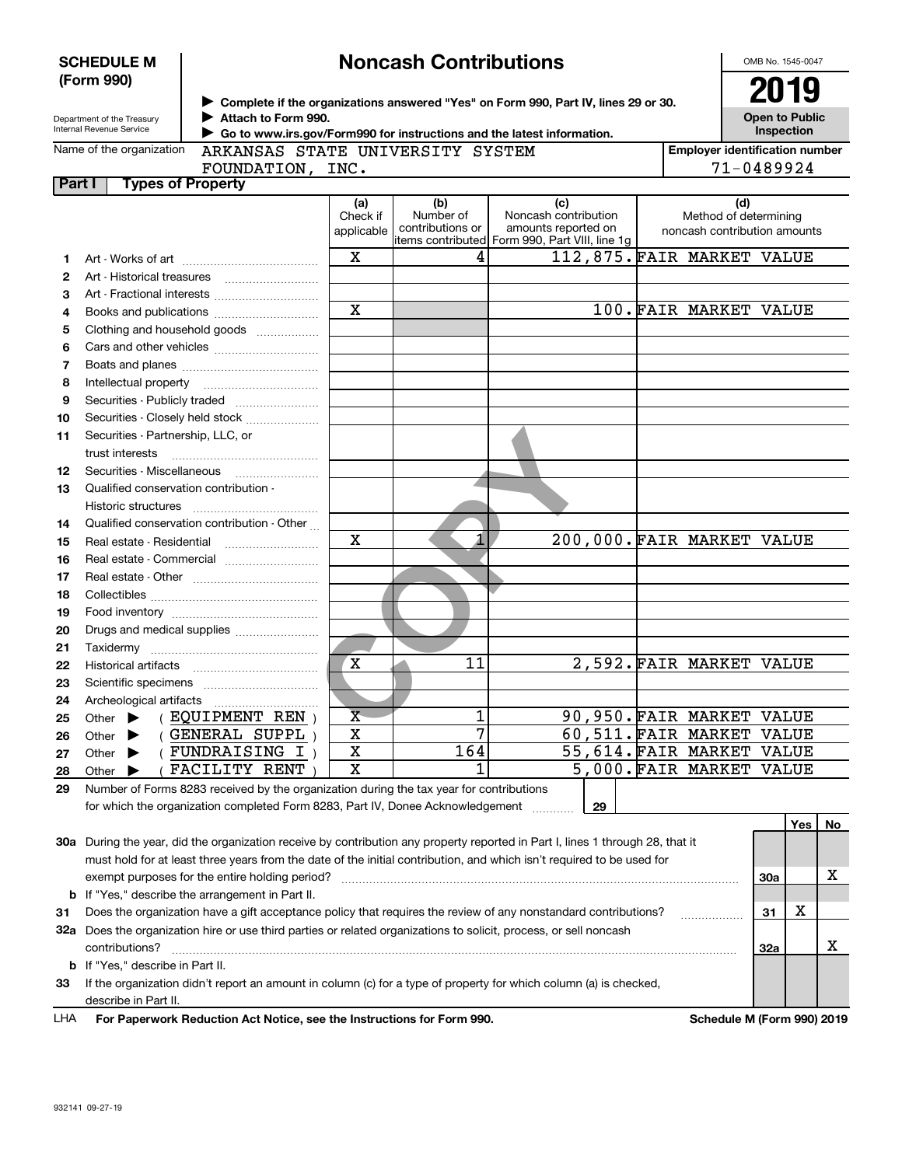|          | (Form 990)                                             |                                                                                                                                |                         |                               | > Complete if the organizations answered "Yes" on Form 990, Part IV, lines 29 or 30.          |  |                                                       | 2019                                                |            |    |  |  |
|----------|--------------------------------------------------------|--------------------------------------------------------------------------------------------------------------------------------|-------------------------|-------------------------------|-----------------------------------------------------------------------------------------------|--|-------------------------------------------------------|-----------------------------------------------------|------------|----|--|--|
|          | Department of the Treasury<br>Internal Revenue Service | Attach to Form 990.                                                                                                            |                         |                               |                                                                                               |  |                                                       | <b>Open to Public</b>                               | Inspection |    |  |  |
|          | Name of the organization                               | ARKANSAS STATE UNIVERSITY SYSTEM                                                                                               |                         |                               | ► Go to www.irs.gov/Form990 for instructions and the latest information.                      |  |                                                       |                                                     |            |    |  |  |
|          |                                                        | FOUNDATION, INC.                                                                                                               |                         |                               |                                                                                               |  |                                                       | <b>Employer identification number</b><br>71-0489924 |            |    |  |  |
| Part I   |                                                        | <b>Types of Property</b>                                                                                                       |                         |                               |                                                                                               |  |                                                       |                                                     |            |    |  |  |
|          |                                                        |                                                                                                                                | (a)                     | (b)                           | (c)                                                                                           |  |                                                       | (d)                                                 |            |    |  |  |
|          |                                                        |                                                                                                                                | Check if<br>applicable  | Number of<br>contributions or | Noncash contribution<br>amounts reported on<br>items contributed Form 990, Part VIII, line 1g |  | Method of determining<br>noncash contribution amounts |                                                     |            |    |  |  |
| 1.       |                                                        |                                                                                                                                | X                       | 4                             | 112,875. FAIR MARKET VALUE                                                                    |  |                                                       |                                                     |            |    |  |  |
| 2        | Art - Historical treasures                             |                                                                                                                                |                         |                               |                                                                                               |  |                                                       |                                                     |            |    |  |  |
| 3        |                                                        | Art - Fractional interests                                                                                                     |                         |                               |                                                                                               |  |                                                       |                                                     |            |    |  |  |
| 4        |                                                        | Books and publications                                                                                                         | $\overline{\mathbf{x}}$ |                               |                                                                                               |  | 100. FAIR MARKET VALUE                                |                                                     |            |    |  |  |
| 5        |                                                        | Clothing and household goods                                                                                                   |                         |                               |                                                                                               |  |                                                       |                                                     |            |    |  |  |
| 6        |                                                        |                                                                                                                                |                         |                               |                                                                                               |  |                                                       |                                                     |            |    |  |  |
| 7        |                                                        |                                                                                                                                |                         |                               |                                                                                               |  |                                                       |                                                     |            |    |  |  |
| 8        | Intellectual property                                  |                                                                                                                                |                         |                               |                                                                                               |  |                                                       |                                                     |            |    |  |  |
| 9        |                                                        | Securities - Publicly traded                                                                                                   |                         |                               |                                                                                               |  |                                                       |                                                     |            |    |  |  |
| 10       |                                                        | Securities - Closely held stock                                                                                                |                         |                               |                                                                                               |  |                                                       |                                                     |            |    |  |  |
| 11       | Securities - Partnership, LLC, or<br>trust interests   |                                                                                                                                |                         |                               |                                                                                               |  |                                                       |                                                     |            |    |  |  |
| 12       | Securities - Miscellaneous                             |                                                                                                                                |                         |                               |                                                                                               |  |                                                       |                                                     |            |    |  |  |
| 13       | Qualified conservation contribution -                  |                                                                                                                                |                         |                               |                                                                                               |  |                                                       |                                                     |            |    |  |  |
|          | Historic structures                                    |                                                                                                                                |                         |                               |                                                                                               |  |                                                       |                                                     |            |    |  |  |
| 14       |                                                        | Qualified conservation contribution - Other                                                                                    |                         |                               |                                                                                               |  |                                                       |                                                     |            |    |  |  |
| 15       | Real estate - Residential                              |                                                                                                                                | $\mathbf x$             | 1                             | 200,000. FAIR MARKET VALUE                                                                    |  |                                                       |                                                     |            |    |  |  |
| 16       |                                                        | Real estate - Commercial                                                                                                       |                         |                               |                                                                                               |  |                                                       |                                                     |            |    |  |  |
| 17       |                                                        |                                                                                                                                |                         |                               |                                                                                               |  |                                                       |                                                     |            |    |  |  |
| 18       |                                                        |                                                                                                                                |                         |                               |                                                                                               |  |                                                       |                                                     |            |    |  |  |
| 19       |                                                        |                                                                                                                                |                         |                               |                                                                                               |  |                                                       |                                                     |            |    |  |  |
| 20       |                                                        | Drugs and medical supplies                                                                                                     |                         |                               |                                                                                               |  |                                                       |                                                     |            |    |  |  |
| 21       |                                                        |                                                                                                                                | X                       | 11                            |                                                                                               |  |                                                       |                                                     |            |    |  |  |
| 22       |                                                        |                                                                                                                                |                         |                               |                                                                                               |  | 2,592. FAIR MARKET VALUE                              |                                                     |            |    |  |  |
| 23       |                                                        |                                                                                                                                |                         |                               |                                                                                               |  |                                                       |                                                     |            |    |  |  |
| 24<br>25 |                                                        | Other $\blacktriangleright$ (EQUIPMENT REN)                                                                                    | $\overline{\mathtt{x}}$ | 1                             | 90,950.FAIR MARKET VALUE                                                                      |  |                                                       |                                                     |            |    |  |  |
| 26       |                                                        | Other $\blacktriangleright$ (GENERAL SUPPL)                                                                                    | $\overline{\textbf{x}}$ | 7                             | 60,511. FAIR MARKET VALUE                                                                     |  |                                                       |                                                     |            |    |  |  |
| 27       | Other                                                  | FUNDRAISING<br>I.                                                                                                              | Χ                       | 164                           | 55,614. FAIR MARKET                                                                           |  |                                                       |                                                     | VALUE      |    |  |  |
| 28       | Other                                                  | FACILITY RENT                                                                                                                  | X                       | 1                             |                                                                                               |  | 5,000.FAIR MARKET                                     |                                                     | VALUE      |    |  |  |
| 29       |                                                        | Number of Forms 8283 received by the organization during the tax year for contributions                                        |                         |                               |                                                                                               |  |                                                       |                                                     |            |    |  |  |
|          |                                                        | for which the organization completed Form 8283, Part IV, Donee Acknowledgement                                                 |                         |                               | 29                                                                                            |  |                                                       |                                                     |            |    |  |  |
|          |                                                        |                                                                                                                                |                         |                               |                                                                                               |  |                                                       |                                                     | Yes        | No |  |  |
|          |                                                        | 30a During the year, did the organization receive by contribution any property reported in Part I, lines 1 through 28, that it |                         |                               |                                                                                               |  |                                                       |                                                     |            |    |  |  |
|          |                                                        | must hold for at least three years from the date of the initial contribution, and which isn't required to be used for          |                         |                               |                                                                                               |  |                                                       |                                                     |            |    |  |  |
|          |                                                        | exempt purposes for the entire holding period?                                                                                 |                         |                               |                                                                                               |  |                                                       | 30a                                                 |            | х  |  |  |
| b        |                                                        | If "Yes," describe the arrangement in Part II.                                                                                 |                         |                               |                                                                                               |  |                                                       |                                                     |            |    |  |  |
| 31       |                                                        | Does the organization have a gift acceptance policy that requires the review of any nonstandard contributions?                 |                         |                               |                                                                                               |  |                                                       | 31                                                  | х          |    |  |  |
| 32a      |                                                        | Does the organization hire or use third parties or related organizations to solicit, process, or sell noncash                  |                         |                               |                                                                                               |  |                                                       |                                                     |            |    |  |  |
|          | contributions?                                         |                                                                                                                                |                         |                               |                                                                                               |  |                                                       | 32a                                                 |            | X  |  |  |
| b        | If "Yes," describe in Part II.                         |                                                                                                                                |                         |                               |                                                                                               |  |                                                       |                                                     |            |    |  |  |
| 33       |                                                        | If the organization didn't report an amount in column (c) for a type of property for which column (a) is checked,              |                         |                               |                                                                                               |  |                                                       |                                                     |            |    |  |  |

**Noncash Contributions**

describe in Part II.

**SCHEDULE M (Form 990)**

**For Paperwork Reduction Act Notice, see the Instructions for Form 990. Schedule M (Form 990) 2019** LHA

OMB No. 1545-0047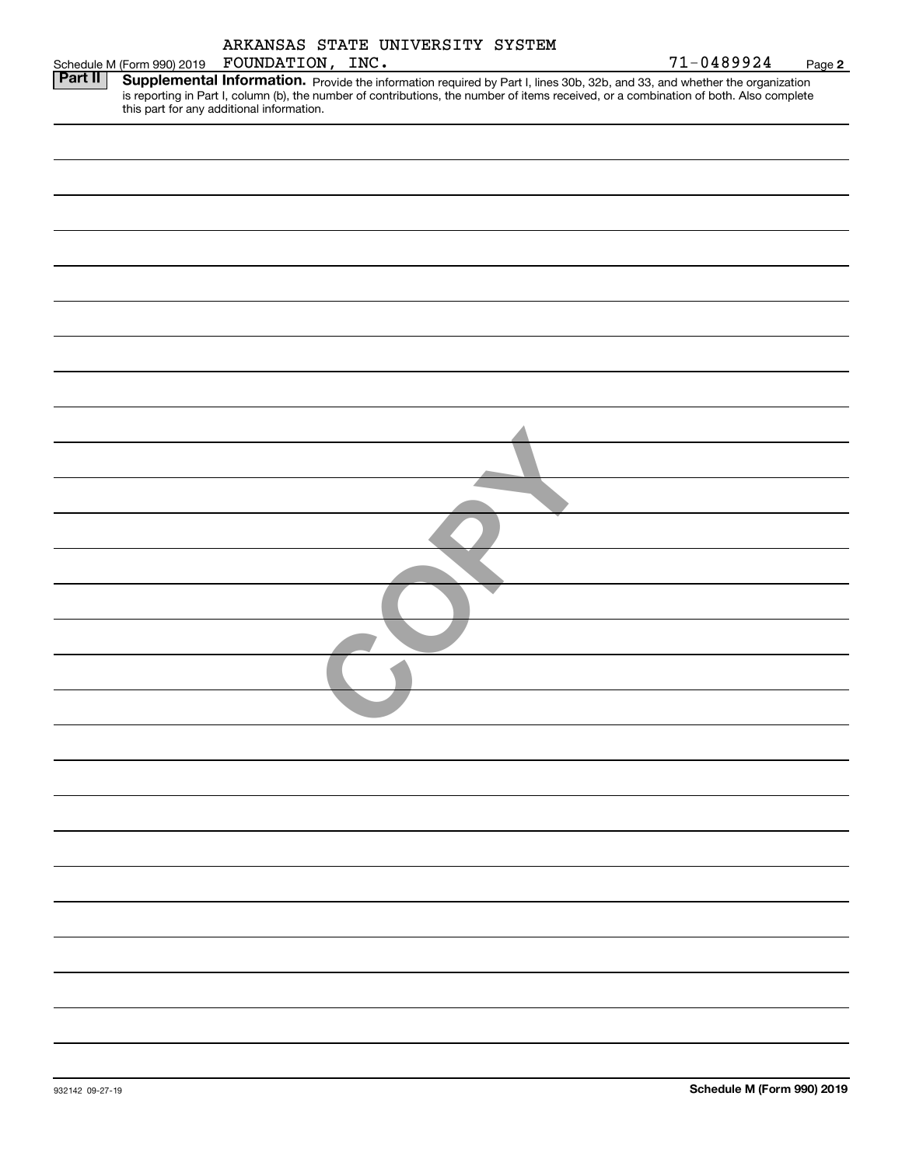|         | ARKANSAS STATE UNIVERSITY SYSTEM                                                                                                                                                                                                                                                                                  |                          |
|---------|-------------------------------------------------------------------------------------------------------------------------------------------------------------------------------------------------------------------------------------------------------------------------------------------------------------------|--------------------------|
|         | FOUNDATION, INC.<br>Schedule M (Form 990) 2019                                                                                                                                                                                                                                                                    | $71 - 0489924$<br>Page 2 |
| Part II | Supplemental Information. Provide the information required by Part I, lines 30b, 32b, and 33, and whether the organization<br>is reporting in Part I, column (b), the number of contributions, the number of items received, or a combination of both. Also complete<br>this part for any additional information. |                          |
|         |                                                                                                                                                                                                                                                                                                                   |                          |
|         |                                                                                                                                                                                                                                                                                                                   |                          |
|         |                                                                                                                                                                                                                                                                                                                   |                          |
|         |                                                                                                                                                                                                                                                                                                                   |                          |
|         |                                                                                                                                                                                                                                                                                                                   |                          |
|         |                                                                                                                                                                                                                                                                                                                   |                          |
|         |                                                                                                                                                                                                                                                                                                                   |                          |
|         |                                                                                                                                                                                                                                                                                                                   |                          |
|         |                                                                                                                                                                                                                                                                                                                   |                          |
|         |                                                                                                                                                                                                                                                                                                                   |                          |
|         |                                                                                                                                                                                                                                                                                                                   |                          |
|         |                                                                                                                                                                                                                                                                                                                   |                          |
|         |                                                                                                                                                                                                                                                                                                                   |                          |
|         |                                                                                                                                                                                                                                                                                                                   |                          |
|         |                                                                                                                                                                                                                                                                                                                   |                          |
|         |                                                                                                                                                                                                                                                                                                                   |                          |
|         |                                                                                                                                                                                                                                                                                                                   |                          |
|         |                                                                                                                                                                                                                                                                                                                   |                          |
|         |                                                                                                                                                                                                                                                                                                                   |                          |
|         |                                                                                                                                                                                                                                                                                                                   |                          |
|         |                                                                                                                                                                                                                                                                                                                   |                          |
|         |                                                                                                                                                                                                                                                                                                                   |                          |
|         |                                                                                                                                                                                                                                                                                                                   |                          |
|         |                                                                                                                                                                                                                                                                                                                   |                          |
|         |                                                                                                                                                                                                                                                                                                                   |                          |
|         |                                                                                                                                                                                                                                                                                                                   |                          |
|         |                                                                                                                                                                                                                                                                                                                   |                          |
|         |                                                                                                                                                                                                                                                                                                                   |                          |
|         |                                                                                                                                                                                                                                                                                                                   |                          |
|         |                                                                                                                                                                                                                                                                                                                   |                          |
|         |                                                                                                                                                                                                                                                                                                                   |                          |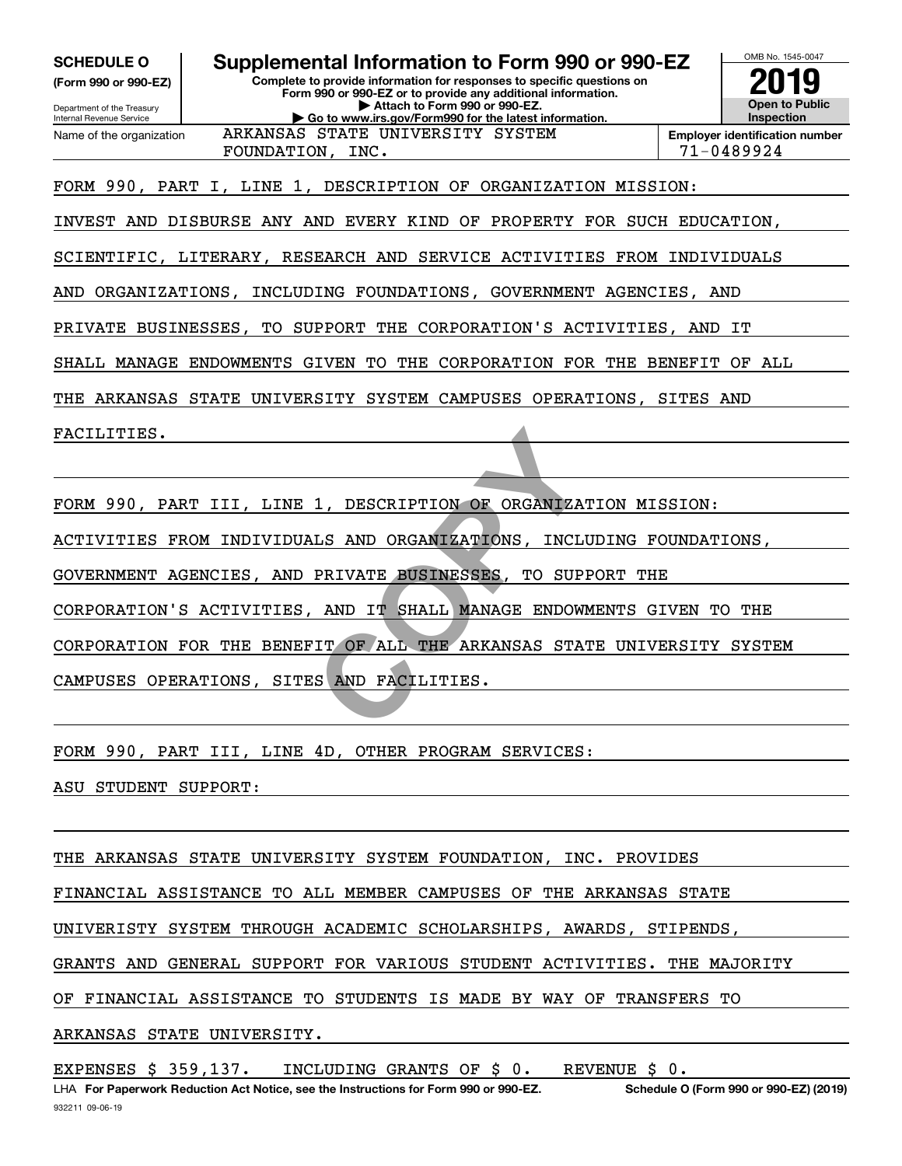**(Form 990 or 990-EZ)**

Department of the Treasury Internal Revenue Service Name of the organization

# **SCHEDULE O Supplemental Information to Form 990 or 990-EZ**

**Complete to provide information for responses to specific questions on Form 990 or 990-EZ or to provide any additional information. | Attach to Form 990 or 990-EZ. | Go to www.irs.gov/Form990 for the latest information.** ARKANSAS STATE UNIVERSITY SYSTEM

**Open to Public InspectionEmployer identification number 2019** FOUNDATION, INC. The contract of the set of the set of the set of the set of the set of the set of the set of the set of the set of the set of the set of the set of the set of the set of the set of the set of the set of th

OMB No. 1545-0047

FORM 990, PART I, LINE 1, DESCRIPTION OF ORGANIZATION MISSION:

INVEST AND DISBURSE ANY AND EVERY KIND OF PROPERTY FOR SUCH EDUCATION,

SCIENTIFIC, LITERARY, RESEARCH AND SERVICE ACTIVITIES FROM INDIVIDUALS

AND ORGANIZATIONS, INCLUDING FOUNDATIONS, GOVERNMENT AGENCIES, AND

PRIVATE BUSINESSES, TO SUPPORT THE CORPORATION'S ACTIVITIES, AND IT

SHALL MANAGE ENDOWMENTS GIVEN TO THE CORPORATION FOR THE BENEFIT OF ALL

THE ARKANSAS STATE UNIVERSITY SYSTEM CAMPUSES OPERATIONS, SITES AND

FACILITIES.

FORM 990, PART III, LINE 1, DESCRIPTION OF ORGANIZATION MISSION:

ACTIVITIES FROM INDIVIDUALS AND ORGANIZATIONS, INCLUDING FOUNDATIONS,

GOVERNMENT AGENCIES, AND PRIVATE BUSINESSES, TO SUPPORT THE

CORPORATION'S ACTIVITIES, AND IT SHALL MANAGE ENDOWMENTS GIVEN TO THE **1, DESCRIPTION OF ORGANIZATIONS, INCLUATIONS, INCLUATIONS, INCLUATIONS, INCLUATIONS, INCLUATIONS, INCLUATIONS, INCLUATIONS, INCLUATIONS, INCLUATIONS, INCLUATIONS, INCLUATIONS, INCLUATIONS, INCLUATIONS, INCLUATIONS, INCLUA** 

CORPORATION FOR THE BENEFIT OF ALL THE ARKANSAS STATE UNIVERSITY SYSTEM

CAMPUSES OPERATIONS, SITES AND FACILITIES.

FORM 990, PART III, LINE 4D, OTHER PROGRAM SERVICES:

ASU STUDENT SUPPORT:

THE ARKANSAS STATE UNIVERSITY SYSTEM FOUNDATION, INC. PROVIDES

FINANCIAL ASSISTANCE TO ALL MEMBER CAMPUSES OF THE ARKANSAS STATE

UNIVERISTY SYSTEM THROUGH ACADEMIC SCHOLARSHIPS, AWARDS, STIPENDS,

GRANTS AND GENERAL SUPPORT FOR VARIOUS STUDENT ACTIVITIES. THE MAJORITY

OF FINANCIAL ASSISTANCE TO STUDENTS IS MADE BY WAY OF TRANSFERS TO

ARKANSAS STATE UNIVERSITY.

EXPENSES \$ 359,137. INCLUDING GRANTS OF \$ 0. REVENUE \$ 0.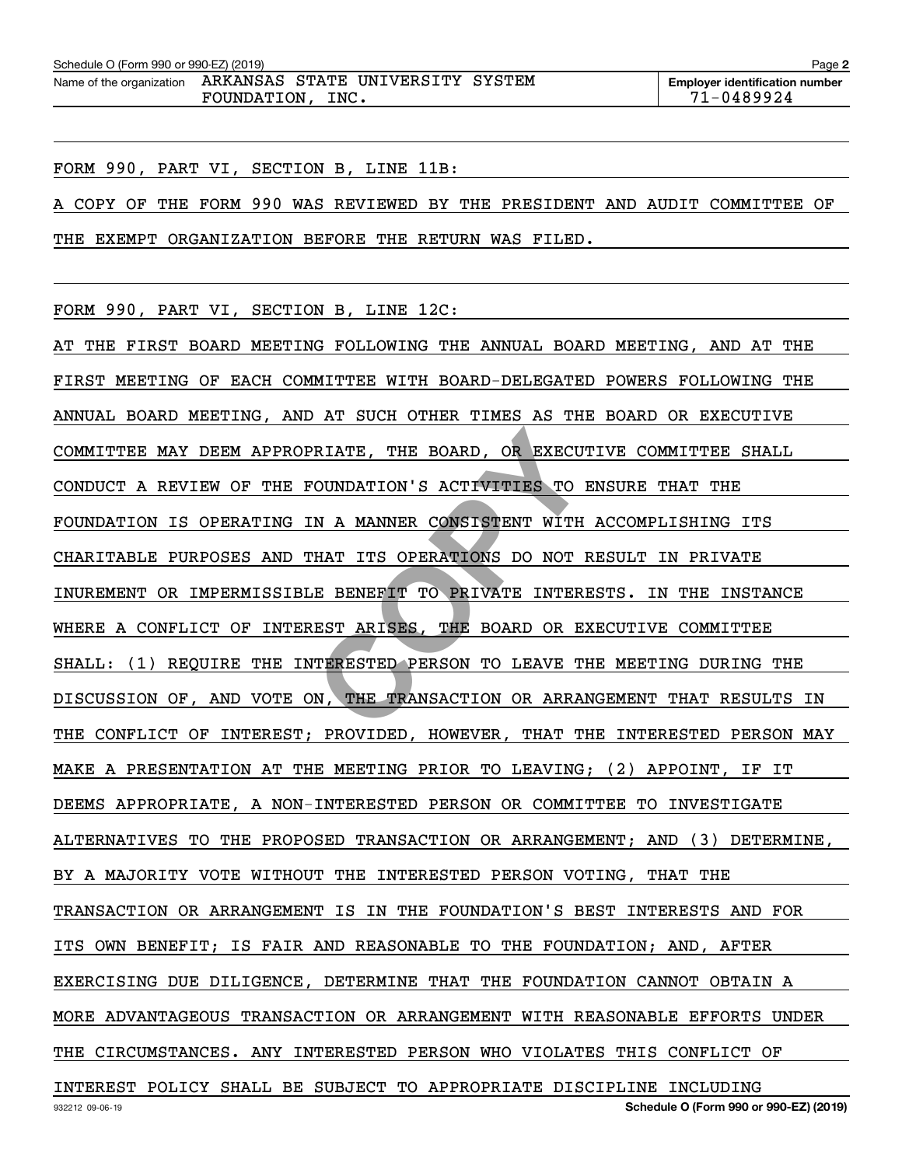FORM 990, PART VI, SECTION B, LINE 11B:

A COPY OF THE FORM 990 WAS REVIEWED BY THE PRESIDENT AND AUDIT COMMITTEE OF THE EXEMPT ORGANIZATION BEFORE THE RETURN WAS FILED.

FORM 990, PART VI, SECTION B, LINE 12C:

932212 09-06-19 **Schedule O (Form 990 or 990-EZ) (2019)** AT THE FIRST BOARD MEETING FOLLOWING THE ANNUAL BOARD MEETING, AND AT THE FIRST MEETING OF EACH COMMITTEE WITH BOARD-DELEGATED POWERS FOLLOWING THE ANNUAL BOARD MEETING, AND AT SUCH OTHER TIMES AS THE BOARD OR EXECUTIVE COMMITTEE MAY DEEM APPROPRIATE, THE BOARD, OR EXECUTIVE COMMITTEE SHALL CONDUCT A REVIEW OF THE FOUNDATION'S ACTIVITIES TO ENSURE THAT THE FOUNDATION IS OPERATING IN A MANNER CONSISTENT WITH ACCOMPLISHING ITS CHARITABLE PURPOSES AND THAT ITS OPERATIONS DO NOT RESULT IN PRIVATE INUREMENT OR IMPERMISSIBLE BENEFIT TO PRIVATE INTERESTS. IN THE INSTANCE WHERE A CONFLICT OF INTEREST ARISES, THE BOARD OR EXECUTIVE COMMITTEE SHALL: (1) REQUIRE THE INTERESTED PERSON TO LEAVE THE MEETING DURING THE DISCUSSION OF, AND VOTE ON, THE TRANSACTION OR ARRANGEMENT THAT RESULTS IN THE CONFLICT OF INTEREST; PROVIDED, HOWEVER, THAT THE INTERESTED PERSON MAY MAKE A PRESENTATION AT THE MEETING PRIOR TO LEAVING; (2) APPOINT, IF IT DEEMS APPROPRIATE, A NON-INTERESTED PERSON OR COMMITTEE TO INVESTIGATE ALTERNATIVES TO THE PROPOSED TRANSACTION OR ARRANGEMENT; AND (3) DETERMINE, BY A MAJORITY VOTE WITHOUT THE INTERESTED PERSON VOTING, THAT THE TRANSACTION OR ARRANGEMENT IS IN THE FOUNDATION'S BEST INTERESTS AND FOR ITS OWN BENEFIT; IS FAIR AND REASONABLE TO THE FOUNDATION; AND, AFTER EXERCISING DUE DILIGENCE, DETERMINE THAT THE FOUNDATION CANNOT OBTAIN A MORE ADVANTAGEOUS TRANSACTION OR ARRANGEMENT WITH REASONABLE EFFORTS UNDER THE CIRCUMSTANCES. ANY INTERESTED PERSON WHO VIOLATES THIS CONFLICT OF INTEREST POLICY SHALL BE SUBJECT TO APPROPRIATE DISCIPLINE INCLUDING RIATE, THE BOARD, OR EXECUT<br>
COUNDATION'S ACTIVITIES TO B<br>
IN A MANNER CONSISTENT WITH<br>
THAT ITS OPERATIONS DO NOT B<br>
<u>E BENEFIT TO PRIVATE INTERENT ARISES, THE BOARD OR EX</u><br>
TERESTED PERSON TO LEAVE THE<br>
NOW, THE TRANSACT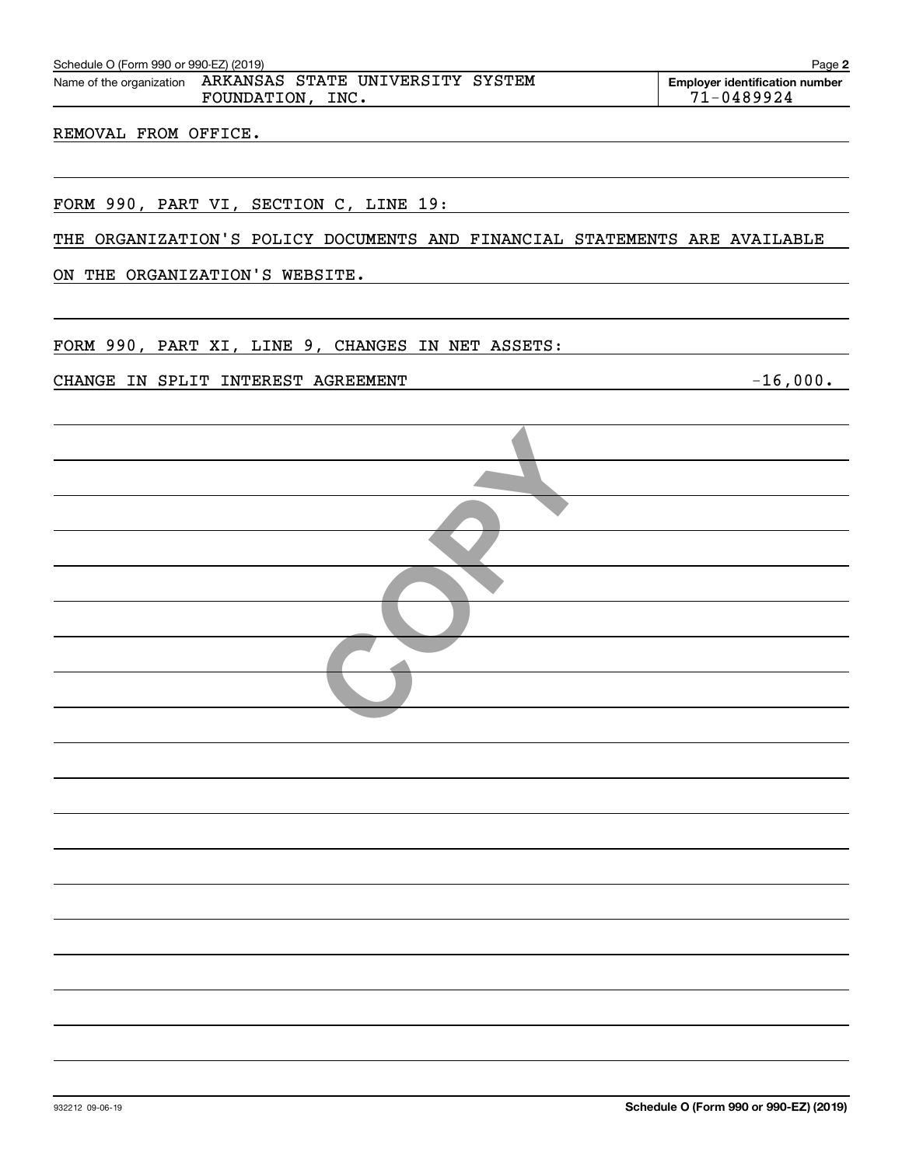| Schedule O (Form 990 or 990-EZ) (2019)                                        | Page 2                                              |
|-------------------------------------------------------------------------------|-----------------------------------------------------|
| Name of the organization ARKANSAS STATE UNIVERSITY SYSTEM<br>FOUNDATION, INC. | <b>Employer identification number</b><br>71-0489924 |
| REMOVAL FROM OFFICE.                                                          |                                                     |
|                                                                               |                                                     |
| FORM 990, PART VI, SECTION C, LINE 19:                                        |                                                     |
| THE ORGANIZATION'S POLICY DOCUMENTS AND FINANCIAL STATEMENTS ARE AVAILABLE    |                                                     |
| ON THE ORGANIZATION'S WEBSITE.                                                |                                                     |
|                                                                               |                                                     |
| FORM 990, PART XI, LINE 9, CHANGES IN NET ASSETS:                             |                                                     |
| CHANGE IN SPLIT INTEREST AGREEMENT                                            | $-16,000.$                                          |
|                                                                               |                                                     |
|                                                                               |                                                     |
|                                                                               |                                                     |
|                                                                               |                                                     |
|                                                                               |                                                     |
|                                                                               |                                                     |
|                                                                               |                                                     |
|                                                                               |                                                     |
|                                                                               |                                                     |
|                                                                               |                                                     |
|                                                                               |                                                     |
|                                                                               |                                                     |
|                                                                               |                                                     |
|                                                                               |                                                     |
|                                                                               |                                                     |
|                                                                               |                                                     |
|                                                                               |                                                     |
|                                                                               |                                                     |
|                                                                               |                                                     |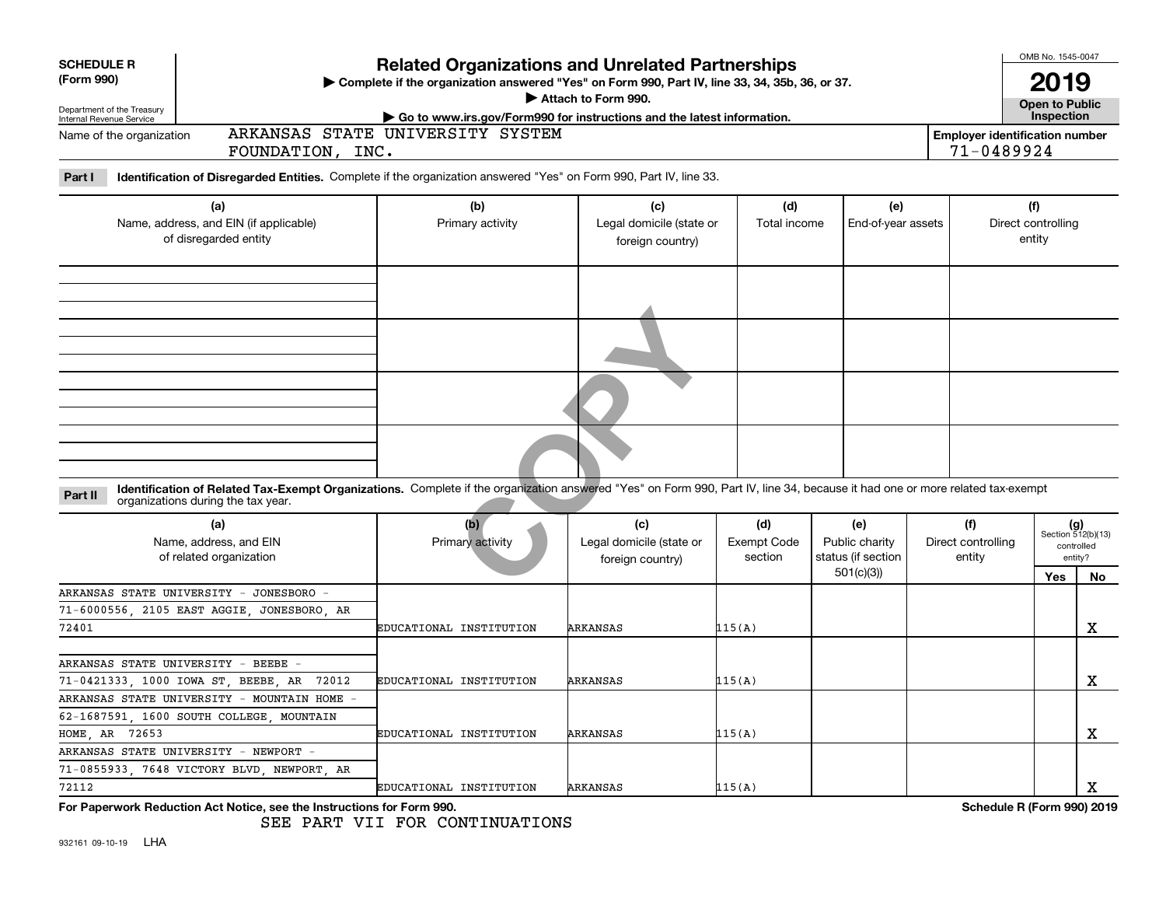| <b>SCHEDULE R</b>                                                              |                                                                        |                                                                                                                                                                              |                                                     |                                                     |                                             |                                     |                              | OMB No. 1545-0047 |                                                      |
|--------------------------------------------------------------------------------|------------------------------------------------------------------------|------------------------------------------------------------------------------------------------------------------------------------------------------------------------------|-----------------------------------------------------|-----------------------------------------------------|---------------------------------------------|-------------------------------------|------------------------------|-------------------|------------------------------------------------------|
| (Form 990)                                                                     |                                                                        | <b>Related Organizations and Unrelated Partnerships</b><br>> Complete if the organization answered "Yes" on Form 990, Part IV, line 33, 34, 35b, 36, or 37.                  |                                                     |                                                     |                                             |                                     |                              | 2019              |                                                      |
|                                                                                |                                                                        | Attach to Form 990.                                                                                                                                                          |                                                     |                                                     | Open to Public                              |                                     |                              |                   |                                                      |
| Department of the Treasury<br>Internal Revenue Service                         |                                                                        | Go to www.irs.gov/Form990 for instructions and the latest information.                                                                                                       |                                                     |                                                     |                                             |                                     |                              | Inspection        |                                                      |
| Name of the organization                                                       | FOUNDATION, INC.                                                       | ARKANSAS STATE UNIVERSITY SYSTEM                                                                                                                                             |                                                     | <b>Employer identification number</b><br>71-0489924 |                                             |                                     |                              |                   |                                                      |
| Part I                                                                         |                                                                        | Identification of Disregarded Entities. Complete if the organization answered "Yes" on Form 990, Part IV, line 33.                                                           |                                                     |                                                     |                                             |                                     |                              |                   |                                                      |
|                                                                                | (a)                                                                    | (b)                                                                                                                                                                          | (c)                                                 | (d)                                                 | (e)                                         |                                     |                              | (f)               |                                                      |
| Name, address, and EIN (if applicable)<br>of disregarded entity                |                                                                        | Primary activity                                                                                                                                                             | Legal domicile (state or<br>foreign country)        | Total income                                        | End-of-year assets                          |                                     | Direct controlling<br>entity |                   |                                                      |
|                                                                                |                                                                        |                                                                                                                                                                              |                                                     |                                                     |                                             |                                     |                              |                   |                                                      |
|                                                                                |                                                                        |                                                                                                                                                                              |                                                     |                                                     |                                             |                                     |                              |                   |                                                      |
|                                                                                |                                                                        |                                                                                                                                                                              |                                                     |                                                     |                                             |                                     |                              |                   |                                                      |
|                                                                                |                                                                        |                                                                                                                                                                              |                                                     |                                                     |                                             |                                     |                              |                   |                                                      |
| Part II<br>organizations during the tax year.                                  |                                                                        | Identification of Related Tax-Exempt Organizations. Complete if the organization answered "Yes" on Form 990, Part IV, line 34, because it had one or more related tax-exempt |                                                     |                                                     |                                             |                                     |                              |                   |                                                      |
| (a)<br>Name, address, and EIN<br>of related organization                       |                                                                        | (b)<br>Primary activity                                                                                                                                                      | (c)<br>Legal domicile (state or<br>foreign country) | (d)<br>Exempt Code<br>section                       | (e)<br>Public charity<br>status (if section | (f)<br>Direct controlling<br>entity |                              |                   | $(g)$<br>Section 512(b)(13)<br>controlled<br>entity? |
|                                                                                |                                                                        |                                                                                                                                                                              |                                                     |                                                     | 501(c)(3)                                   |                                     |                              | <b>Yes</b>        | No                                                   |
| ARKANSAS STATE UNIVERSITY - JONESBORO                                          |                                                                        |                                                                                                                                                                              |                                                     |                                                     |                                             |                                     |                              |                   |                                                      |
| 71-6000556, 2105 EAST AGGIE, JONESBORO, AR                                     |                                                                        |                                                                                                                                                                              |                                                     |                                                     |                                             |                                     |                              |                   |                                                      |
| 72401                                                                          |                                                                        | EDUCATIONAL INSTITUTION                                                                                                                                                      | <b>ARKANSAS</b>                                     | 115(A)                                              |                                             |                                     |                              |                   | X                                                    |
|                                                                                |                                                                        |                                                                                                                                                                              |                                                     |                                                     |                                             |                                     |                              |                   |                                                      |
| ARKANSAS STATE UNIVERSITY - BEEBE<br>71-0421333, 1000 IOWA ST, BEEBE, AR 72012 |                                                                        | EDUCATIONAL INSTITUTION                                                                                                                                                      | <b>ARKANSAS</b>                                     | 115(A)                                              |                                             |                                     |                              |                   | х                                                    |
| ARKANSAS STATE UNIVERSITY - MOUNTAIN HOME                                      |                                                                        |                                                                                                                                                                              |                                                     |                                                     |                                             |                                     |                              |                   |                                                      |
| 62-1687591, 1600 SOUTH COLLEGE, MOUNTAIN                                       |                                                                        |                                                                                                                                                                              |                                                     |                                                     |                                             |                                     |                              |                   |                                                      |
| HOME, AR 72653                                                                 |                                                                        | EDUCATIONAL INSTITUTION                                                                                                                                                      | ARKANSAS                                            | 115(A)                                              |                                             |                                     |                              |                   | X                                                    |
| ARKANSAS STATE UNIVERSITY - NEWPORT -                                          |                                                                        |                                                                                                                                                                              |                                                     |                                                     |                                             |                                     |                              |                   |                                                      |
| 71-0855933, 7648 VICTORY BLVD, NEWPORT, AR                                     |                                                                        |                                                                                                                                                                              |                                                     |                                                     |                                             |                                     |                              |                   |                                                      |
| 72112                                                                          |                                                                        | EDUCATIONAL INSTITUTION                                                                                                                                                      | ARKANSAS                                            | 115(A)                                              |                                             |                                     |                              |                   | X                                                    |
|                                                                                | For Paperwork Reduction Act Notice, see the Instructions for Form 990. | SEE PART VII FOR CONTINUATIONS                                                                                                                                               |                                                     |                                                     |                                             |                                     | Schedule R (Form 990) 2019   |                   |                                                      |

932161 09-10-19 LHA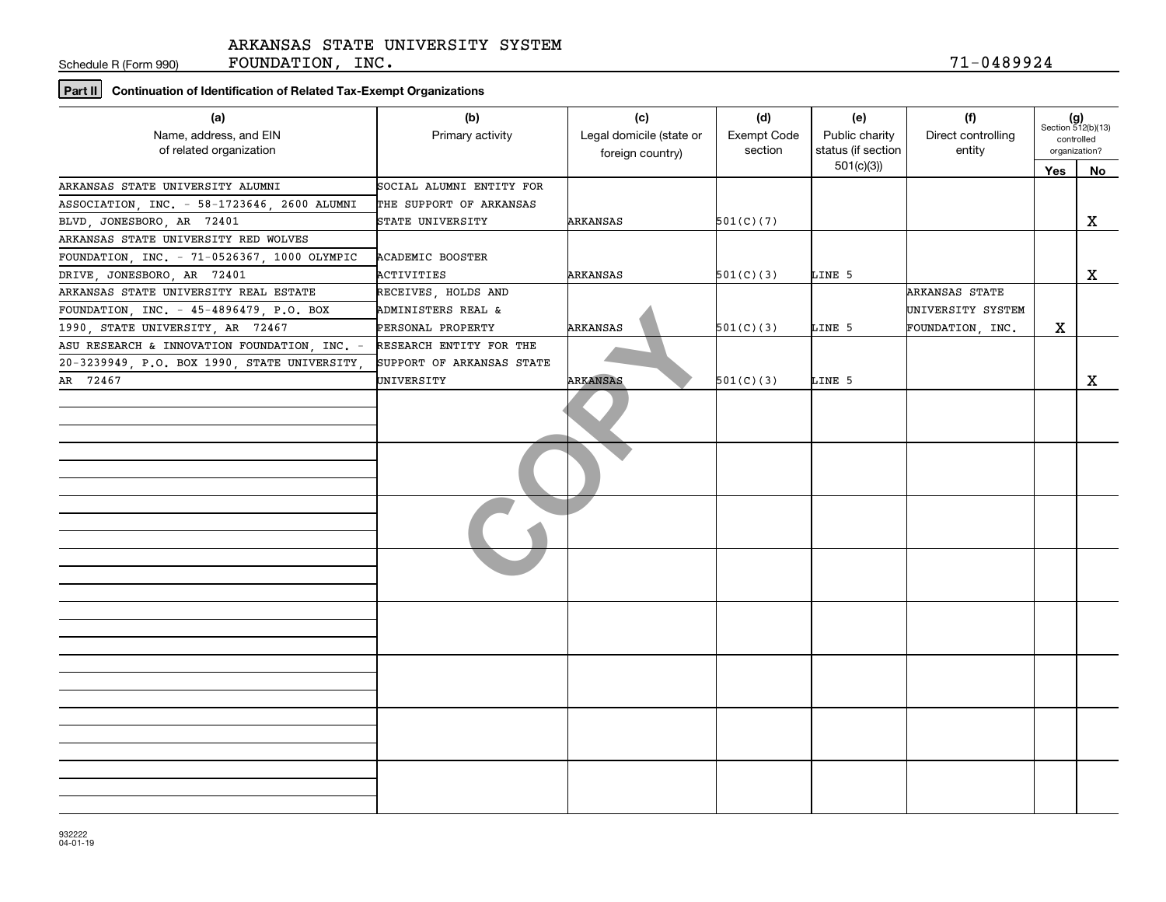Schedule R (Form 990)

FOUNDATION, INC. 71-0489924

### **Part II Continuation of Identification of Related Tax-Exempt Organizations**

| (a)<br>Name, address, and EIN<br>of related organization | (b)<br>Primary activity   | (c)<br>Legal domicile (state or<br>foreign country) | (d)<br>Exempt Code<br>section | (e)<br>Public charity<br>status (if section | (f)<br>Direct controlling<br>entity | $(g)$<br>Section 512(b)(13)<br>controlled<br>organization? |             |
|----------------------------------------------------------|---------------------------|-----------------------------------------------------|-------------------------------|---------------------------------------------|-------------------------------------|------------------------------------------------------------|-------------|
|                                                          |                           |                                                     |                               | 501(c)(3)                                   |                                     | Yes                                                        | No          |
| ARKANSAS STATE UNIVERSITY ALUMNI                         | SOCIAL ALUMNI ENTITY FOR  |                                                     |                               |                                             |                                     |                                                            |             |
| ASSOCIATION, INC. - 58-1723646, 2600 ALUMNI              | THE SUPPORT OF ARKANSAS   |                                                     |                               |                                             |                                     |                                                            |             |
| BLVD, JONESBORO, AR 72401                                | STATE UNIVERSITY          | <b>ARKANSAS</b>                                     | 501(C)(7)                     |                                             |                                     |                                                            | X           |
| ARKANSAS STATE UNIVERSITY RED WOLVES                     |                           |                                                     |                               |                                             |                                     |                                                            |             |
| FOUNDATION, INC. - 71-0526367, 1000 OLYMPIC              | <b>ACADEMIC BOOSTER</b>   |                                                     |                               |                                             |                                     |                                                            |             |
| DRIVE, JONESBORO, AR 72401                               | ACTIVITIES                | ARKANSAS                                            | 501(C)(3)                     | LINE 5                                      |                                     |                                                            | $\mathbf x$ |
| ARKANSAS STATE UNIVERSITY REAL ESTATE                    | RECEIVES, HOLDS AND       |                                                     |                               |                                             | ARKANSAS STATE                      |                                                            |             |
| FOUNDATION, INC. - 45-4896479, P.O. BOX                  | ADMINISTERS REAL &        |                                                     |                               |                                             | UNIVERSITY SYSTEM                   |                                                            |             |
| 1990, STATE UNIVERSITY, AR 72467                         | PERSONAL PROPERTY         | <b>ARKANSAS</b>                                     | 501(C)(3)                     | LINE 5                                      | FOUNDATION, INC.                    | X                                                          |             |
| ASU RESEARCH & INNOVATION FOUNDATION, INC. -             | RESEARCH ENTITY FOR THE   |                                                     |                               |                                             |                                     |                                                            |             |
| 20-3239949, P.O. BOX 1990, STATE UNIVERSITY,             | SUPPORT OF ARKANSAS STATE |                                                     |                               |                                             |                                     |                                                            |             |
| AR 72467                                                 | UNIVERSITY                | <b>ARKANSAS</b>                                     | 501(C)(3)                     | LINE 5                                      |                                     |                                                            | X           |
|                                                          |                           |                                                     |                               |                                             |                                     |                                                            |             |
|                                                          |                           |                                                     |                               |                                             |                                     |                                                            |             |
|                                                          |                           |                                                     |                               |                                             |                                     |                                                            |             |
|                                                          |                           |                                                     |                               |                                             |                                     |                                                            |             |
|                                                          |                           |                                                     |                               |                                             |                                     |                                                            |             |
|                                                          |                           |                                                     |                               |                                             |                                     |                                                            |             |
|                                                          |                           |                                                     |                               |                                             |                                     |                                                            |             |
|                                                          |                           |                                                     |                               |                                             |                                     |                                                            |             |
|                                                          |                           |                                                     |                               |                                             |                                     |                                                            |             |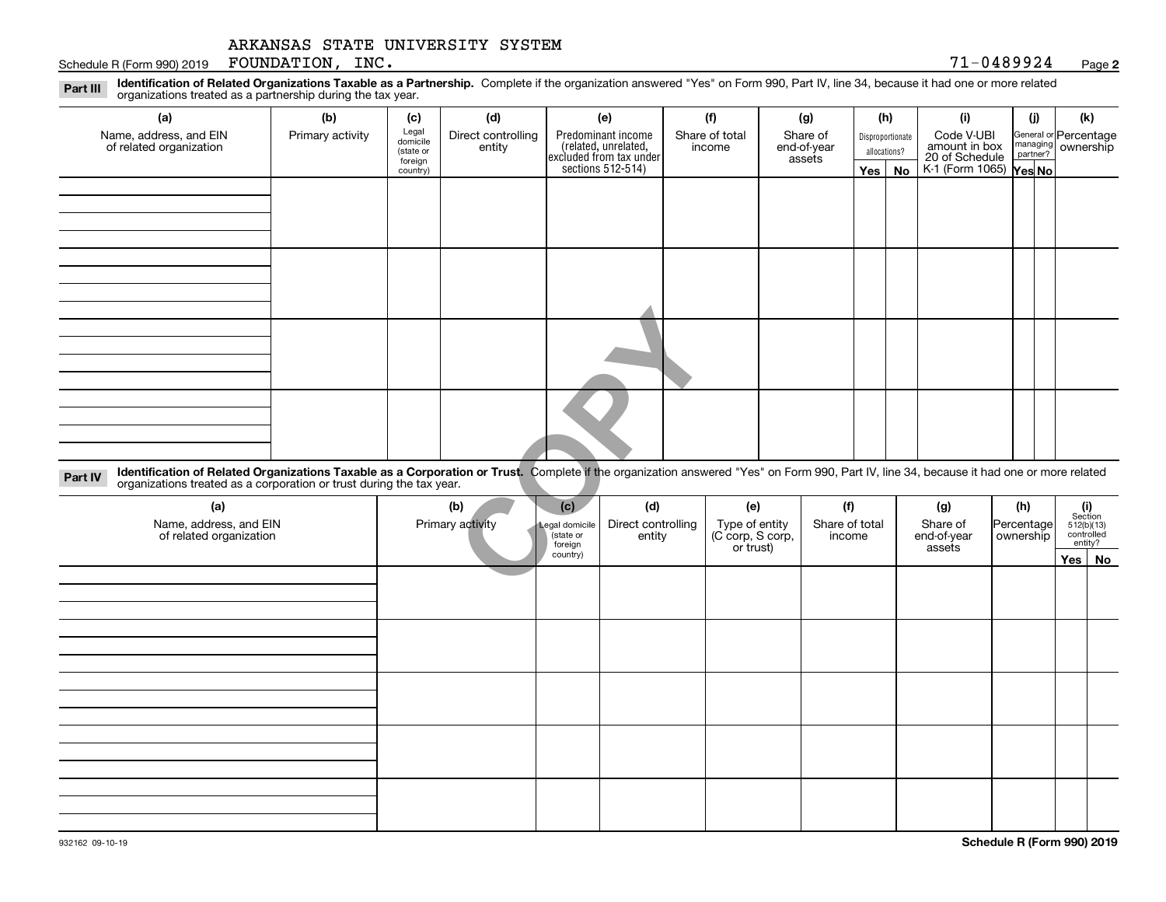#### Schedule R (Form 990) 2019 Page FOUNDATION, INC. 71-0489924

#### **2**

**Identification of Related Organizations Taxable as a Partnership.** Complete if the organization answered "Yes" on Form 990, Part IV, line 34, because it had one or more related **Part III** organizations treated as a partnership during the tax year.

| (a)                                                                                                                                                                                      | (b)              | (c)                  | (d)                |                      | (e)                                        | (f)              |                       | (g)            | (h)          |                  | (i)                             |            | (i)                  | (k)                   |  |
|------------------------------------------------------------------------------------------------------------------------------------------------------------------------------------------|------------------|----------------------|--------------------|----------------------|--------------------------------------------|------------------|-----------------------|----------------|--------------|------------------|---------------------------------|------------|----------------------|-----------------------|--|
| Name, address, and EIN                                                                                                                                                                   | Primary activity | Legal<br>domicile    | Direct controlling |                      | Predominant income<br>(related, unrelated, | Share of total   |                       | Share of       |              | Disproportionate | Code V-UBI                      |            |                      | General or Percentage |  |
| of related organization                                                                                                                                                                  |                  | (state or<br>foreign | entity             |                      | excluded from tax under                    | income           | end-of-year<br>assets |                | allocations? |                  | amount in box<br>20 of Schedule |            | managing<br>partner? | ownership             |  |
|                                                                                                                                                                                          |                  | country)             |                    |                      | sections $512-514$ )                       |                  |                       |                | Yes $ $      |                  | K-1 (Form 1065) Yes No<br>No    |            |                      |                       |  |
|                                                                                                                                                                                          |                  |                      |                    |                      |                                            |                  |                       |                |              |                  |                                 |            |                      |                       |  |
|                                                                                                                                                                                          |                  |                      |                    |                      |                                            |                  |                       |                |              |                  |                                 |            |                      |                       |  |
|                                                                                                                                                                                          |                  |                      |                    |                      |                                            |                  |                       |                |              |                  |                                 |            |                      |                       |  |
|                                                                                                                                                                                          |                  |                      |                    |                      |                                            |                  |                       |                |              |                  |                                 |            |                      |                       |  |
|                                                                                                                                                                                          |                  |                      |                    |                      |                                            |                  |                       |                |              |                  |                                 |            |                      |                       |  |
|                                                                                                                                                                                          |                  |                      |                    |                      |                                            |                  |                       |                |              |                  |                                 |            |                      |                       |  |
|                                                                                                                                                                                          |                  |                      |                    |                      |                                            |                  |                       |                |              |                  |                                 |            |                      |                       |  |
|                                                                                                                                                                                          |                  |                      |                    |                      |                                            |                  |                       |                |              |                  |                                 |            |                      |                       |  |
|                                                                                                                                                                                          |                  |                      |                    |                      |                                            |                  |                       |                |              |                  |                                 |            |                      |                       |  |
|                                                                                                                                                                                          |                  |                      |                    |                      |                                            |                  |                       |                |              |                  |                                 |            |                      |                       |  |
|                                                                                                                                                                                          |                  |                      |                    |                      |                                            |                  |                       |                |              |                  |                                 |            |                      |                       |  |
|                                                                                                                                                                                          |                  |                      |                    |                      |                                            |                  |                       |                |              |                  |                                 |            |                      |                       |  |
|                                                                                                                                                                                          |                  |                      |                    |                      |                                            |                  |                       |                |              |                  |                                 |            |                      |                       |  |
|                                                                                                                                                                                          |                  |                      |                    |                      |                                            |                  |                       |                |              |                  |                                 |            |                      |                       |  |
|                                                                                                                                                                                          |                  |                      |                    |                      |                                            |                  |                       |                |              |                  |                                 |            |                      |                       |  |
|                                                                                                                                                                                          |                  |                      |                    |                      |                                            |                  |                       |                |              |                  |                                 |            |                      |                       |  |
| Identification of Related Organizations Taxable as a Corporation or Trust. Complete if the organization answered "Yes" on Form 990, Part IV, line 34, because it had one or more related |                  |                      |                    |                      |                                            |                  |                       |                |              |                  |                                 |            |                      |                       |  |
| Part IV<br>organizations treated as a corporation or trust during the tax year.                                                                                                          |                  |                      |                    |                      |                                            |                  |                       |                |              |                  |                                 |            |                      |                       |  |
| (a)                                                                                                                                                                                      |                  |                      | (b)                | (c)                  | (d)                                        | (e)              |                       | (f)            |              |                  | (g)                             |            | (h)                  | (i)<br>Section        |  |
| Name, address, and EIN                                                                                                                                                                   |                  |                      | Primary activity   | Legal domicile       | Direct controlling                         | Type of entity   |                       | Share of total |              |                  | Share of                        | Percentage |                      | 512(b)(13)            |  |
| of related organization                                                                                                                                                                  |                  |                      |                    | (state or<br>foreign | entity                                     | (C corp, S corp, |                       | income         |              |                  | end-of-year                     |            | ownership            | controlled<br>entity? |  |
|                                                                                                                                                                                          |                  |                      |                    | country)             |                                            | or trust)        |                       |                |              |                  | assets                          |            |                      | Yes   No              |  |
|                                                                                                                                                                                          |                  |                      |                    |                      |                                            |                  |                       |                |              |                  |                                 |            |                      |                       |  |
|                                                                                                                                                                                          |                  |                      |                    |                      |                                            |                  |                       |                |              |                  |                                 |            |                      |                       |  |

| (a)<br>Name, address, and EIN<br>of related organization | (b)<br>Primary activity | (c)<br>Legal domicile<br>(state or<br>foreign | (d)<br>Direct controlling<br>entity | (e)<br>Type of entity<br>(C corp, S corp,<br>or trust) | (f)<br>Share of total<br>income | (g)<br>Share of<br>end-of-year<br>assets | (h)<br>Percentage<br>ownership | $\begin{array}{c} \textbf{(i)}\\ \text{Section}\\ 512 \text{(b)} \text{(13)}\\ \text{controlled}\\ \text{entity?} \end{array}$ |  |
|----------------------------------------------------------|-------------------------|-----------------------------------------------|-------------------------------------|--------------------------------------------------------|---------------------------------|------------------------------------------|--------------------------------|--------------------------------------------------------------------------------------------------------------------------------|--|
|                                                          |                         | country)                                      |                                     |                                                        |                                 |                                          |                                | Yes No                                                                                                                         |  |
|                                                          |                         |                                               |                                     |                                                        |                                 |                                          |                                |                                                                                                                                |  |
|                                                          |                         |                                               |                                     |                                                        |                                 |                                          |                                |                                                                                                                                |  |
|                                                          |                         |                                               |                                     |                                                        |                                 |                                          |                                |                                                                                                                                |  |
|                                                          |                         |                                               |                                     |                                                        |                                 |                                          |                                |                                                                                                                                |  |
|                                                          |                         |                                               |                                     |                                                        |                                 |                                          |                                |                                                                                                                                |  |
|                                                          |                         |                                               |                                     |                                                        |                                 |                                          |                                |                                                                                                                                |  |
|                                                          |                         |                                               |                                     |                                                        |                                 |                                          |                                |                                                                                                                                |  |
|                                                          |                         |                                               |                                     |                                                        |                                 |                                          |                                |                                                                                                                                |  |
|                                                          |                         |                                               |                                     |                                                        |                                 |                                          |                                |                                                                                                                                |  |
|                                                          |                         |                                               |                                     |                                                        |                                 |                                          |                                |                                                                                                                                |  |
|                                                          |                         |                                               |                                     |                                                        |                                 |                                          |                                |                                                                                                                                |  |
|                                                          |                         |                                               |                                     |                                                        |                                 |                                          |                                |                                                                                                                                |  |
|                                                          |                         |                                               |                                     |                                                        |                                 |                                          |                                |                                                                                                                                |  |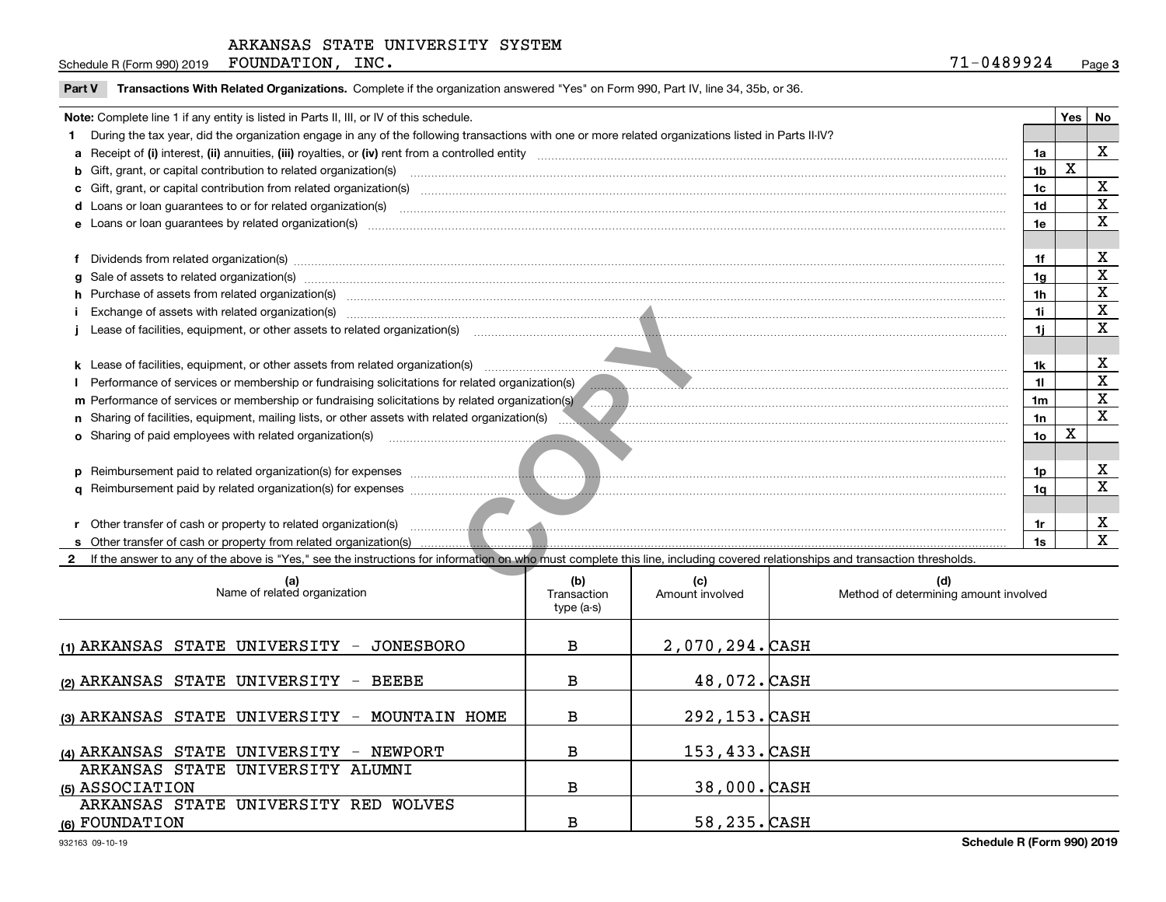Schedule R (Form 990) 2019 Page FOUNDATION, INC. 71-0489924

**Part V Transactions With Related Organizations. Complete if the organization answered "Yes" on Form 990, Part IV, line 34, 35b, or 36.<br>** 

|                                                                                                                                                                                                                                | Note: Complete line 1 if any entity is listed in Parts II, III, or IV of this schedule.                                                                                                                                        |                |  |             |  |  |  |
|--------------------------------------------------------------------------------------------------------------------------------------------------------------------------------------------------------------------------------|--------------------------------------------------------------------------------------------------------------------------------------------------------------------------------------------------------------------------------|----------------|--|-------------|--|--|--|
|                                                                                                                                                                                                                                | During the tax year, did the organization engage in any of the following transactions with one or more related organizations listed in Parts II-IV?                                                                            |                |  |             |  |  |  |
|                                                                                                                                                                                                                                |                                                                                                                                                                                                                                |                |  |             |  |  |  |
|                                                                                                                                                                                                                                |                                                                                                                                                                                                                                |                |  |             |  |  |  |
|                                                                                                                                                                                                                                | c Gift, grant, or capital contribution from related organization(s)                                                                                                                                                            |                |  |             |  |  |  |
|                                                                                                                                                                                                                                |                                                                                                                                                                                                                                |                |  |             |  |  |  |
|                                                                                                                                                                                                                                |                                                                                                                                                                                                                                | 1e             |  | X           |  |  |  |
|                                                                                                                                                                                                                                |                                                                                                                                                                                                                                |                |  |             |  |  |  |
|                                                                                                                                                                                                                                | Dividends from related organization(s) www.communically.communically.communically and an experimental contract or communication and an experimental control of the control of the control of the control of the control of the | 1f             |  | x           |  |  |  |
| a                                                                                                                                                                                                                              | Sale of assets to related organization(s) www.assettion.com/www.assettion.com/www.assettion.com/www.assettion.com/www.assettion.com/www.assettion.com/www.assettion.com/www.assettion.com/www.assettion.com/www.assettion.com/ | 1g             |  | $\mathbf X$ |  |  |  |
|                                                                                                                                                                                                                                | h Purchase of assets from related organization(s) manufactured and content to the content of the content of the content of the content of the content of the content of the content of the content of the content of the conte | 1 <sub>h</sub> |  | X           |  |  |  |
|                                                                                                                                                                                                                                | Exchange of assets with related organization(s) material content and content and content and content and content and content and content and content and content and content and content and content and content and content a | 1i.            |  | $\mathbf X$ |  |  |  |
|                                                                                                                                                                                                                                | Lease of facilities, equipment, or other assets to related organization(s) manufactured content to the manufactured content of facilities, equipment, or other assets to related organization(s) manufactured content and cont | 11             |  | $\mathbf x$ |  |  |  |
|                                                                                                                                                                                                                                |                                                                                                                                                                                                                                |                |  |             |  |  |  |
| k Lease of facilities, equipment, or other assets from related organization(s) manufactured and content to the content of the content of the content of the content of the content of the content of the content of the conten |                                                                                                                                                                                                                                |                |  |             |  |  |  |
| I Performance of services or membership or fundraising solicitations for related organization(s)                                                                                                                               |                                                                                                                                                                                                                                |                |  |             |  |  |  |
| m Performance of services or membership or fundraising solicitations by related organization(s)                                                                                                                                |                                                                                                                                                                                                                                |                |  |             |  |  |  |
|                                                                                                                                                                                                                                |                                                                                                                                                                                                                                |                |  |             |  |  |  |
| <b>o</b> Sharing of paid employees with related organization(s)                                                                                                                                                                |                                                                                                                                                                                                                                |                |  |             |  |  |  |
|                                                                                                                                                                                                                                |                                                                                                                                                                                                                                |                |  |             |  |  |  |
|                                                                                                                                                                                                                                |                                                                                                                                                                                                                                |                |  |             |  |  |  |
|                                                                                                                                                                                                                                | q Reimbursement paid by related organization(s) for expenses <b>manufactured and container and container and container</b><br>1q                                                                                               |                |  |             |  |  |  |
|                                                                                                                                                                                                                                |                                                                                                                                                                                                                                |                |  | X           |  |  |  |
|                                                                                                                                                                                                                                | r Other transfer of cash or property to related organization(s)<br>1r                                                                                                                                                          |                |  |             |  |  |  |
|                                                                                                                                                                                                                                | s Other transfer of cash or property from related organization(s)<br>1s                                                                                                                                                        |                |  |             |  |  |  |
|                                                                                                                                                                                                                                | If the answer to any of the above is "Yes," see the instructions for information on who must complete this line, including covered relationships and transaction thresholds.                                                   |                |  |             |  |  |  |
|                                                                                                                                                                                                                                | (b)<br>(d)<br>(a)<br>Name of related organization<br>(C)<br>Method of determining amount involved<br>Amount involved<br>Transaction<br>$type(a-s)$                                                                             |                |  |             |  |  |  |

| ivame or related organization                          | ransaction<br>type (a-s) | Amount Involved   | Method of determining amount involved |
|--------------------------------------------------------|--------------------------|-------------------|---------------------------------------|
| (1) ARKANSAS STATE UNIVERSITY - JONESBORO              | в                        | $2,070,294.$ CASH |                                       |
| (2) ARKANSAS STATE UNIVERSITY - BEEBE                  | в                        | 48,072. CASH      |                                       |
| (3) ARKANSAS STATE UNIVERSITY - MOUNTAIN HOME          | в                        | 292, 153. CASH    |                                       |
| (4) ARKANSAS STATE UNIVERSITY - NEWPORT                | в                        | 153,433. CASH     |                                       |
| ARKANSAS STATE UNIVERSITY ALUMNI<br>(5) ASSOCIATION    | B                        | 38,000. CASH      |                                       |
| ARKANSAS STATE UNIVERSITY RED WOLVES<br>(6) FOUNDATION | B                        | 58, 235. CASH     |                                       |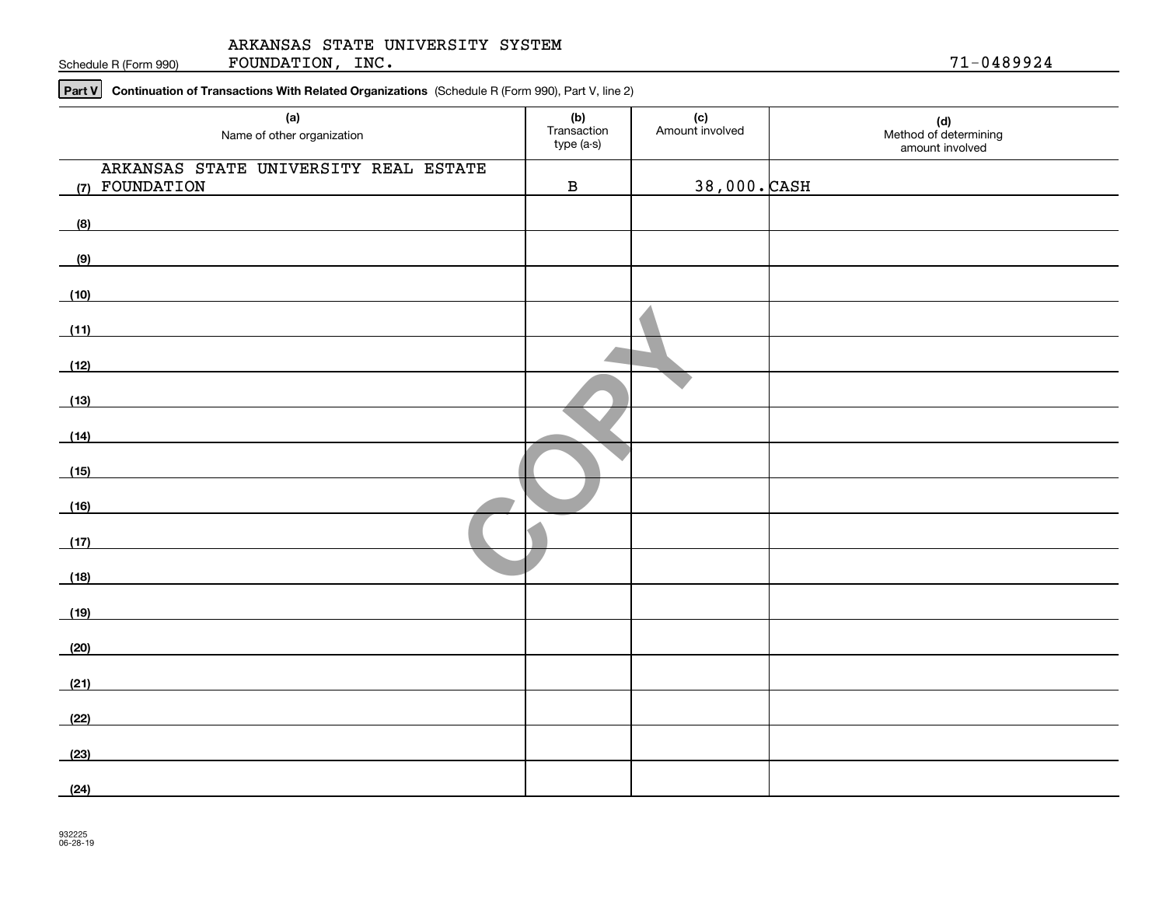Schedule R (Form 990)

FOUNDATION, INC. 71-0489924

**Part V Continuation of Transactions With Related Organizations**  (Schedule R (Form 990), Part V, line 2)

| (a)<br>Name of other organization                       | (b)<br>Transaction<br>type (a-s) | (c)<br>Amount involved | (d)<br>Method of determining<br>amount involved |
|---------------------------------------------------------|----------------------------------|------------------------|-------------------------------------------------|
| ARKANSAS STATE UNIVERSITY REAL ESTATE<br>(7) FOUNDATION | $\, {\bf B}$                     | 38,000. CASH           |                                                 |
| (8)                                                     |                                  |                        |                                                 |
| (9)                                                     |                                  |                        |                                                 |
| (10)                                                    |                                  |                        |                                                 |
| (11)                                                    |                                  |                        |                                                 |
| (12)<br><u> 1989 - Andrea Andrew Maria (h. 1989).</u>   |                                  |                        |                                                 |
| (13)<br><u> 1980 - Andrea Andrew Maria (h. 1980).</u>   |                                  |                        |                                                 |
| (14)                                                    |                                  |                        |                                                 |
| (15)                                                    |                                  |                        |                                                 |
| (16)                                                    |                                  |                        |                                                 |
| (17)<br><u> 1980 - Jan Barbara Barbara, maskin</u>      |                                  |                        |                                                 |
| (18)                                                    |                                  |                        |                                                 |
| (19)                                                    |                                  |                        |                                                 |
| (20)                                                    |                                  |                        |                                                 |
| (21)                                                    |                                  |                        |                                                 |
| (22)                                                    |                                  |                        |                                                 |
| (23)                                                    |                                  |                        |                                                 |
| (24)                                                    |                                  |                        |                                                 |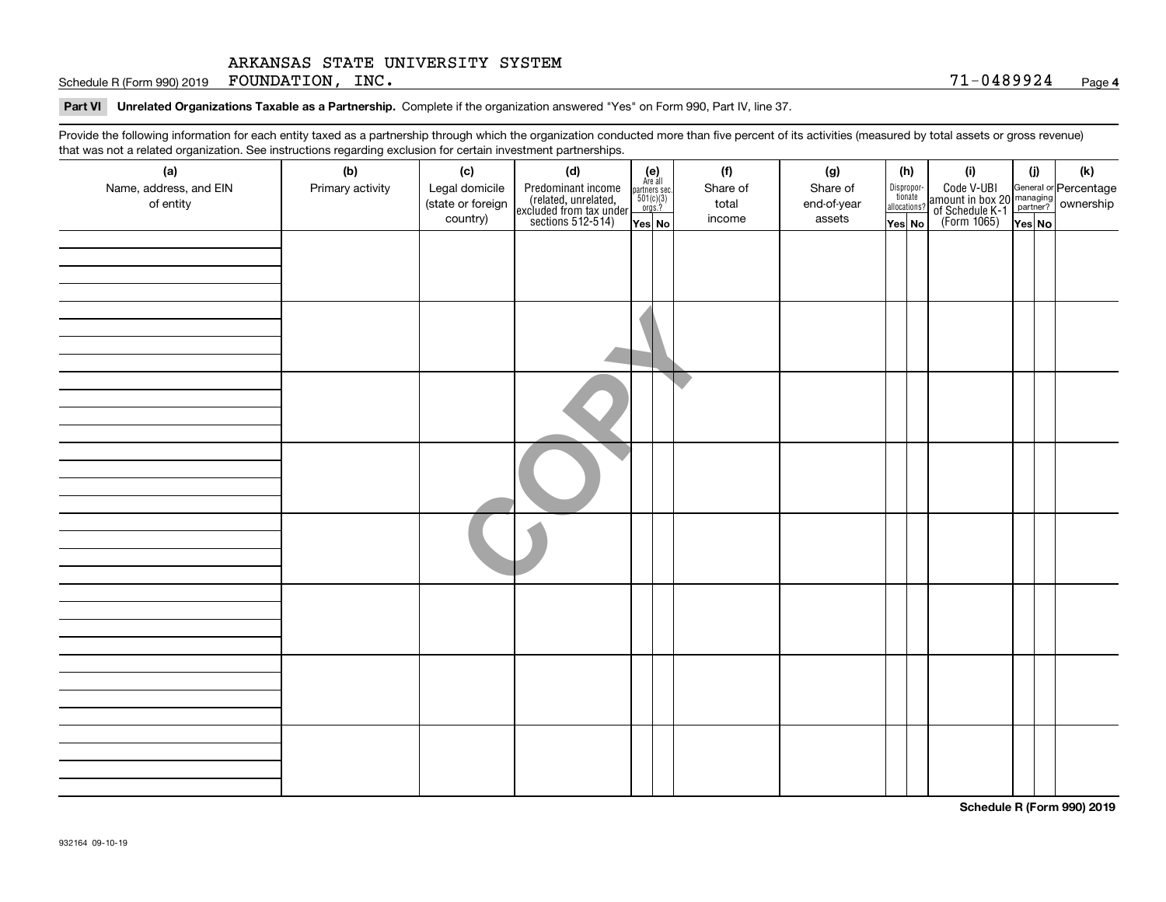Schedule R (Form 990) 2019 Page FOUNDATION, INC. 71-0489924

**Part VI Unrelated Organizations Taxable as a Partnership.**  Complete if the organization answered "Yes" on Form 990, Part IV, line 37.

Provide the following information for each entity taxed as a partnership through which the organization conducted more than five percent of its activities (measured by total assets or gross revenue) that was not a related organization. See instructions regarding exclusion for certain investment partnerships.

| ັ                      | ັ<br>ັ           |                   |                                                                                            |                                                                                               |          |             |                                  |                                                                                                  |        |                |
|------------------------|------------------|-------------------|--------------------------------------------------------------------------------------------|-----------------------------------------------------------------------------------------------|----------|-------------|----------------------------------|--------------------------------------------------------------------------------------------------|--------|----------------|
| (a)                    | (b)              | (c)               | (d)                                                                                        | $(e)$<br>Are all                                                                              | (f)      | (g)         | (h)                              | (i)                                                                                              | (i)    | $(\mathsf{k})$ |
| Name, address, and EIN | Primary activity | Legal domicile    | Predominant income<br>(related, unrelated,<br>excluded from tax under<br>sections 512-514) |                                                                                               | Share of | Share of    |                                  | Code V-UBI<br>amount in box 20 managing<br>of Schedule K-1<br>(Form 1065)<br>$\overline{Yes}$ No |        |                |
| of entity              |                  | (state or foreign |                                                                                            | $\begin{array}{c}\n\text{partners} & \text{sec.} \\ 501(c)(3) & \text{orgs.?} \\ \end{array}$ | total    | end-of-year | Disproportionate<br>allocations? |                                                                                                  |        |                |
|                        |                  |                   |                                                                                            |                                                                                               |          |             |                                  |                                                                                                  |        |                |
|                        |                  | country)          |                                                                                            | Yes No                                                                                        | income   | assets      | Yes No                           |                                                                                                  | Yes No |                |
|                        |                  |                   |                                                                                            |                                                                                               |          |             |                                  |                                                                                                  |        |                |
|                        |                  |                   |                                                                                            |                                                                                               |          |             |                                  |                                                                                                  |        |                |
|                        |                  |                   |                                                                                            |                                                                                               |          |             |                                  |                                                                                                  |        |                |
|                        |                  |                   |                                                                                            |                                                                                               |          |             |                                  |                                                                                                  |        |                |
|                        |                  |                   |                                                                                            |                                                                                               |          |             |                                  |                                                                                                  |        |                |
|                        |                  |                   |                                                                                            |                                                                                               |          |             |                                  |                                                                                                  |        |                |
|                        |                  |                   |                                                                                            |                                                                                               |          |             |                                  |                                                                                                  |        |                |
|                        |                  |                   |                                                                                            |                                                                                               |          |             |                                  |                                                                                                  |        |                |
|                        |                  |                   |                                                                                            |                                                                                               |          |             |                                  |                                                                                                  |        |                |
|                        |                  |                   |                                                                                            |                                                                                               |          |             |                                  |                                                                                                  |        |                |
|                        |                  |                   |                                                                                            |                                                                                               |          |             |                                  |                                                                                                  |        |                |
|                        |                  |                   |                                                                                            |                                                                                               |          |             |                                  |                                                                                                  |        |                |
|                        |                  |                   |                                                                                            |                                                                                               |          |             |                                  |                                                                                                  |        |                |
|                        |                  |                   |                                                                                            |                                                                                               |          |             |                                  |                                                                                                  |        |                |
|                        |                  |                   |                                                                                            |                                                                                               |          |             |                                  |                                                                                                  |        |                |
|                        |                  |                   |                                                                                            |                                                                                               |          |             |                                  |                                                                                                  |        |                |
|                        |                  |                   |                                                                                            |                                                                                               |          |             |                                  |                                                                                                  |        |                |
|                        |                  |                   |                                                                                            |                                                                                               |          |             |                                  |                                                                                                  |        |                |
|                        |                  |                   |                                                                                            |                                                                                               |          |             |                                  |                                                                                                  |        |                |
|                        |                  |                   |                                                                                            |                                                                                               |          |             |                                  |                                                                                                  |        |                |
|                        |                  |                   |                                                                                            |                                                                                               |          |             |                                  |                                                                                                  |        |                |
|                        |                  |                   |                                                                                            |                                                                                               |          |             |                                  |                                                                                                  |        |                |
|                        |                  |                   |                                                                                            |                                                                                               |          |             |                                  |                                                                                                  |        |                |
|                        |                  |                   |                                                                                            |                                                                                               |          |             |                                  |                                                                                                  |        |                |
|                        |                  |                   |                                                                                            |                                                                                               |          |             |                                  |                                                                                                  |        |                |
|                        |                  |                   |                                                                                            |                                                                                               |          |             |                                  |                                                                                                  |        |                |
|                        |                  |                   |                                                                                            |                                                                                               |          |             |                                  |                                                                                                  |        |                |
|                        |                  |                   |                                                                                            |                                                                                               |          |             |                                  |                                                                                                  |        |                |
|                        |                  |                   |                                                                                            |                                                                                               |          |             |                                  |                                                                                                  |        |                |
|                        |                  |                   |                                                                                            |                                                                                               |          |             |                                  |                                                                                                  |        |                |
|                        |                  |                   |                                                                                            |                                                                                               |          |             |                                  |                                                                                                  |        |                |
|                        |                  |                   |                                                                                            |                                                                                               |          |             |                                  |                                                                                                  |        |                |
|                        |                  |                   |                                                                                            |                                                                                               |          |             |                                  |                                                                                                  |        |                |
|                        |                  |                   |                                                                                            |                                                                                               |          |             |                                  |                                                                                                  |        |                |
|                        |                  |                   |                                                                                            |                                                                                               |          |             |                                  |                                                                                                  |        |                |
|                        |                  |                   |                                                                                            |                                                                                               |          |             |                                  |                                                                                                  |        |                |
|                        |                  |                   |                                                                                            |                                                                                               |          |             |                                  |                                                                                                  |        |                |
|                        |                  |                   |                                                                                            |                                                                                               |          |             |                                  |                                                                                                  |        |                |
|                        |                  |                   |                                                                                            |                                                                                               |          |             |                                  |                                                                                                  |        |                |
|                        |                  |                   |                                                                                            |                                                                                               |          |             |                                  |                                                                                                  |        |                |
|                        |                  |                   |                                                                                            |                                                                                               |          |             |                                  |                                                                                                  |        |                |
|                        |                  |                   |                                                                                            |                                                                                               |          |             |                                  |                                                                                                  |        |                |
|                        |                  |                   |                                                                                            |                                                                                               |          |             |                                  |                                                                                                  |        |                |

**Schedule R (Form 990) 2019**